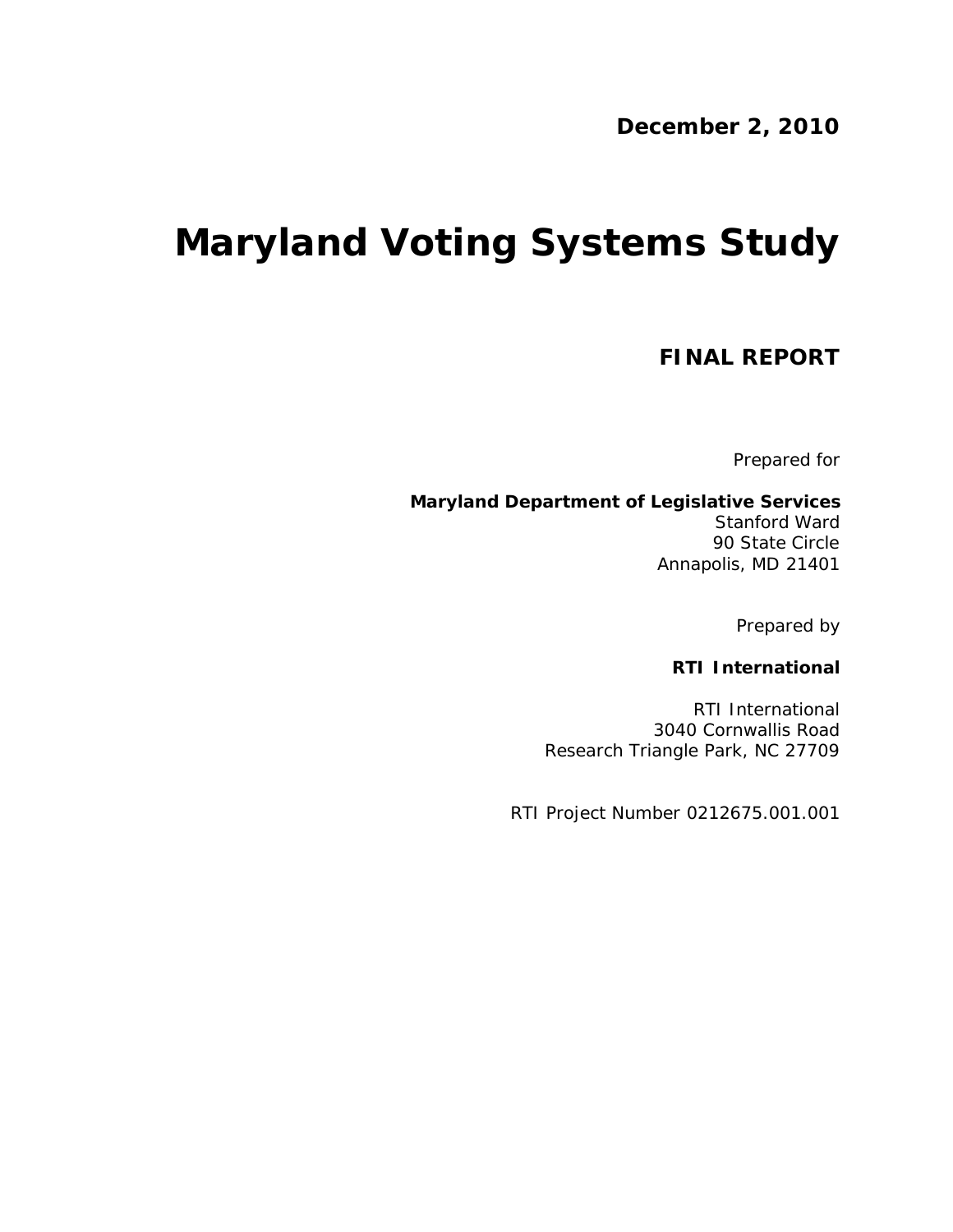**December 2, 2010**

# **Maryland Voting Systems Study**

**FINAL REPORT**

Prepared for

**Maryland Department of Legislative Services** Stanford Ward 90 State Circle Annapolis, MD 21401

Prepared by

**RTI International**

RTI International 3040 Cornwallis Road Research Triangle Park, NC 27709

RTI Project Number 0212675.001.001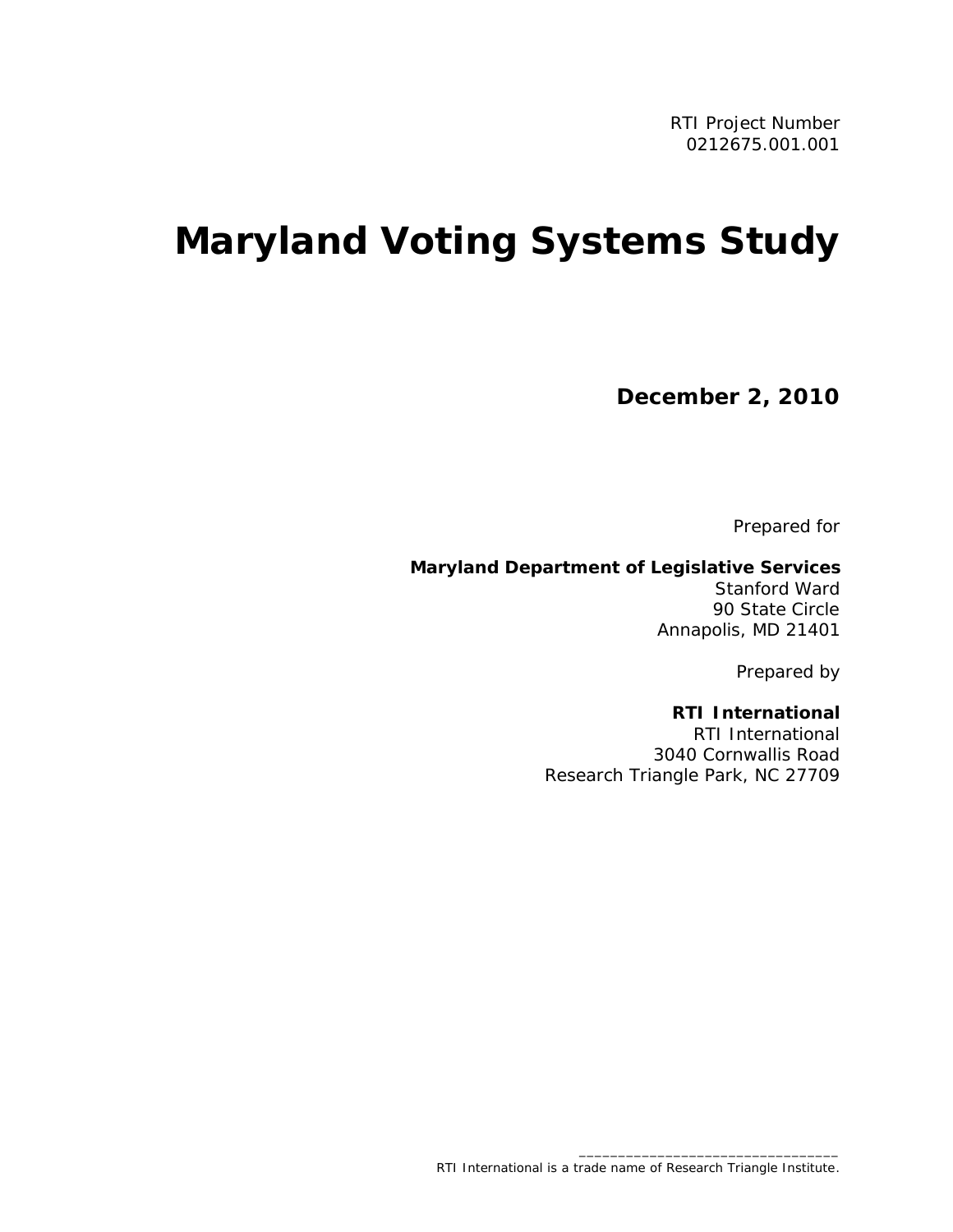# **Maryland Voting Systems Study**

**December 2, 2010**

Prepared for

**Maryland Department of Legislative Services** Stanford Ward 90 State Circle Annapolis, MD 21401

Prepared by

**RTI International** RTI International 3040 Cornwallis Road Research Triangle Park, NC 27709

\_\_\_\_\_\_\_\_\_\_\_\_\_\_\_\_\_\_\_\_\_\_\_\_\_\_\_\_\_\_\_\_\_

RTI International is a trade name of Research Triangle Institute.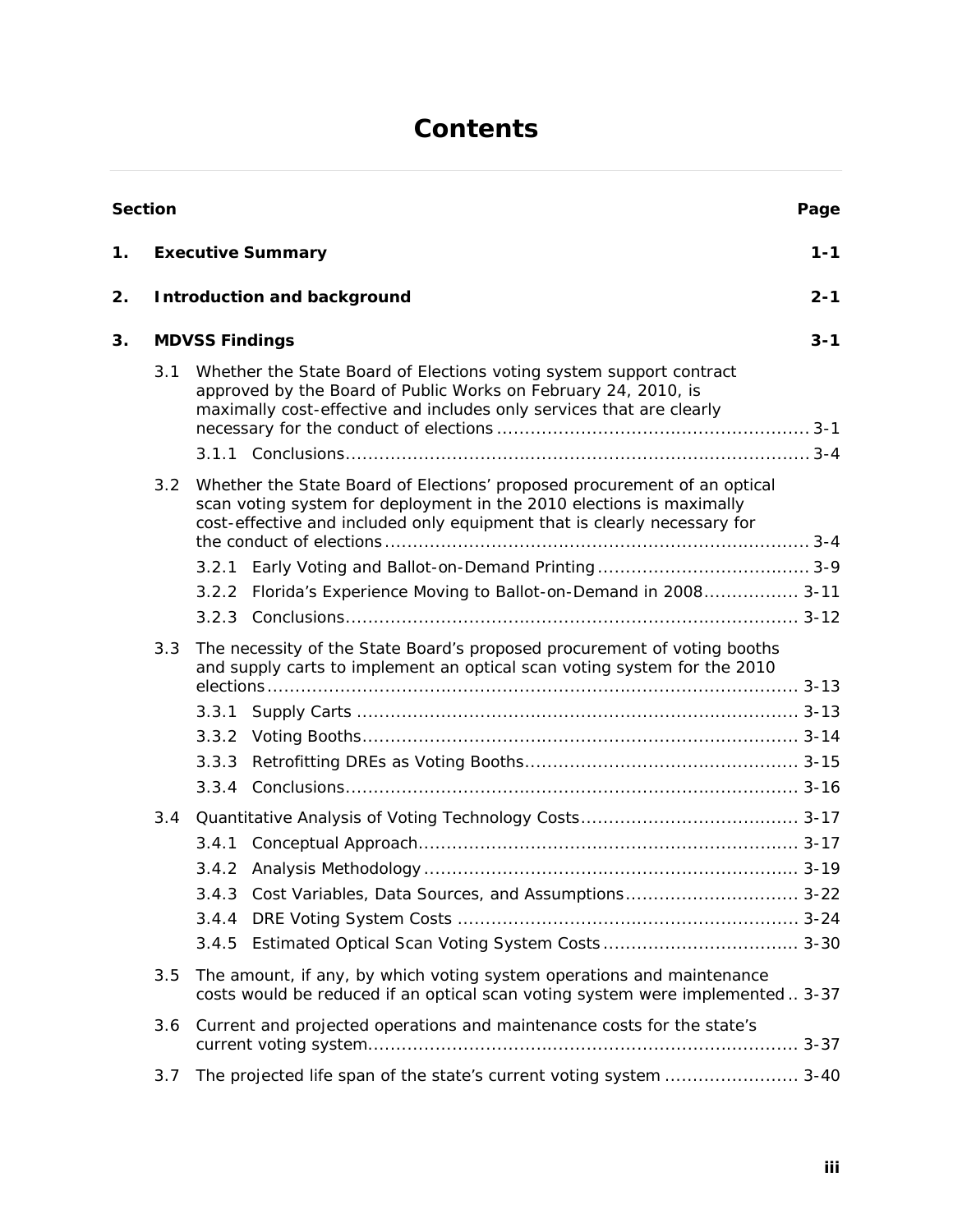# **Contents**

|    | Section |                                                                                                                                                                                                               |                                                                                                                                                                                                                              | Page    |  |  |  |  |  |  |  |
|----|---------|---------------------------------------------------------------------------------------------------------------------------------------------------------------------------------------------------------------|------------------------------------------------------------------------------------------------------------------------------------------------------------------------------------------------------------------------------|---------|--|--|--|--|--|--|--|
| 1. |         |                                                                                                                                                                                                               | <b>Executive Summary</b>                                                                                                                                                                                                     | $1 - 1$ |  |  |  |  |  |  |  |
| 2. |         | Introduction and background                                                                                                                                                                                   |                                                                                                                                                                                                                              |         |  |  |  |  |  |  |  |
| 3. |         | <b>MDVSS Findings</b>                                                                                                                                                                                         |                                                                                                                                                                                                                              |         |  |  |  |  |  |  |  |
|    | 3.1     | Whether the State Board of Elections voting system support contract<br>approved by the Board of Public Works on February 24, 2010, is<br>maximally cost-effective and includes only services that are clearly |                                                                                                                                                                                                                              |         |  |  |  |  |  |  |  |
|    |         |                                                                                                                                                                                                               |                                                                                                                                                                                                                              |         |  |  |  |  |  |  |  |
|    | 3.2     |                                                                                                                                                                                                               | Whether the State Board of Elections' proposed procurement of an optical<br>scan voting system for deployment in the 2010 elections is maximally<br>cost-effective and included only equipment that is clearly necessary for |         |  |  |  |  |  |  |  |
|    |         |                                                                                                                                                                                                               |                                                                                                                                                                                                                              |         |  |  |  |  |  |  |  |
|    |         | 3.2.2                                                                                                                                                                                                         | Florida's Experience Moving to Ballot-on-Demand in 2008 3-11                                                                                                                                                                 |         |  |  |  |  |  |  |  |
|    |         |                                                                                                                                                                                                               |                                                                                                                                                                                                                              |         |  |  |  |  |  |  |  |
|    | 3.3     |                                                                                                                                                                                                               | The necessity of the State Board's proposed procurement of voting booths<br>and supply carts to implement an optical scan voting system for the 2010                                                                         |         |  |  |  |  |  |  |  |
|    |         |                                                                                                                                                                                                               |                                                                                                                                                                                                                              |         |  |  |  |  |  |  |  |
|    |         |                                                                                                                                                                                                               |                                                                                                                                                                                                                              |         |  |  |  |  |  |  |  |
|    |         | 3.3.3                                                                                                                                                                                                         |                                                                                                                                                                                                                              |         |  |  |  |  |  |  |  |
|    |         |                                                                                                                                                                                                               |                                                                                                                                                                                                                              |         |  |  |  |  |  |  |  |
|    | 3.4     |                                                                                                                                                                                                               |                                                                                                                                                                                                                              |         |  |  |  |  |  |  |  |
|    |         |                                                                                                                                                                                                               |                                                                                                                                                                                                                              |         |  |  |  |  |  |  |  |
|    |         |                                                                                                                                                                                                               |                                                                                                                                                                                                                              |         |  |  |  |  |  |  |  |
|    |         |                                                                                                                                                                                                               | 3.4.3 Cost Variables, Data Sources, and Assumptions 3-22                                                                                                                                                                     |         |  |  |  |  |  |  |  |
|    |         | 3.4.4                                                                                                                                                                                                         |                                                                                                                                                                                                                              |         |  |  |  |  |  |  |  |
|    |         | 3.4.5                                                                                                                                                                                                         |                                                                                                                                                                                                                              |         |  |  |  |  |  |  |  |
|    | 3.5     |                                                                                                                                                                                                               | The amount, if any, by which voting system operations and maintenance<br>costs would be reduced if an optical scan voting system were implemented  3-37                                                                      |         |  |  |  |  |  |  |  |
|    | 3.6     |                                                                                                                                                                                                               | Current and projected operations and maintenance costs for the state's                                                                                                                                                       |         |  |  |  |  |  |  |  |
|    | 3.7     |                                                                                                                                                                                                               | The projected life span of the state's current voting system  3-40                                                                                                                                                           |         |  |  |  |  |  |  |  |
|    |         |                                                                                                                                                                                                               |                                                                                                                                                                                                                              |         |  |  |  |  |  |  |  |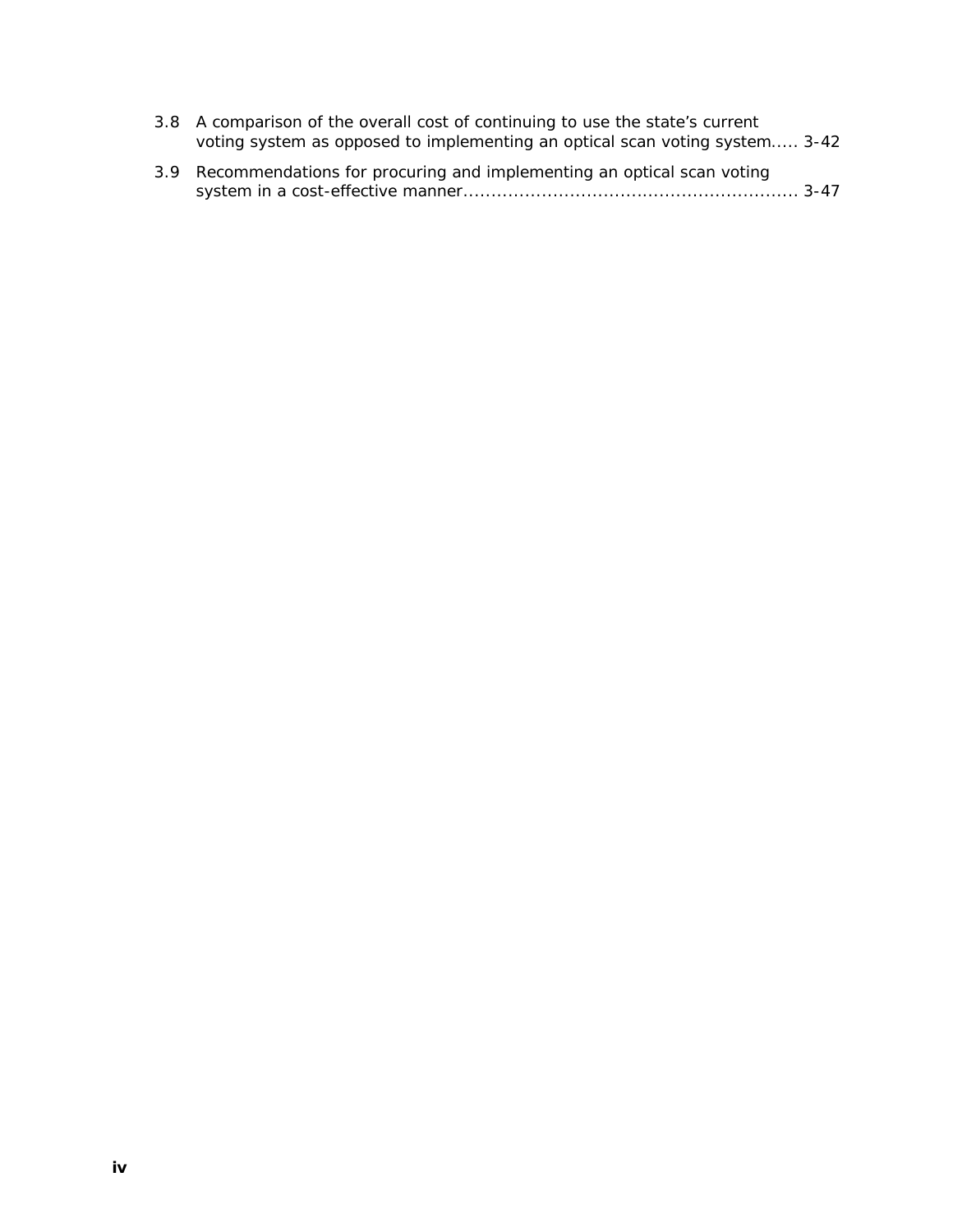| 3.8 A comparison of the overall cost of continuing to use the state's current |
|-------------------------------------------------------------------------------|
| voting system as opposed to implementing an optical scan voting system 3-42   |

| 3.9 Recommendations for procuring and implementing an optical scan voting |
|---------------------------------------------------------------------------|
|                                                                           |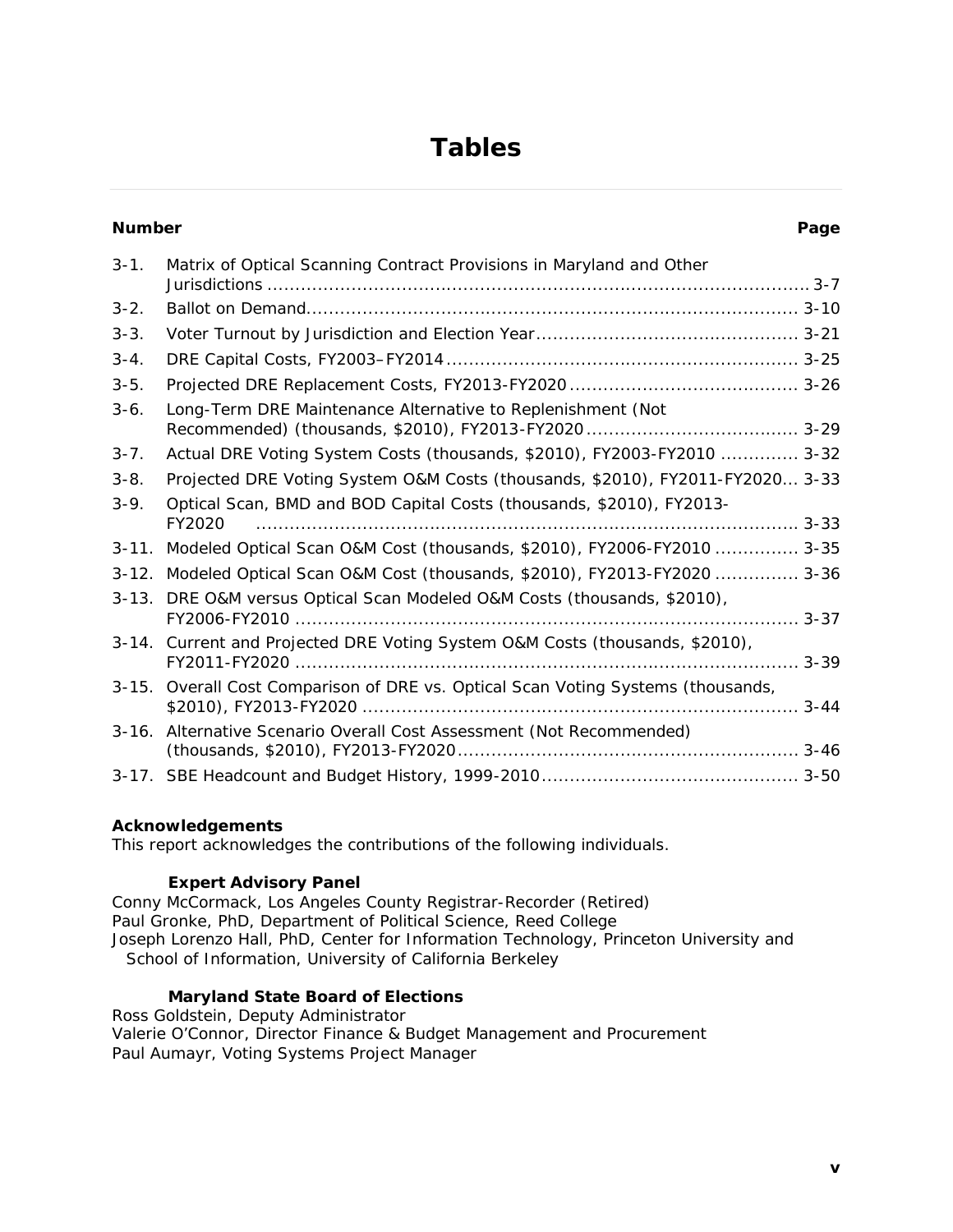# **Tables**

| Number     |                                                                                  | Page |
|------------|----------------------------------------------------------------------------------|------|
| $3 - 1$ .  | Matrix of Optical Scanning Contract Provisions in Maryland and Other             |      |
| $3 - 2$ .  |                                                                                  |      |
| $3 - 3$ .  |                                                                                  |      |
| $3 - 4$ .  |                                                                                  |      |
| $3 - 5$ .  |                                                                                  |      |
| $3-6.$     | Long-Term DRE Maintenance Alternative to Replenishment (Not                      |      |
| $3 - 7$ .  | Actual DRE Voting System Costs (thousands, \$2010), FY2003-FY2010  3-32          |      |
| $3 - 8.$   | Projected DRE Voting System O&M Costs (thousands, \$2010), FY2011-FY2020 3-33    |      |
| $3-9.$     | Optical Scan, BMD and BOD Capital Costs (thousands, \$2010), FY2013-<br>FY2020   |      |
| $3 - 11$ . | Modeled Optical Scan O&M Cost (thousands, \$2010), FY2006-FY2010  3-35           |      |
| $3 - 12.$  | Modeled Optical Scan O&M Cost (thousands, \$2010), FY2013-FY2020  3-36           |      |
|            | 3-13. DRE O&M versus Optical Scan Modeled O&M Costs (thousands, \$2010),         |      |
|            | 3-14. Current and Projected DRE Voting System O&M Costs (thousands, \$2010),     |      |
|            | 3-15. Overall Cost Comparison of DRE vs. Optical Scan Voting Systems (thousands, |      |
| $3 - 16.$  | Alternative Scenario Overall Cost Assessment (Not Recommended)                   |      |
|            |                                                                                  |      |

**Acknowledgements**

This report acknowledges the contributions of the following individuals.

#### **Expert Advisory Panel**

Conny McCormack, Los Angeles County Registrar-Recorder (Retired) Paul Gronke, PhD, Department of Political Science, Reed College Joseph Lorenzo Hall, PhD, Center for Information Technology, Princeton University and School of Information, University of California Berkeley

**Maryland State Board of Elections** Ross Goldstein, Deputy Administrator Valerie O'Connor, Director Finance & Budget Management and Procurement Paul Aumayr, Voting Systems Project Manager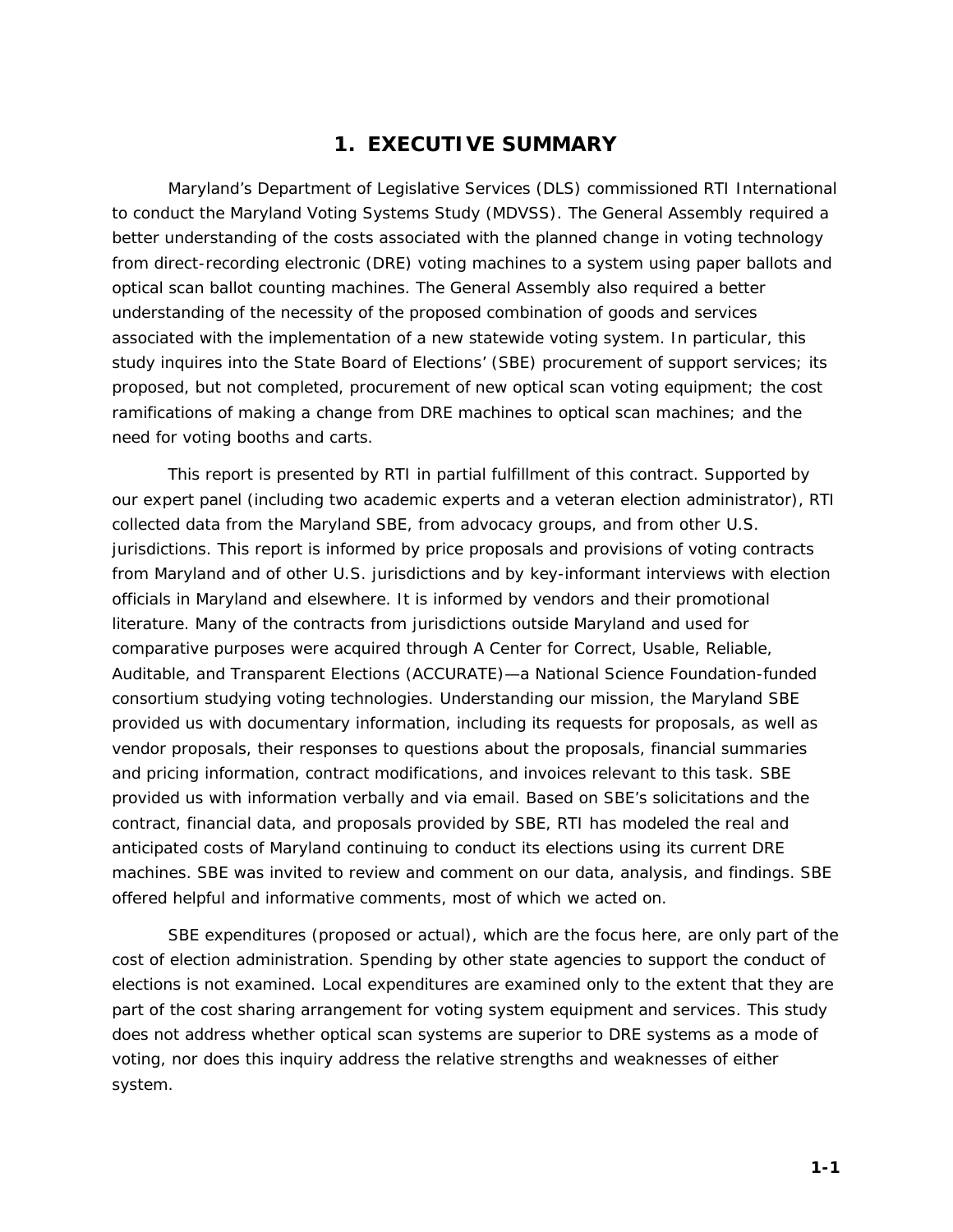## **1. EXECUTIVE SUMMARY**

Maryland's Department of Legislative Services (DLS) commissioned RTI International to conduct the Maryland Voting Systems Study (MDVSS). The General Assembly required a better understanding of the costs associated with the planned change in voting technology from direct-recording electronic (DRE) voting machines to a system using paper ballots and optical scan ballot counting machines. The General Assembly also required a better understanding of the necessity of the proposed combination of goods and services associated with the implementation of a new statewide voting system. In particular, this study inquires into the State Board of Elections' (SBE) procurement of support services; its proposed, but not completed, procurement of new optical scan voting equipment; the cost ramifications of making a change from DRE machines to optical scan machines; and the need for voting booths and carts.

This report is presented by RTI in partial fulfillment of this contract. Supported by our expert panel (including two academic experts and a veteran election administrator), RTI collected data from the Maryland SBE, from advocacy groups, and from other U.S. jurisdictions. This report is informed by price proposals and provisions of voting contracts from Maryland and of other U.S. jurisdictions and by key-informant interviews with election officials in Maryland and elsewhere. It is informed by vendors and their promotional literature. Many of the contracts from jurisdictions outside Maryland and used for comparative purposes were acquired through A Center for Correct, Usable, Reliable, Auditable, and Transparent Elections (ACCURATE)—a National Science Foundation-funded consortium studying voting technologies. Understanding our mission, the Maryland SBE provided us with documentary information, including its requests for proposals, as well as vendor proposals, their responses to questions about the proposals, financial summaries and pricing information, contract modifications, and invoices relevant to this task. SBE provided us with information verbally and via email. Based on SBE's solicitations and the contract, financial data, and proposals provided by SBE, RTI has modeled the real and anticipated costs of Maryland continuing to conduct its elections using its current DRE machines. SBE was invited to review and comment on our data, analysis, and findings. SBE offered helpful and informative comments, most of which we acted on.

SBE expenditures (proposed or actual), which are the focus here, are only part of the cost of election administration. Spending by other state agencies to support the conduct of elections is not examined. Local expenditures are examined only to the extent that they are part of the cost sharing arrangement for voting system equipment and services. This study does not address whether optical scan systems are superior to DRE systems as a mode of voting, nor does this inquiry address the relative strengths and weaknesses of either system.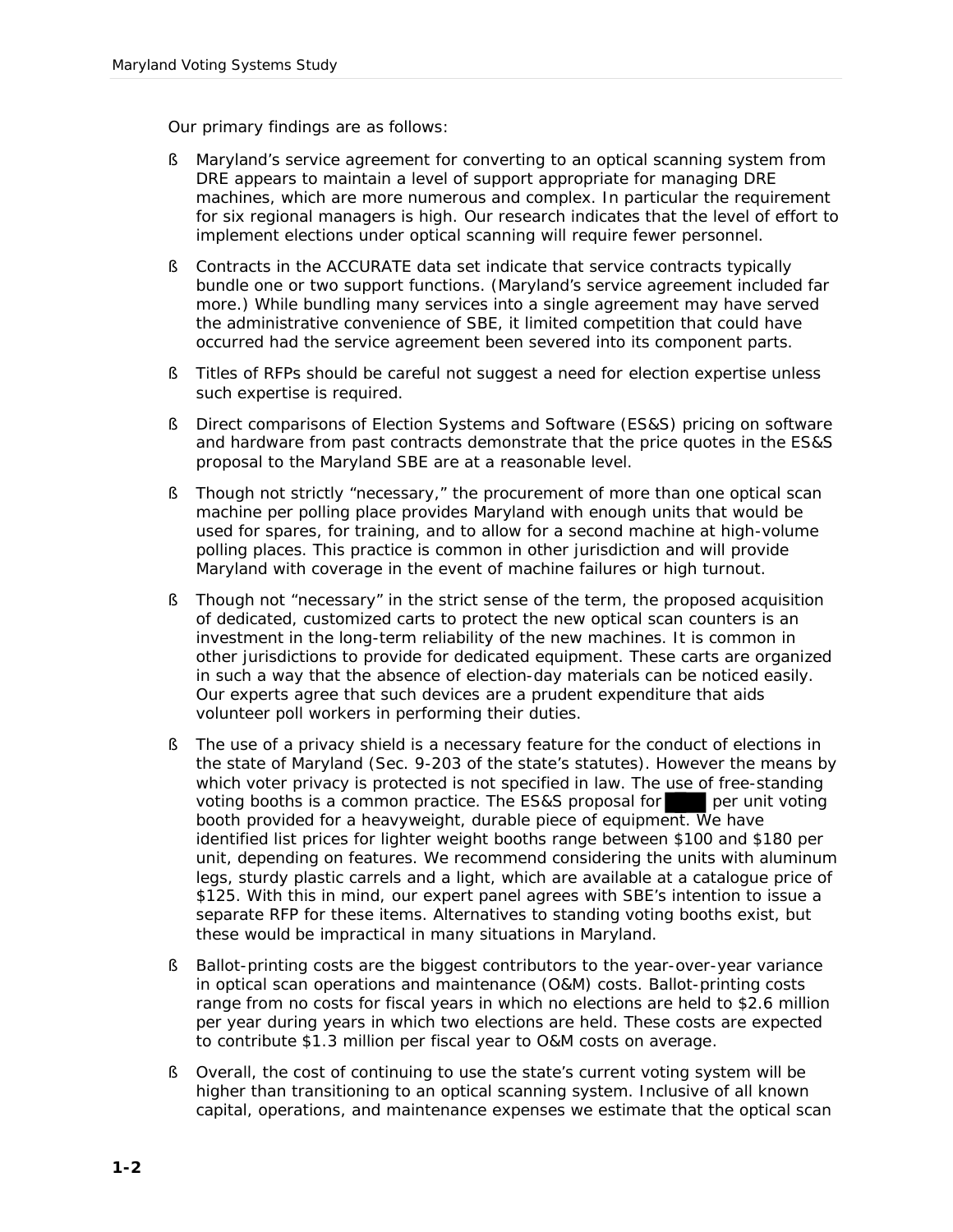Our primary findings are as follows:

- § Maryland's service agreement for converting to an optical scanning system from DRE appears to maintain a level of support appropriate for managing DRE machines, which are more numerous and complex. In particular the requirement for six regional managers is high. Our research indicates that the level of effort to implement elections under optical scanning will require fewer personnel.
- § Contracts in the ACCURATE data set indicate that service contracts typically bundle one or two support functions. (Maryland's service agreement included far more.) While bundling many services into a single agreement may have served the administrative convenience of SBE, it limited competition that could have occurred had the service agreement been severed into its component parts.
- § Titles of RFPs should be careful not suggest a need for election expertise unless such expertise is required.
- § Direct comparisons of Election Systems and Software (ES&S) pricing on software and hardware from past contracts demonstrate that the price quotes in the ES&S proposal to the Maryland SBE are at a reasonable level.
- § Though not strictly "necessary," the procurement of more than one optical scan machine per polling place provides Maryland with enough units that would be used for spares, for training, and to allow for a second machine at high-volume polling places. This practice is common in other jurisdiction and will provide Maryland with coverage in the event of machine failures or high turnout.
- § Though not "necessary" in the strict sense of the term, the proposed acquisition of dedicated, customized carts to protect the new optical scan counters is an investment in the long-term reliability of the new machines. It is common in other jurisdictions to provide for dedicated equipment. These carts are organized in such a way that the absence of election-day materials can be noticed easily. Our experts agree that such devices are a prudent expenditure that aids volunteer poll workers in performing their duties.
- § The use of a privacy shield is a necessary feature for the conduct of elections in the state of Maryland (Sec. 9-203 of the state's statutes). However the means by which voter privacy is protected is not specified in law. The use of free-standing voting booths is a common practice. The ES&S proposal for per unit voting booth provided for a heavyweight, durable piece of equipment. We have identified list prices for lighter weight booths range between \$100 and \$180 per unit, depending on features. We recommend considering the units with aluminum legs, sturdy plastic carrels and a light, which are available at a catalogue price of \$125. With this in mind, our expert panel agrees with SBE's intention to issue a separate RFP for these items. Alternatives to standing voting booths exist, but these would be impractical in many situations in Maryland.
- § Ballot-printing costs are the biggest contributors to the year-over-year variance in optical scan operations and maintenance (O&M) costs. Ballot-printing costs range from no costs for fiscal years in which no elections are held to \$2.6 million per year during years in which two elections are held. These costs are expected to contribute \$1.3 million per fiscal year to O&M costs on average.
- § Overall, the cost of continuing to use the state's current voting system will be higher than transitioning to an optical scanning system. Inclusive of all known capital, operations, and maintenance expenses we estimate that the optical scan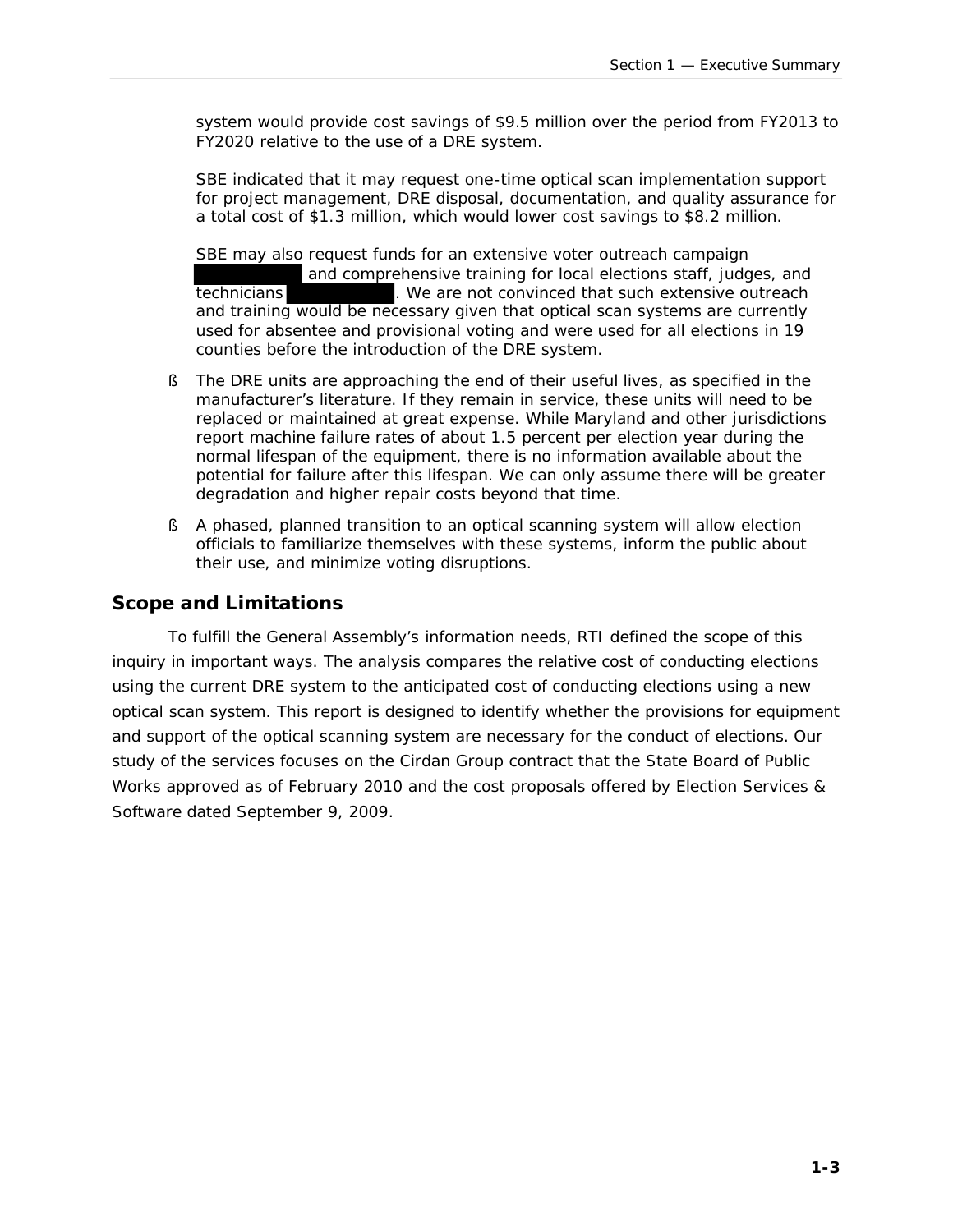system would provide cost savings of \$9.5 million over the period from FY2013 to FY2020 relative to the use of a DRE system.

SBE indicated that it may request one-time optical scan implementation support for project management, DRE disposal, documentation, and quality assurance for a total cost of \$1.3 million, which would lower cost savings to \$8.2 million.

SBE may also request funds for an extensive voter outreach campaign and comprehensive training for local elections staff, judges, and technicians . We are not convinced that such extensive outreach and training would be necessary given that optical scan systems are currently used for absentee and provisional voting and were used for all elections in 19 counties before the introduction of the DRE system.

- § The DRE units are approaching the end of their useful lives, as specified in the manufacturer's literature. If they remain in service, these units will need to be replaced or maintained at great expense. While Maryland and other jurisdictions report machine failure rates of about 1.5 percent per election year during the normal lifespan of the equipment, there is no information available about the potential for failure after this lifespan. We can only assume there will be greater degradation and higher repair costs beyond that time.
- § A phased, planned transition to an optical scanning system will allow election officials to familiarize themselves with these systems, inform the public about their use, and minimize voting disruptions.

#### **Scope and Limitations**

To fulfill the General Assembly's information needs, RTI defined the scope of this inquiry in important ways. The analysis compares the *relative* cost of conducting elections using the current DRE system to the *anticipated* cost of conducting elections using a new optical scan system. This report is designed to identify whether the provisions for equipment and support of the optical scanning system are necessary for the conduct of elections. Our study of the services focuses on the Cirdan Group contract that the State Board of Public Works approved as of February 2010 and the cost proposals offered by Election Services & Software dated September 9, 2009.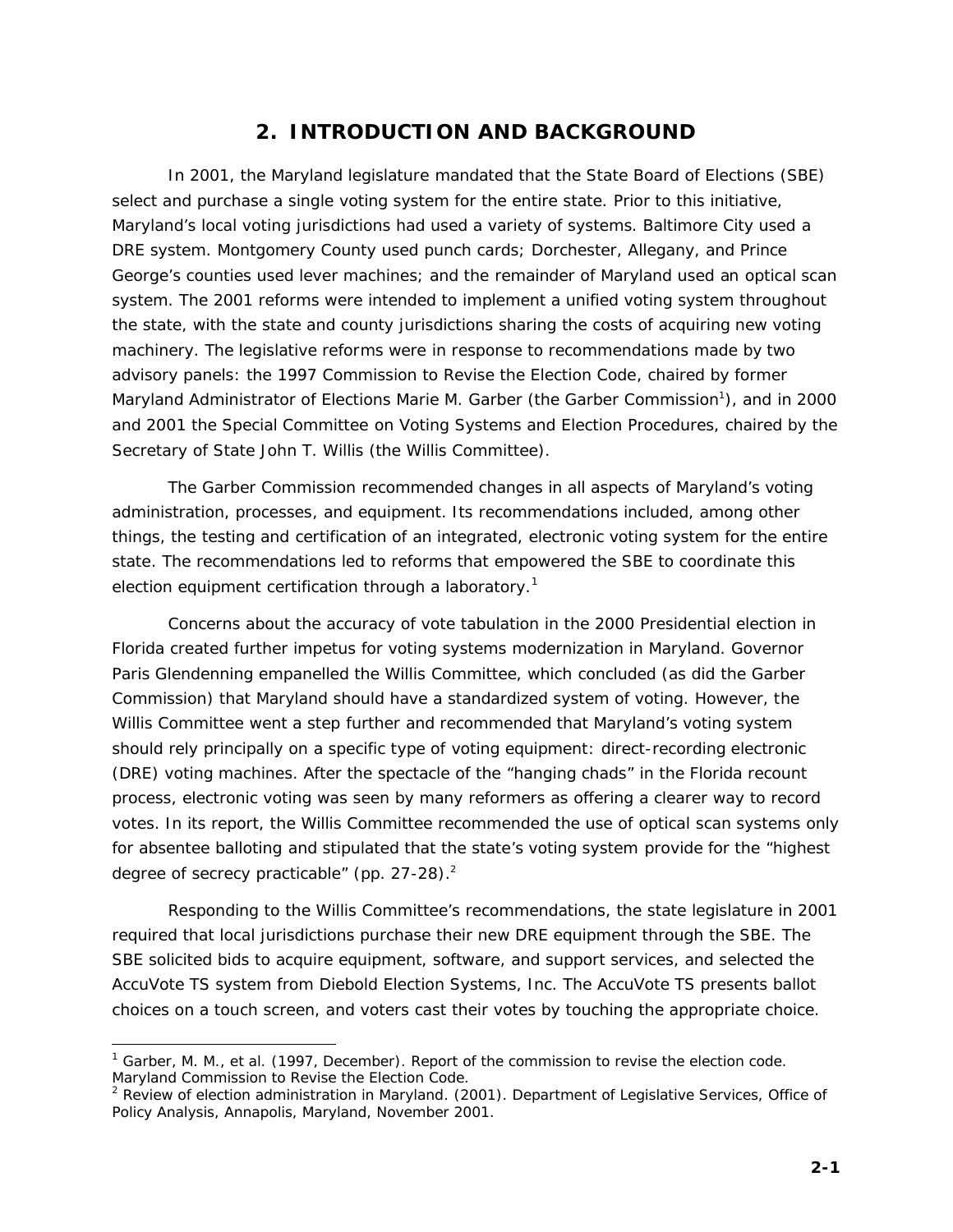# **2. INTRODUCTION AND BACKGROUND**

In 2001, the Maryland legislature mandated that the State Board of Elections (SBE) select and purchase a single voting system for the entire state. Prior to this initiative, Maryland's local voting jurisdictions had used a variety of systems. Baltimore City used a DRE system. Montgomery County used punch cards; Dorchester, Allegany, and Prince George's counties used lever machines; and the remainder of Maryland used an optical scan system. The 2001 reforms were intended to implement a unified voting system throughout the state, with the state and county jurisdictions sharing the costs of acquiring new voting machinery. The legislative reforms were in response to recommendations made by two advisory panels: the 1997 Commission to Revise the Election Code, chaired by former Maryland Administrator of Elections Marie M. Garber (the Garber Commission<sup>1</sup>), and in 2000 and 2001 the Special Committee on Voting Systems and Election Procedures, chaired by the Secretary of State John T. Willis (the Willis Committee).

The Garber Commission recommended changes in all aspects of Maryland's voting administration, processes, and equipment. Its recommendations included, among other things, the testing and certification of an integrated, electronic voting system for the entire state. The recommendations led to reforms that empowered the SBE to coordinate this election equipment certification through a laboratory.<sup>1</sup>

Concerns about the accuracy of vote tabulation in the 2000 Presidential election in Florida created further impetus for voting systems modernization in Maryland. Governor Paris Glendenning empanelled the Willis Committee, which concluded (as did the Garber Commission) that Maryland should have a standardized system of voting. However, the Willis Committee went a step further and recommended that Maryland's voting system should rely principally on a specific type of voting equipment: direct-recording electronic (DRE) voting machines. After the spectacle of the "hanging chads" in the Florida recount process, electronic voting was seen by many reformers as offering a clearer way to record votes. In its report, the Willis Committee recommended the use of optical scan systems only for absentee balloting and stipulated that the state's voting system provide for the "highest degree of secrecy practicable" (pp. 27-28).<sup>2</sup>

Responding to the Willis Committee's recommendations, the state legislature in 2001 required that local jurisdictions purchase their new DRE equipment through the SBE. The SBE solicited bids to acquire equipment, software, and support services, and selected the AccuVote TS system from Diebold Election Systems, Inc. The AccuVote TS presents ballot choices on a touch screen, and voters cast their votes by touching the appropriate choice.

l

<sup>1</sup> Garber, M. M., et al. (1997, December). *Report of the commission to revise the election code.* Maryland Commission to Revise the Election Code.

<sup>2</sup> *Review of election administration in Maryland*. (2001). Department of Legislative Services, Office of Policy Analysis, Annapolis, Maryland, November 2001.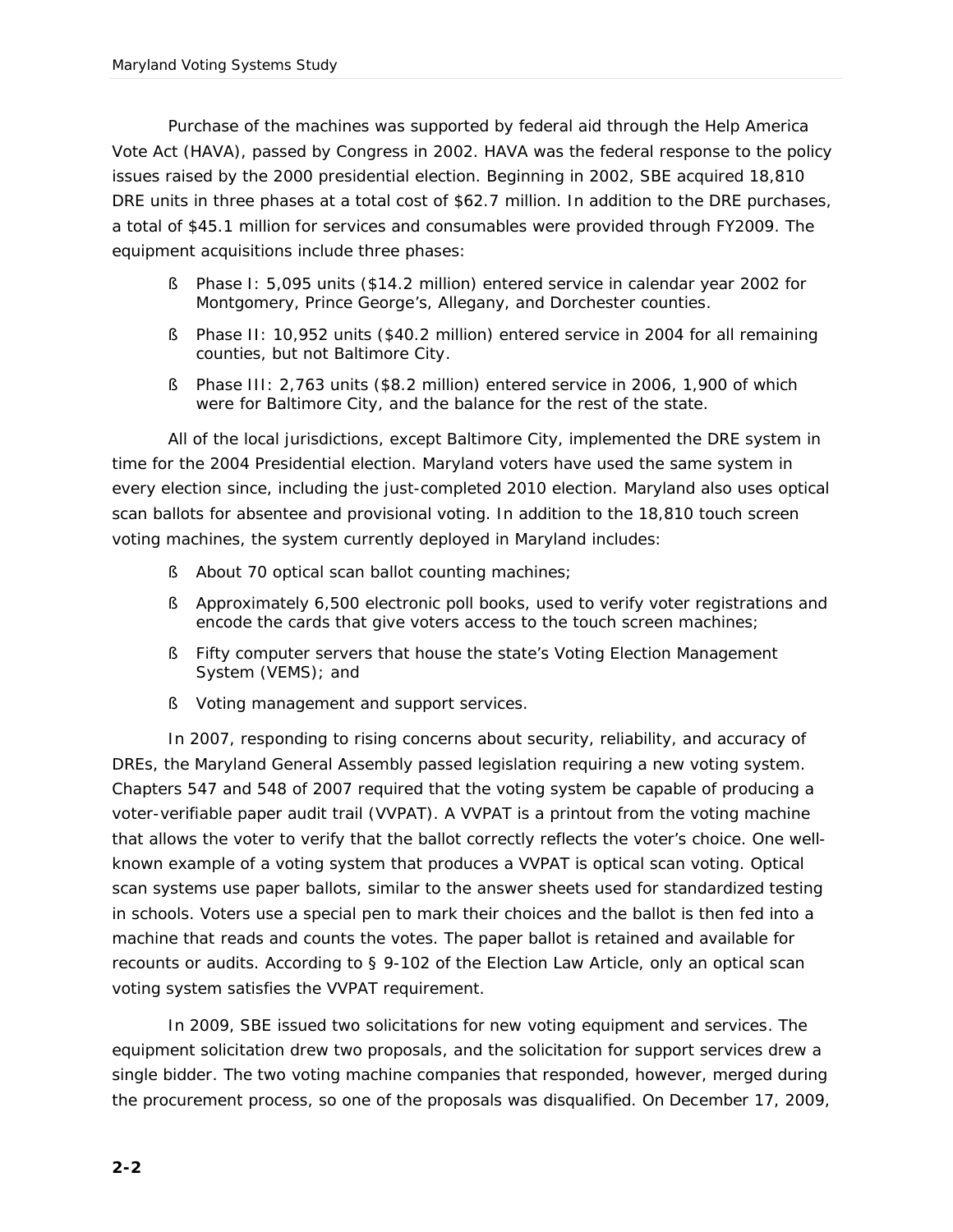Purchase of the machines was supported by federal aid through the Help America Vote Act (HAVA), passed by Congress in 2002. HAVA was the federal response to the policy issues raised by the 2000 presidential election. Beginning in 2002, SBE acquired 18,810 DRE units in three phases at a total cost of \$62.7 million. In addition to the DRE purchases, a total of \$45.1 million for services and consumables were provided through FY2009. The equipment acquisitions include three phases:

- § Phase I: 5,095 units (\$14.2 million) entered service in calendar year 2002 for Montgomery, Prince George's, Allegany, and Dorchester counties.
- § Phase II: 10,952 units (\$40.2 million) entered service in 2004 for all remaining counties, but not Baltimore City.
- § Phase III: 2,763 units (\$8.2 million) entered service in 2006, 1,900 of which were for Baltimore City, and the balance for the rest of the state.

All of the local jurisdictions, except Baltimore City, implemented the DRE system in time for the 2004 Presidential election. Maryland voters have used the same system in every election since, including the just-completed 2010 election. Maryland also uses optical scan ballots for absentee and provisional voting. In addition to the 18,810 touch screen voting machines, the system currently deployed in Maryland includes:

- § About 70 optical scan ballot counting machines;
- § Approximately 6,500 electronic poll books, used to verify voter registrations and encode the cards that give voters access to the touch screen machines;
- § Fifty computer servers that house the state's Voting Election Management System (VEMS); and
- § Voting management and support services.

In 2007, responding to rising concerns about security, reliability, and accuracy of DREs, the Maryland General Assembly passed legislation requiring a new voting system. Chapters 547 and 548 of 2007 required that the voting system be capable of producing a voter-verifiable paper audit trail (VVPAT). A VVPAT is a printout from the voting machine that allows the voter to verify that the ballot correctly reflects the voter's choice. One wellknown example of a voting system that produces a VVPAT is optical scan voting. Optical scan systems use paper ballots, similar to the answer sheets used for standardized testing in schools. Voters use a special pen to mark their choices and the ballot is then fed into a machine that reads and counts the votes. The paper ballot is retained and available for recounts or audits. According to § 9-102 of the Election Law Article, only an optical scan voting system satisfies the VVPAT requirement.

In 2009, SBE issued two solicitations for new voting equipment and services. The equipment solicitation drew two proposals, and the solicitation for support services drew a single bidder. The two voting machine companies that responded, however, merged during the procurement process, so one of the proposals was disqualified. On December 17, 2009,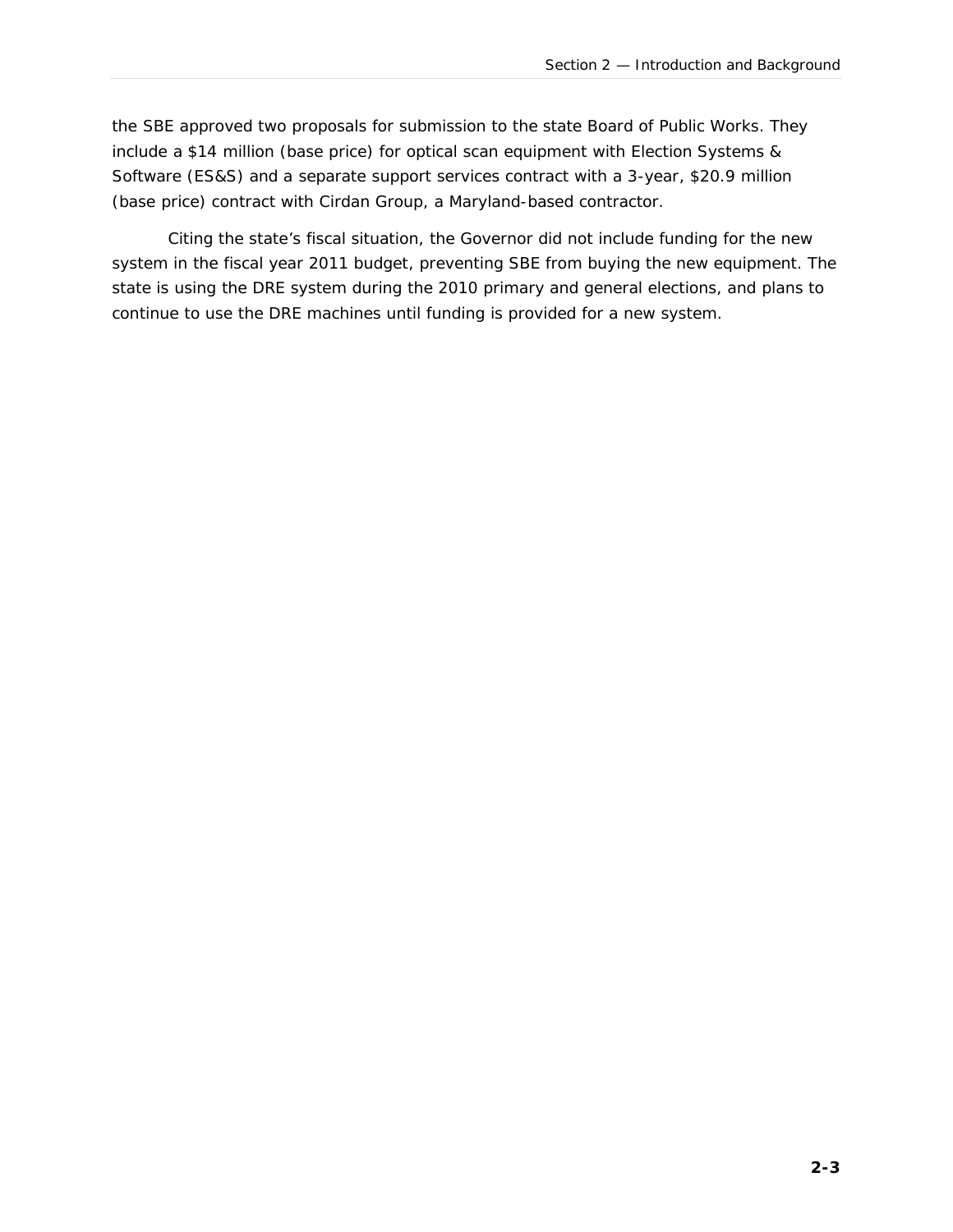the SBE approved two proposals for submission to the state Board of Public Works. They include a \$14 million (base price) for optical scan equipment with Election Systems & Software (ES&S) and a separate support services contract with a 3-year, \$20.9 million (base price) contract with Cirdan Group, a Maryland-based contractor.

Citing the state's fiscal situation, the Governor did not include funding for the new system in the fiscal year 2011 budget, preventing SBE from buying the new equipment. The state is using the DRE system during the 2010 primary and general elections, and plans to continue to use the DRE machines until funding is provided for a new system.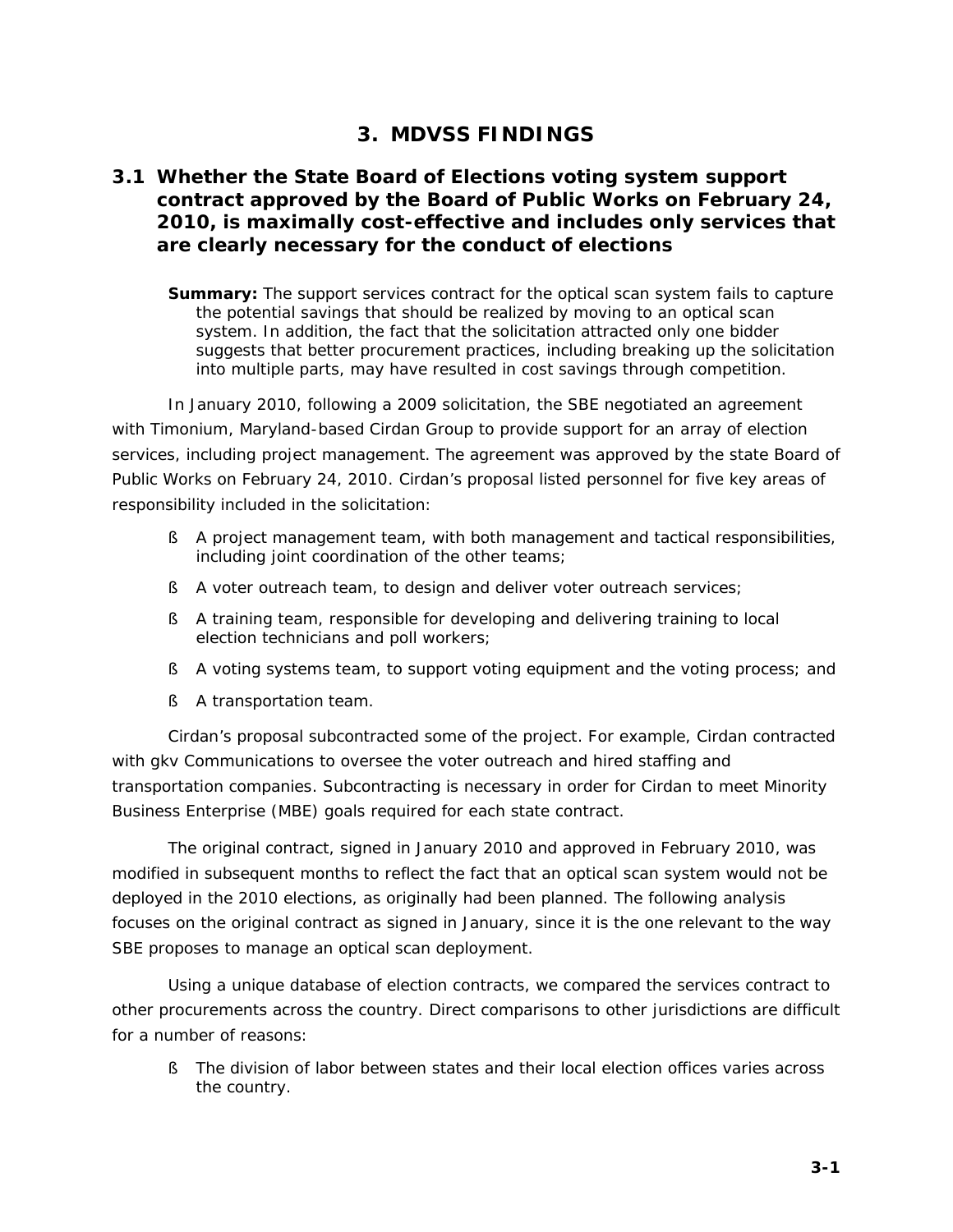# **3. MDVSS FINDINGS**

### **3.1 Whether the State Board of Elections voting system support contract approved by the Board of Public Works on February 24, 2010, is maximally cost-effective and includes only services that are clearly necessary for the conduct of elections**

**Summary:** The support services contract for the optical scan system fails to capture the potential savings that should be realized by moving to an optical scan system. In addition, the fact that the solicitation attracted only one bidder suggests that better procurement practices, including breaking up the solicitation into multiple parts, may have resulted in cost savings through competition.

In January 2010, following a 2009 solicitation, the SBE negotiated an agreement with Timonium, Maryland-based Cirdan Group to provide support for an array of election services, including project management. The agreement was approved by the state Board of Public Works on February 24, 2010. Cirdan's proposal listed personnel for five key areas of responsibility included in the solicitation:

- § A project management team, with both management and tactical responsibilities, including joint coordination of the other teams;
- § A voter outreach team, to design and deliver voter outreach services;
- § A training team, responsible for developing and delivering training to local election technicians and poll workers;
- § A voting systems team, to support voting equipment and the voting process; and
- § A transportation team.

Cirdan's proposal subcontracted some of the project. For example, Cirdan contracted with gkv Communications to oversee the voter outreach and hired staffing and transportation companies. Subcontracting is necessary in order for Cirdan to meet Minority Business Enterprise (MBE) goals required for each state contract.

The original contract, signed in January 2010 and approved in February 2010, was modified in subsequent months to reflect the fact that an optical scan system would not be deployed in the 2010 elections, as originally had been planned. The following analysis focuses on the original contract as signed in January, since it is the one relevant to the way SBE proposes to manage an optical scan deployment.

Using a unique database of election contracts, we compared the services contract to other procurements across the country. Direct comparisons to other jurisdictions are difficult for a number of reasons:

§ The division of labor between states and their local election offices varies across the country.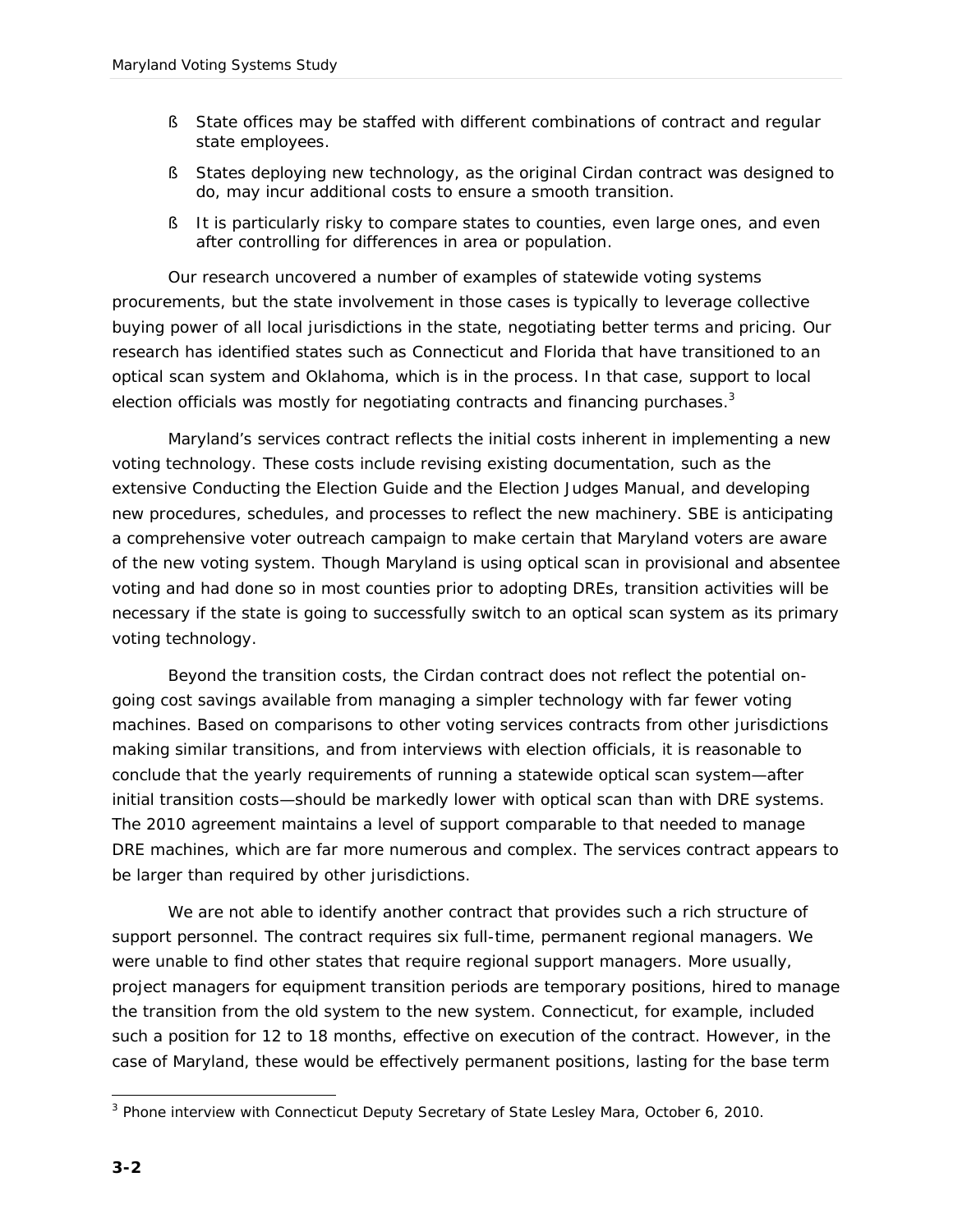- § State offices may be staffed with different combinations of contract and regular state employees.
- § States deploying new technology, as the original Cirdan contract was designed to do, may incur additional costs to ensure a smooth transition.
- § It is particularly risky to compare states to counties, even large ones, and even after controlling for differences in area or population.

Our research uncovered a number of examples of statewide voting systems procurements, but the state involvement in those cases is typically to leverage collective buying power of all local jurisdictions in the state, negotiating better terms and pricing. Our research has identified states such as Connecticut and Florida that have transitioned to an optical scan system and Oklahoma, which is in the process. In that case, support to local election officials was mostly for negotiating contracts and financing purchases. $3$ 

Maryland's services contract reflects the initial costs inherent in implementing a new voting technology. These costs include revising existing documentation, such as the extensive *Conducting the Election Guide* and the *Election Judges Manual*, and developing new procedures, schedules, and processes to reflect the new machinery. SBE is anticipating a comprehensive voter outreach campaign to make certain that Maryland voters are aware of the new voting system. Though Maryland is using optical scan in provisional and absentee voting and had done so in most counties prior to adopting DREs, transition activities will be necessary if the state is going to successfully switch to an optical scan system as its primary voting technology.

Beyond the transition costs, the Cirdan contract does not reflect the potential ongoing cost savings available from managing a simpler technology with far fewer voting machines. Based on comparisons to other voting services contracts from other jurisdictions making similar transitions, and from interviews with election officials, it is reasonable to conclude that the yearly requirements of running a statewide optical scan system—after initial transition costs—should be markedly lower with optical scan than with DRE systems. The 2010 agreement maintains a level of support comparable to that needed to manage DRE machines, which are far more numerous and complex. The services contract appears to be larger than required by other jurisdictions.

We are not able to identify another contract that provides such a rich structure of support personnel. The contract requires six full-time, permanent regional managers. We were unable to find other states that require regional support managers. More usually, project managers for equipment transition periods are temporary positions, hired to manage the transition from the old system to the new system. Connecticut, for example, included such a position for 12 to 18 months, effective on execution of the contract. However, in the case of Maryland, these would be effectively permanent positions, lasting for the base term

j <sup>3</sup> Phone interview with Connecticut Deputy Secretary of State Lesley Mara, October 6, 2010.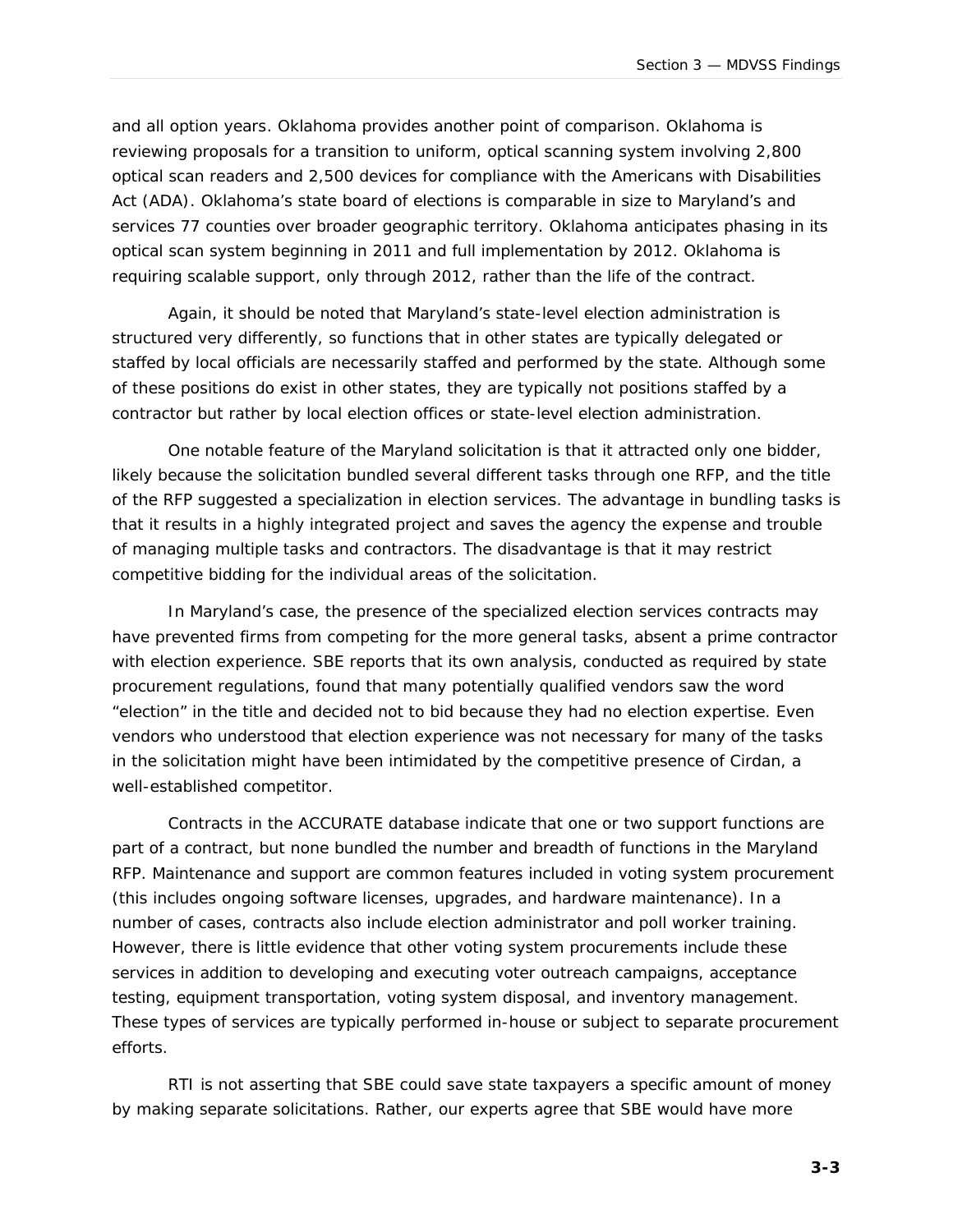and all option years. Oklahoma provides another point of comparison. Oklahoma is reviewing proposals for a transition to uniform, optical scanning system involving 2,800 optical scan readers and 2,500 devices for compliance with the Americans with Disabilities Act (ADA). Oklahoma's state board of elections is comparable in size to Maryland's and services 77 counties over broader geographic territory. Oklahoma anticipates phasing in its optical scan system beginning in 2011 and full implementation by 2012. Oklahoma is requiring scalable support, only through 2012, rather than the life of the contract.

Again, it should be noted that Maryland's state-level election administration is structured very differently, so functions that in other states are typically delegated or staffed by local officials are necessarily staffed and performed by the state. Although some of these positions do exist in other states, they are typically not positions staffed by a contractor but rather by local election offices or state-level election administration.

One notable feature of the Maryland solicitation is that it attracted only one bidder, likely because the solicitation bundled several different tasks through one RFP, and the title of the RFP suggested a specialization in election services. The advantage in bundling tasks is that it results in a highly integrated project and saves the agency the expense and trouble of managing multiple tasks and contractors. The disadvantage is that it may restrict competitive bidding for the individual areas of the solicitation.

In Maryland's case, the presence of the specialized election services contracts may have prevented firms from competing for the more general tasks, absent a prime contractor with election experience. SBE reports that its own analysis, conducted as required by state procurement regulations, found that many potentially qualified vendors saw the word "election" in the title and decided not to bid because they had no election expertise. Even vendors who understood that election experience was not necessary for many of the tasks in the solicitation might have been intimidated by the competitive presence of Cirdan, a well-established competitor.

Contracts in the ACCURATE database indicate that one or two support functions are part of a contract, but none bundled the number and breadth of functions in the Maryland RFP. Maintenance and support are common features included in voting system procurement (this includes ongoing software licenses, upgrades, and hardware maintenance). In a number of cases, contracts also include election administrator and poll worker training. However, there is little evidence that other voting system procurements include these services in addition to developing and executing voter outreach campaigns, acceptance testing, equipment transportation, voting system disposal, and inventory management. These types of services are typically performed in-house or subject to separate procurement efforts.

RTI is not asserting that SBE could save state taxpayers a specific amount of money by making separate solicitations. Rather, our experts agree that SBE would have more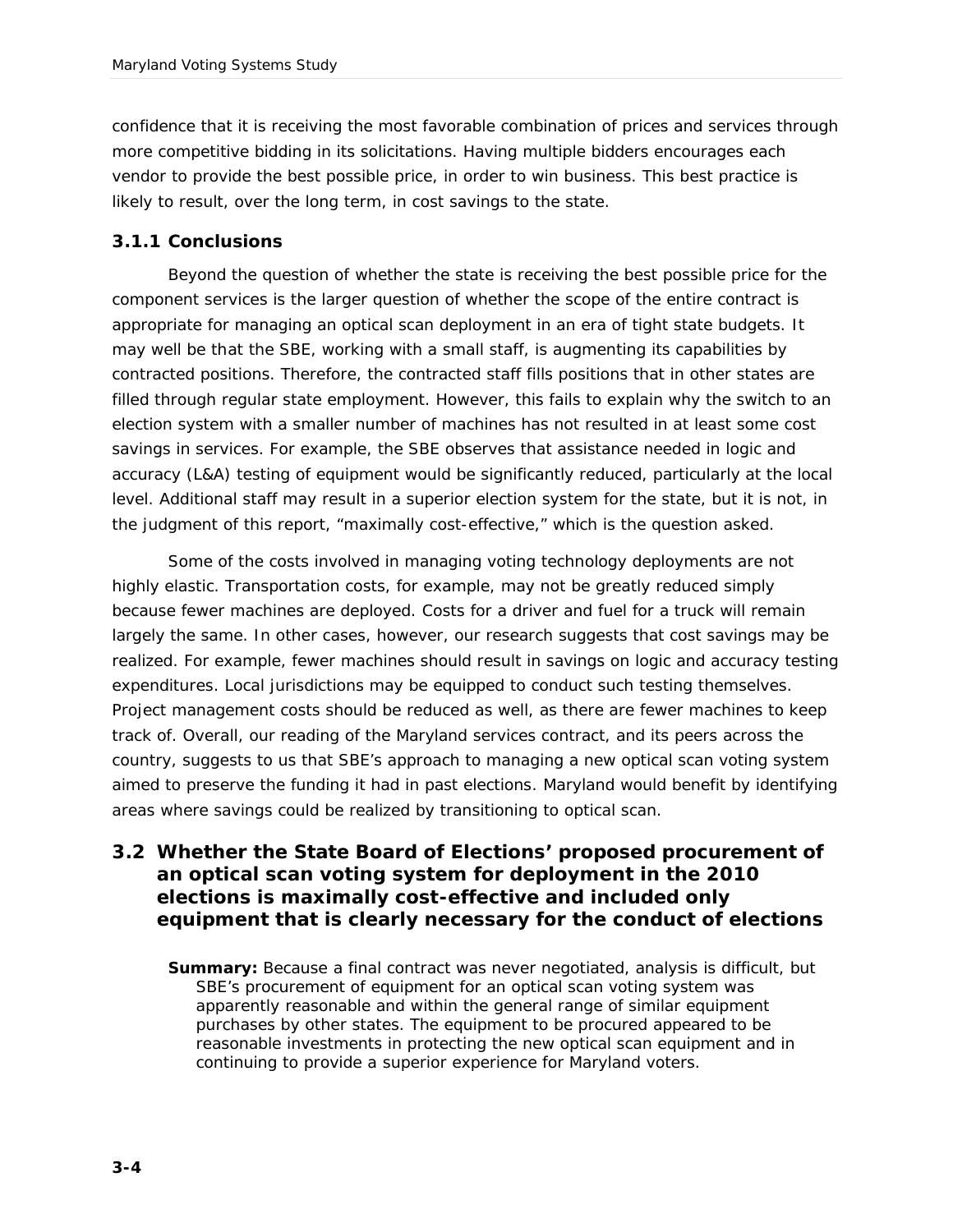confidence that it is receiving the most favorable combination of prices and services through more competitive bidding in its solicitations. Having multiple bidders encourages each vendor to provide the best possible price, in order to win business. This best practice is likely to result, over the long term, in cost savings to the state.

#### *3.1.1 Conclusions*

Beyond the question of whether the state is receiving the best possible price for the component services is the larger question of whether the scope of the entire contract is appropriate for managing an optical scan deployment in an era of tight state budgets. It may well be that the SBE, working with a small staff, is augmenting its capabilities by contracted positions. Therefore, the contracted staff fills positions that in other states are filled through regular state employment. However, this fails to explain why the switch to an election system with a smaller number of machines has not resulted in at least some cost savings in services. For example, the SBE observes that assistance needed in logic and accuracy (L&A) testing of equipment would be significantly reduced, particularly at the local level. Additional staff may result in a superior election system for the state, but it is not, in the judgment of this report, "maximally cost-effective," which is the question asked.

Some of the costs involved in managing voting technology deployments are not highly elastic. Transportation costs, for example, may not be greatly reduced simply because fewer machines are deployed. Costs for a driver and fuel for a truck will remain largely the same. In other cases, however, our research suggests that cost savings may be realized. For example, fewer machines should result in savings on logic and accuracy testing expenditures. Local jurisdictions may be equipped to conduct such testing themselves. Project management costs should be reduced as well, as there are fewer machines to keep track of. Overall, our reading of the Maryland services contract, and its peers across the country, suggests to us that SBE's approach to managing a new optical scan voting system aimed to preserve the funding it had in past elections. Maryland would benefit by identifying areas where savings could be realized by transitioning to optical scan.

**3.2 Whether the State Board of Elections' proposed procurement of an optical scan voting system for deployment in the 2010 elections is maximally cost-effective and included only equipment that is clearly necessary for the conduct of elections**

**Summary:** Because a final contract was never negotiated, analysis is difficult, but SBE's procurement of equipment for an optical scan voting system was apparently reasonable and within the general range of similar equipment purchases by other states. The equipment to be procured appeared to be reasonable investments in protecting the new optical scan equipment and in continuing to provide a superior experience for Maryland voters.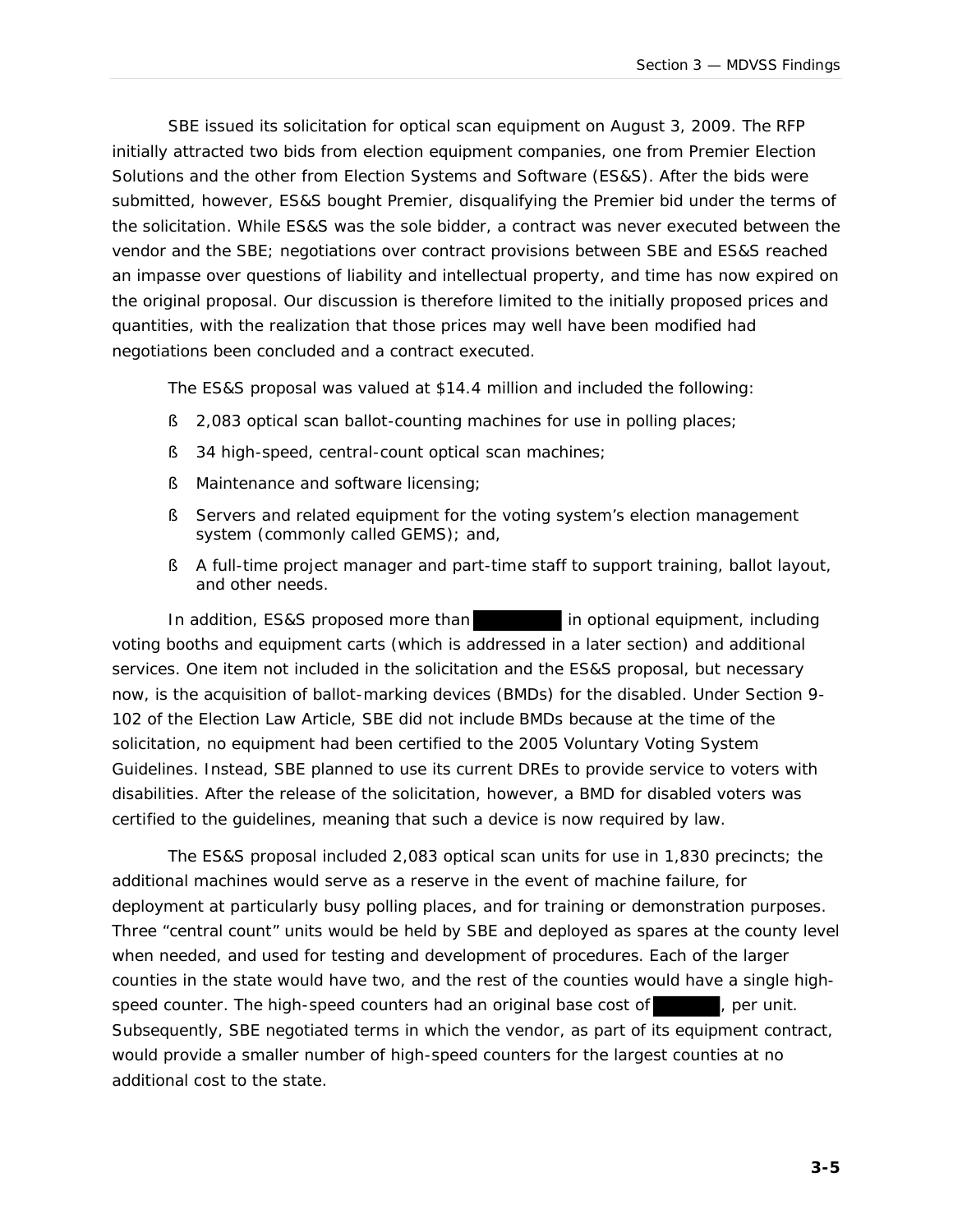SBE issued its solicitation for optical scan equipment on August 3, 2009. The RFP initially attracted two bids from election equipment companies, one from Premier Election Solutions and the other from Election Systems and Software (ES&S). After the bids were submitted, however, ES&S bought Premier, disqualifying the Premier bid under the terms of the solicitation. While ES&S was the sole bidder, a contract was never executed between the vendor and the SBE; negotiations over contract provisions between SBE and ES&S reached an impasse over questions of liability and intellectual property, and time has now expired on the original proposal. Our discussion is therefore limited to the initially proposed prices and quantities, with the realization that those prices may well have been modified had negotiations been concluded and a contract executed.

The ES&S proposal was valued at \$14.4 million and included the following:

- § 2,083 optical scan ballot-counting machines for use in polling places;
- § 34 high-speed, central-count optical scan machines;
- § Maintenance and software licensing;
- § Servers and related equipment for the voting system's election management system (commonly called GEMS); and,
- § A full-time project manager and part-time staff to support training, ballot layout, and other needs.

In addition, ES&S proposed more than in optional equipment, including voting booths and equipment carts (which is addressed in a later section) and additional services. One item not included in the solicitation and the ES&S proposal, but necessary now, is the acquisition of ballot-marking devices (BMDs) for the disabled. Under Section 9- 102 of the Election Law Article, SBE did not include BMDs because at the time of the solicitation, no equipment had been certified to the 2005 Voluntary Voting System Guidelines. Instead, SBE planned to use its current DREs to provide service to voters with disabilities. After the release of the solicitation, however, a BMD for disabled voters was certified to the guidelines, meaning that such a device is now required by law.

The ES&S proposal included 2,083 optical scan units for use in 1,830 precincts; the additional machines would serve as a reserve in the event of machine failure, for deployment at particularly busy polling places, and for training or demonstration purposes. Three "central count" units would be held by SBE and deployed as spares at the county level when needed, and used for testing and development of procedures. Each of the larger counties in the state would have two, and the rest of the counties would have a single highspeed counter. The high-speed counters had an original base cost of  $\qquad \qquad$ , per unit. Subsequently, SBE negotiated terms in which the vendor, as part of its equipment contract, would provide a smaller number of high-speed counters for the largest counties at no additional cost to the state.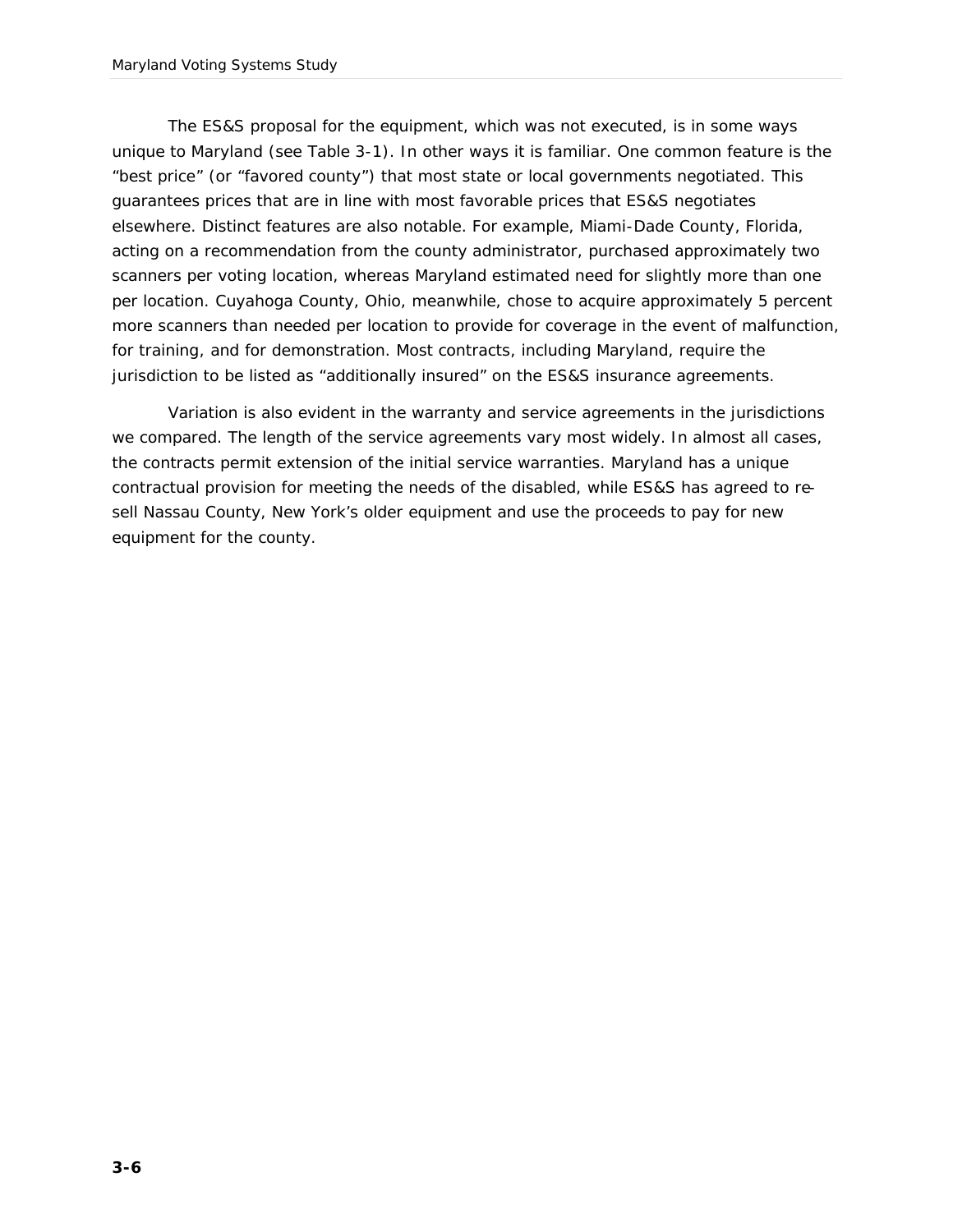The ES&S proposal for the equipment, which was not executed, is in some ways unique to Maryland (see Table 3-1). In other ways it is familiar. One common feature is the "best price" (or "favored county") that most state or local governments negotiated. This guarantees prices that are in line with most favorable prices that ES&S negotiates elsewhere. Distinct features are also notable. For example, Miami-Dade County, Florida, acting on a recommendation from the county administrator, purchased approximately two scanners per voting location, whereas Maryland estimated need for slightly more than one per location. Cuyahoga County, Ohio, meanwhile, chose to acquire approximately 5 percent more scanners than needed per location to provide for coverage in the event of malfunction, for training, and for demonstration. Most contracts, including Maryland, require the jurisdiction to be listed as "additionally insured" on the ES&S insurance agreements.

Variation is also evident in the warranty and service agreements in the jurisdictions we compared. The length of the service agreements vary most widely. In almost all cases, the contracts permit extension of the initial service warranties. Maryland has a unique contractual provision for meeting the needs of the disabled, while ES&S has agreed to resell Nassau County, New York's older equipment and use the proceeds to pay for new equipment for the county.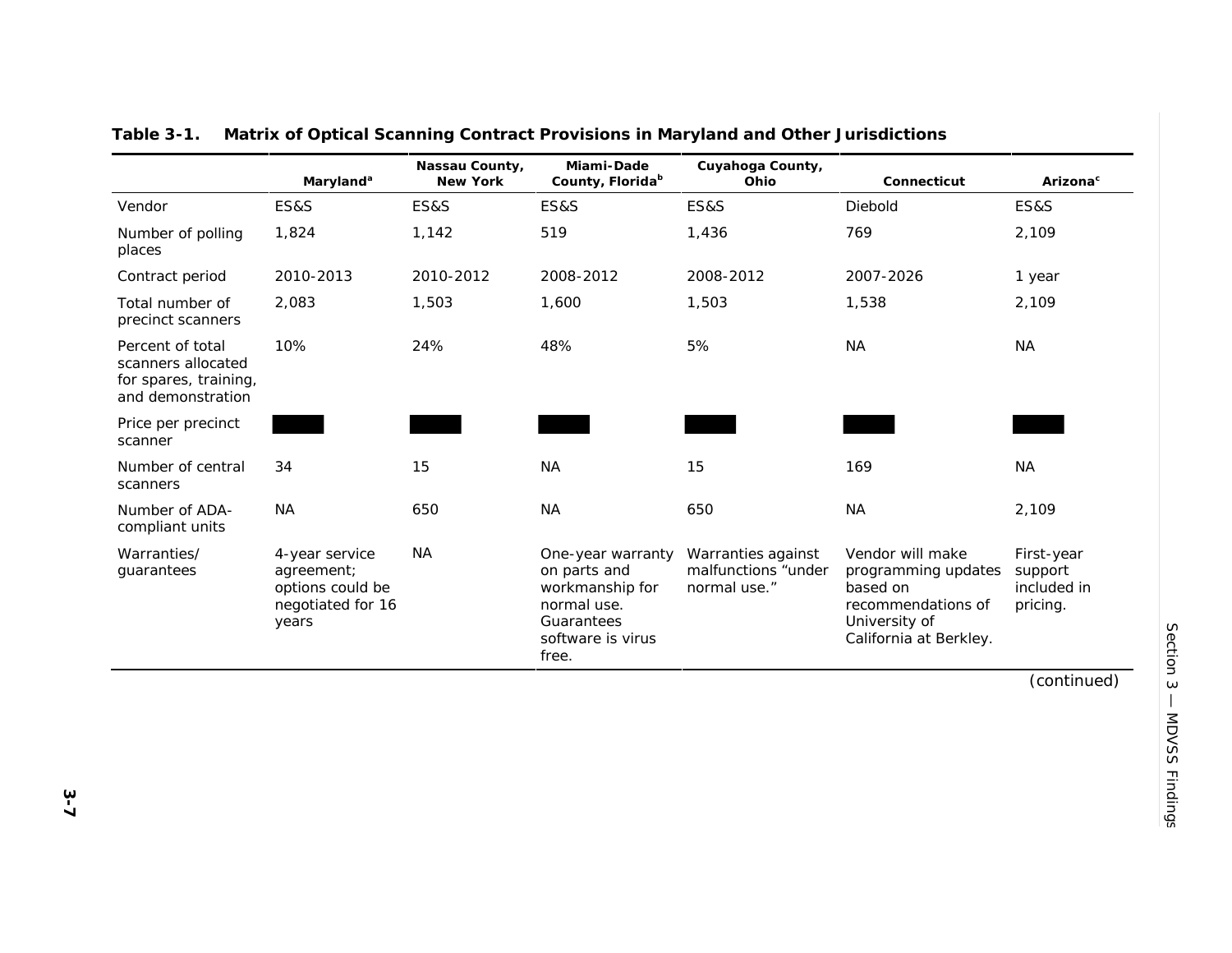|                                                                                      | Maryland <sup>a</sup>                                                          | Nassau County,<br>New York | Miami-Dade<br>County, Florida <sup>b</sup>                                                                      | Cuyahoga County,<br>Ohio                                  | Connecticut                                                                                                          | Arizona <sup>c</sup>                             |
|--------------------------------------------------------------------------------------|--------------------------------------------------------------------------------|----------------------------|-----------------------------------------------------------------------------------------------------------------|-----------------------------------------------------------|----------------------------------------------------------------------------------------------------------------------|--------------------------------------------------|
| Vendor                                                                               | ES&S                                                                           | <b>ES&amp;S</b>            | <b>ES&amp;S</b>                                                                                                 | <b>ES&amp;S</b>                                           | Diebold                                                                                                              | <b>ES&amp;S</b>                                  |
| Number of polling<br>places                                                          | 1,824                                                                          | 1,142                      | 519                                                                                                             | 1,436                                                     | 769                                                                                                                  | 2,109                                            |
| Contract period                                                                      | 2010-2013                                                                      | 2010-2012                  | 2008-2012                                                                                                       | 2008-2012                                                 | 2007-2026                                                                                                            | 1 year                                           |
| Total number of<br>precinct scanners                                                 | 2,083                                                                          | 1,503                      | 1,600                                                                                                           | 1,503                                                     | 1,538                                                                                                                | 2,109                                            |
| Percent of total<br>scanners allocated<br>for spares, training,<br>and demonstration | 10%                                                                            | 24%                        | 48%                                                                                                             | 5%                                                        | <b>NA</b>                                                                                                            | <b>NA</b>                                        |
| Price per precinct<br>scanner                                                        |                                                                                |                            |                                                                                                                 |                                                           |                                                                                                                      |                                                  |
| Number of central<br>scanners                                                        | 34                                                                             | 15                         | <b>NA</b>                                                                                                       | 15                                                        | 169                                                                                                                  | <b>NA</b>                                        |
| Number of ADA-<br>compliant units                                                    | <b>NA</b>                                                                      | 650                        | <b>NA</b>                                                                                                       | 650                                                       | <b>NA</b>                                                                                                            | 2,109                                            |
| Warranties/<br>quarantees                                                            | 4-year service<br>agreement;<br>options could be<br>negotiated for 16<br>years | <b>NA</b>                  | One-year warranty<br>on parts and<br>workmanship for<br>normal use.<br>Guarantees<br>software is virus<br>free. | Warranties against<br>malfunctions "under<br>normal use." | Vendor will make<br>programming updates<br>based on<br>recommendations of<br>University of<br>California at Berkley. | First-year<br>support<br>included in<br>pricing. |

**Table 3-1. Matrix of Optical Scanning Contract Provisions in Maryland and Other Jurisdictions**

(continued)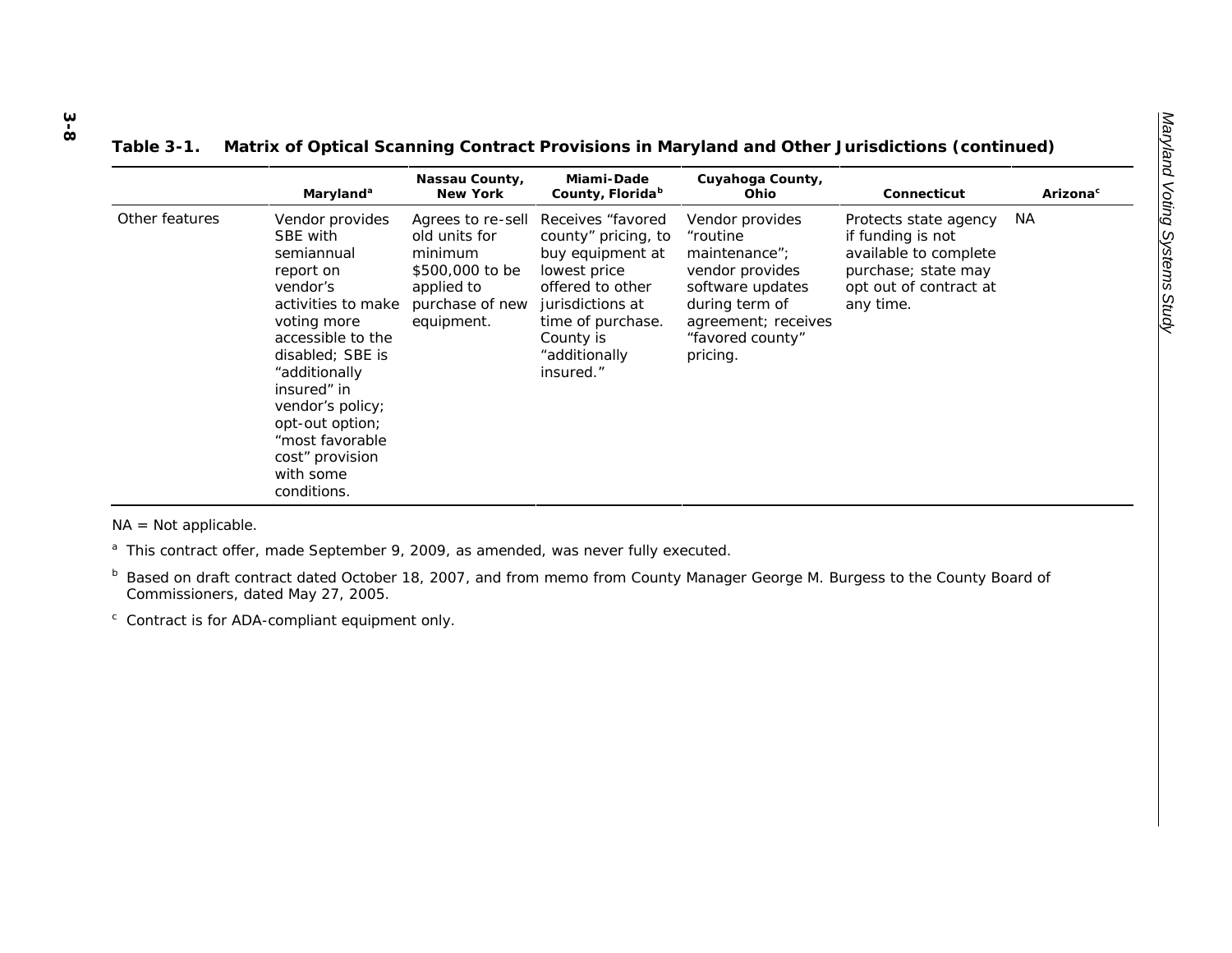| Table 3-1. |  | . Matrix of Optical Scanning Contract Provisions in Maryland and Other Jurisdictions (continued) |
|------------|--|--------------------------------------------------------------------------------------------------|
|            |  |                                                                                                  |

|                | Maryland <sup>a</sup>                                                                                                                                                                                                                                                                     | Nassau County,<br>New York                                                                                      | Miami-Dade<br>County, Florida <sup>b</sup>                                                                                                                                            | Cuyahoga County,<br>Ohio                                                                                                                                     | Connecticut                                                                                                                       | Arizona <sup>c</sup> |
|----------------|-------------------------------------------------------------------------------------------------------------------------------------------------------------------------------------------------------------------------------------------------------------------------------------------|-----------------------------------------------------------------------------------------------------------------|---------------------------------------------------------------------------------------------------------------------------------------------------------------------------------------|--------------------------------------------------------------------------------------------------------------------------------------------------------------|-----------------------------------------------------------------------------------------------------------------------------------|----------------------|
| Other features | Vendor provides<br>SBE with<br>semiannual<br>report on<br>vendor's<br>activities to make<br>voting more<br>accessible to the<br>disabled: SBE is<br>"additionally<br>insured" in<br>vendor's policy;<br>opt-out option;<br>"most favorable<br>cost" provision<br>with some<br>conditions. | Agrees to re-sell<br>old units for<br>minimum<br>\$500,000 to be<br>applied to<br>purchase of new<br>equipment. | Receives "favored"<br>county" pricing, to<br>buy equipment at<br>lowest price<br>offered to other<br>jurisdictions at<br>time of purchase.<br>County is<br>"additionally<br>insured." | Vendor provides<br>"routine<br>maintenance";<br>vendor provides<br>software updates<br>during term of<br>agreement; receives<br>"favored county"<br>pricing. | Protects state agency<br>if funding is not<br>available to complete<br>purchase; state may<br>opt out of contract at<br>any time. | NА                   |

NA = Not applicable.

 $a$  This contract offer, made September 9, 2009, as amended, was never fully executed.

b Based on draft contract dated October 18, 2007, and from memo from County Manager George M. Burgess to the County Board of Commissioners, dated May 27, 2005.

 $\degree$  Contract is for ADA-compliant equipment only.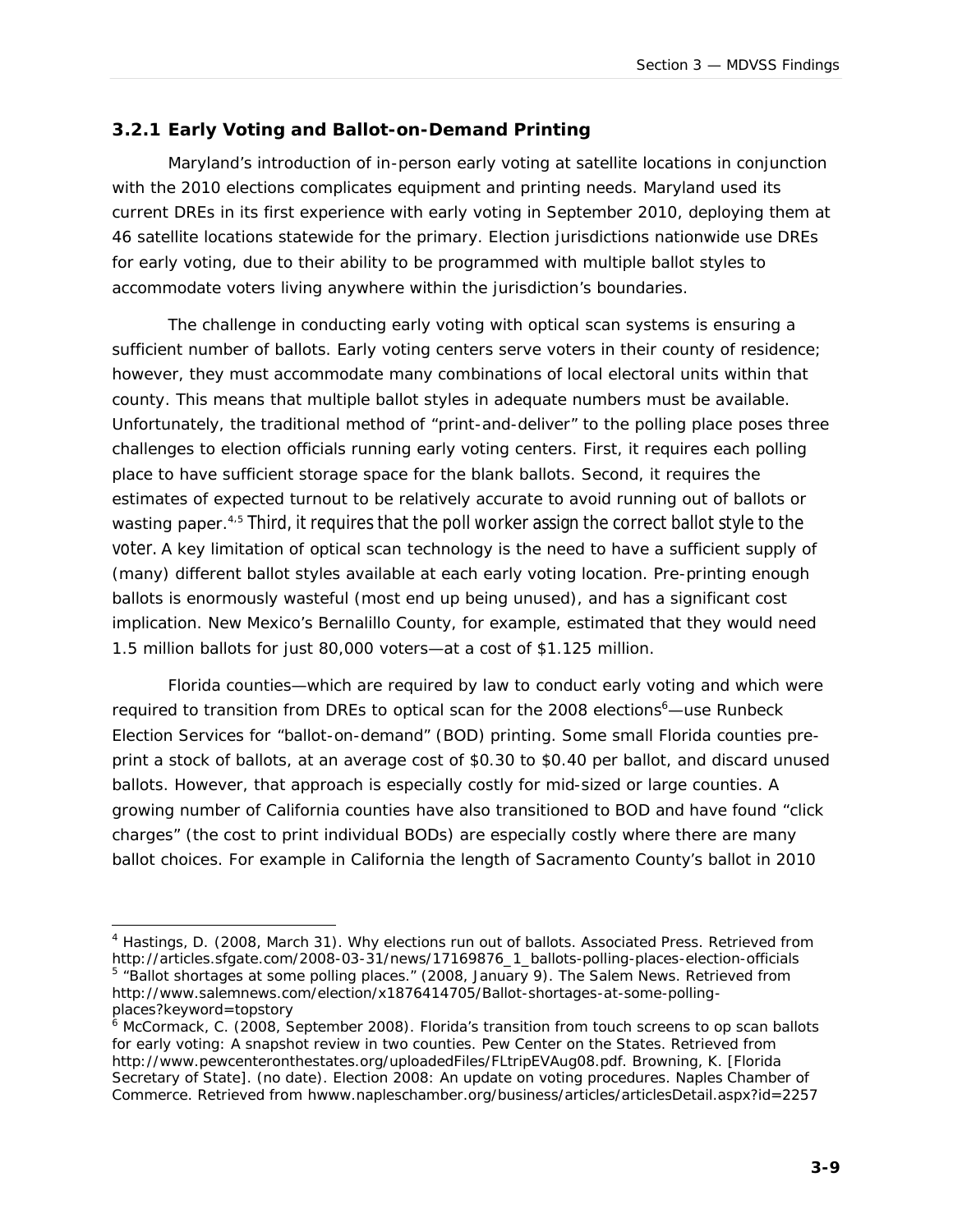#### *3.2.1 Early Voting and Ballot-on-Demand Printing*

Maryland's introduction of in-person early voting at satellite locations in conjunction with the 2010 elections complicates equipment and printing needs. Maryland used its current DREs in its first experience with early voting in September 2010, deploying them at 46 satellite locations statewide for the primary. Election jurisdictions nationwide use DREs for early voting, due to their ability to be programmed with multiple ballot styles to accommodate voters living anywhere within the jurisdiction's boundaries.

The challenge in conducting early voting with optical scan systems is ensuring a sufficient number of ballots. Early voting centers serve voters in their county of residence; however, they must accommodate many combinations of local electoral units within that county. This means that multiple ballot styles in adequate numbers must be available. Unfortunately, the traditional method of "print-and-deliver" to the polling place poses three challenges to election officials running early voting centers. First, it requires each polling place to have sufficient storage space for the blank ballots. Second, it requires the estimates of expected turnout to be relatively accurate to avoid running out of ballots or wasting paper. <sup>4</sup>,<sup>5</sup> Third, it requires that the poll worker assign the correct ballot style to the voter. A key limitation of optical scan technology is the need to have a sufficient supply of (many) different ballot styles available at each early voting location. Pre-printing enough ballots is enormously wasteful (most end up being unused), and has a significant cost implication. New Mexico's Bernalillo County, for example, estimated that they would need 1.5 million ballots for just 80,000 voters—at a cost of \$1.125 million.

Florida counties—which are required by law to conduct early voting and which were required to transition from DREs to optical scan for the 2008 elections<sup>6</sup>—use Runbeck Election Services for "ballot-on-demand" (BOD) printing. Some small Florida counties preprint a stock of ballots, at an average cost of \$0.30 to \$0.40 per ballot, and discard unused ballots. However, that approach is especially costly for mid-sized or large counties. A growing number of California counties have also transitioned to BOD and have found "click charges" (the cost to print individual BODs) are especially costly where there are many ballot choices. For example in California the length of Sacramento County's ballot in 2010

<sup>&</sup>lt;sup>4</sup> Hastings, D. (2008, March 31). Why elections run out of ballots. Associated Press. Retrieved from http://articles.sfgate.com/2008-03-31/news/17169876\_1\_ballots-polling-places-election-officials <sup>5</sup> "Ballot shortages at some polling places." (2008, January 9). The Salem News. Retrieved from http://www.salemnews.com/election/x1876414705/Ballot-shortages-at-some-pollingplaces?keyword=topstory

<sup>6</sup> McCormack, C. (2008, September 2008). *Florida's transition from touch screens to op scan ballots for early voting: A snapshot review in two counties.* Pew Center on the States. Retrieved from http://www.pewcenteronthestates.org/uploadedFiles/FLtripEVAug08.pdf. Browning, K. [Florida Secretary of State]. (no date). *Election 2008: An update on voting procedures.* Naples Chamber of Commerce. Retrieved from hwww.napleschamber.org/business/articles/articlesDetail.aspx?id=2257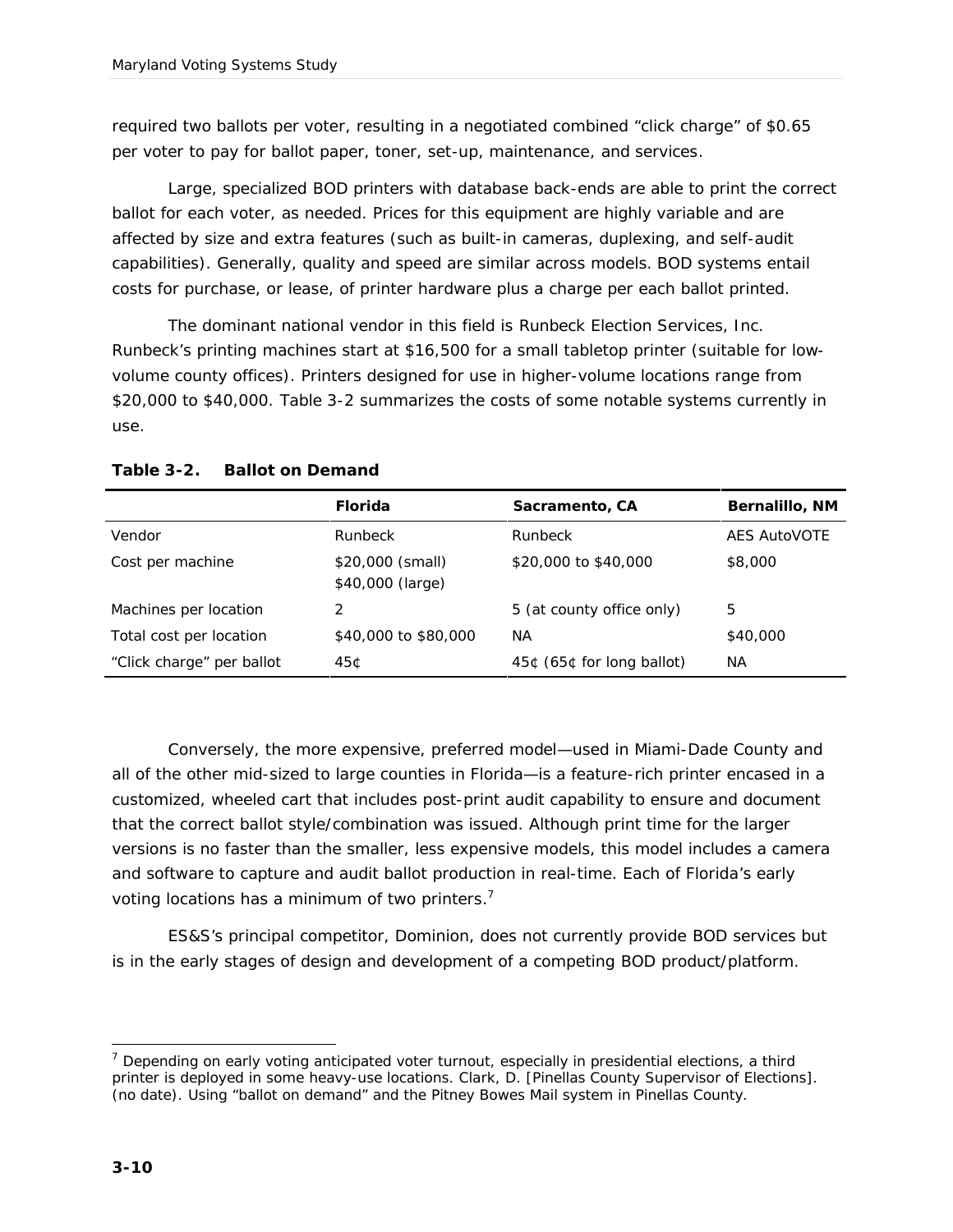required two ballots per voter, resulting in a negotiated combined "click charge" of \$0.65 per voter to pay for ballot paper, toner, set-up, maintenance, and services.

Large, specialized BOD printers with database back-ends are able to print the correct ballot for each voter, as needed. Prices for this equipment are highly variable and are affected by size and extra features (such as built-in cameras, duplexing, and self-audit capabilities). Generally, quality and speed are similar across models. BOD systems entail costs for purchase, or lease, of printer hardware plus a charge per each ballot printed.

The dominant national vendor in this field is Runbeck Election Services, Inc. Runbeck's printing machines start at \$16,500 for a small tabletop printer (suitable for lowvolume county offices). Printers designed for use in higher-volume locations range from \$20,000 to \$40,000. Table 3-2 summarizes the costs of some notable systems currently in use.

|                           | Florida                              | Sacramento, CA            | Bernalillo, NM      |
|---------------------------|--------------------------------------|---------------------------|---------------------|
| Vendor                    | <b>Runbeck</b>                       | Runbeck                   | <b>AES AutoVOTE</b> |
| Cost per machine          | \$20,000 (small)<br>\$40,000 (large) | \$20,000 to \$40,000      | \$8,000             |
| Machines per location     |                                      | 5 (at county office only) | 5                   |
| Total cost per location   | \$40,000 to \$80,000                 | NA.                       | \$40,000            |
| "Click charge" per ballot | 45¢                                  | 45¢ (65¢ for long ballot) | NА                  |

#### **Table 3-2. Ballot on Demand**

Conversely, the more expensive, preferred model—used in Miami-Dade County and all of the other mid-sized to large counties in Florida—is a feature-rich printer encased in a customized, wheeled cart that includes post-print audit capability to ensure and document that the correct ballot style/combination was issued. Although print time for the larger versions is no faster than the smaller, less expensive models, this model includes a camera and software to capture and audit ballot production in real-time. Each of Florida's early voting locations has a minimum of two printers.<sup>7</sup>

ES&S's principal competitor, Dominion, does not currently provide BOD services but is in the early stages of design and development of a competing BOD product/platform.

<sup>-</sup> $<sup>7</sup>$  Depending on early voting anticipated voter turnout, especially in presidential elections, a third</sup> printer is deployed in some heavy-use locations. Clark, D. [Pinellas County Supervisor of Elections]. (no date). *Using "ballot on demand" and the Pitney Bowes Mail system in Pinellas County*.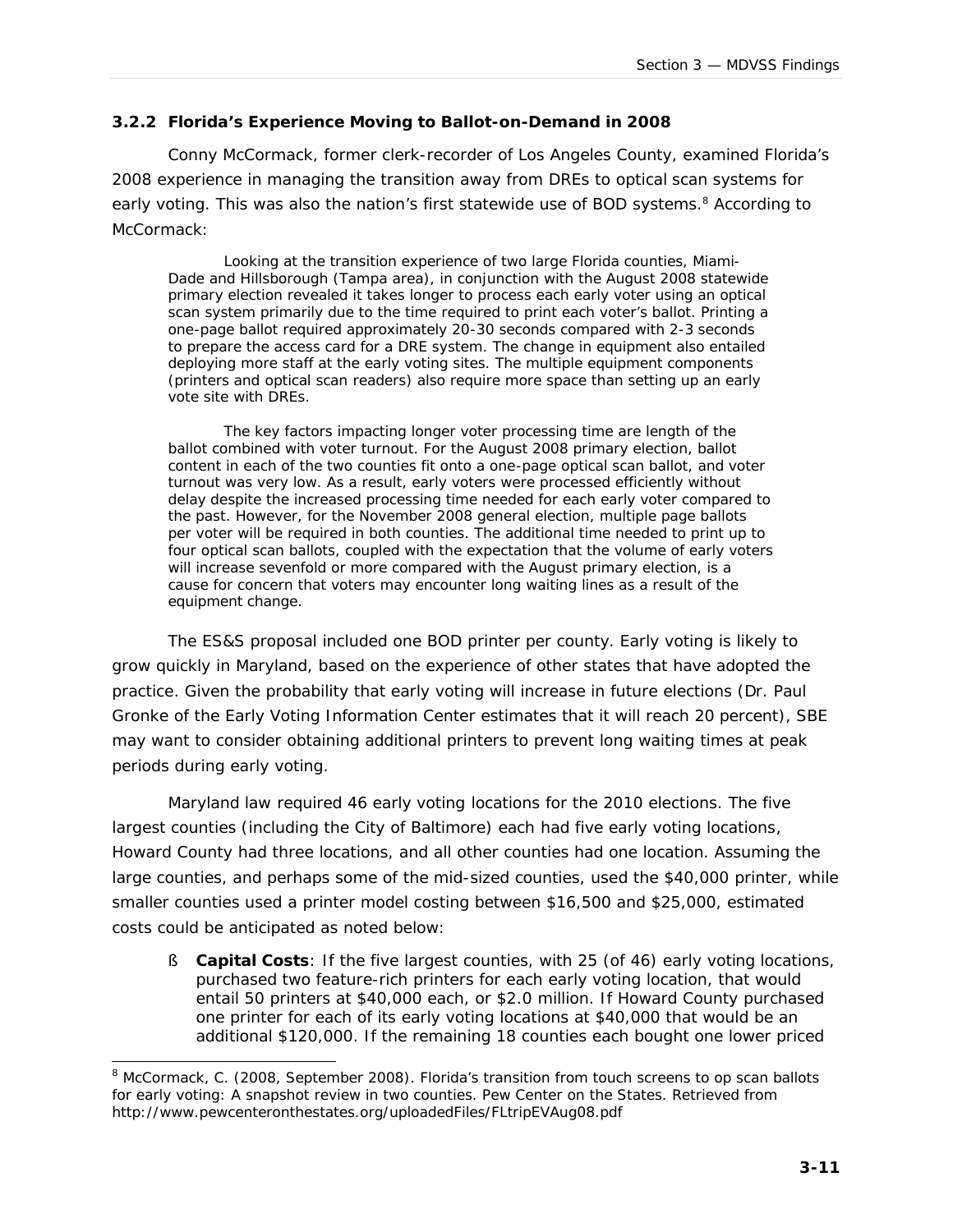#### **3.2.2 Florida's Experience Moving to Ballot-on-Demand in 2008**

Conny McCormack, former clerk-recorder of Los Angeles County, examined Florida's 2008 experience in managing the transition away from DREs to optical scan systems for early voting. This was also the nation's first statewide use of BOD systems.<sup>8</sup> According to McCormack:

*Looking at the transition experience of two large Florida counties, Miami-Dade and Hillsborough (Tampa area), in conjunction with the August 2008 statewide primary election revealed it takes longer to process each early voter using an optical scan system primarily due to the time required to print each voter's ballot. Printing a one-page ballot required approximately 20-30 seconds compared with 2-3 seconds*  to prepare the access card for a DRE system. The change in equipment also entailed *deploying more staff at the early voting sites. The multiple equipment components (printers and optical scan readers) also require more space than setting up an early vote site with DREs.*

*The key factors impacting longer voter processing time are length of the ballot combined with voter turnout. For the August 2008 primary election, ballot content in each of the two counties fit onto a one-page optical scan ballot, and voter turnout was very low. As a result, early voters were processed efficiently without delay despite the increased processing time needed for each early voter compared to the past. However, for the November 2008 general election, multiple page ballots per voter will be required in both counties. The additional time needed to print up to four optical scan ballots, coupled with the expectation that the volume of early voters*  will increase sevenfold or more compared with the August primary election, is a *cause for concern that voters may encounter long waiting lines as a result of the equipment change.*

The ES&S proposal included one BOD printer per county. Early voting is likely to grow quickly in Maryland, based on the experience of other states that have adopted the practice. Given the probability that early voting will increase in future elections (Dr. Paul Gronke of the Early Voting Information Center estimates that it will reach 20 percent), SBE may want to consider obtaining additional printers to prevent long waiting times at peak periods during early voting.

Maryland law required 46 early voting locations for the 2010 elections. The five largest counties (including the City of Baltimore) each had five early voting locations, Howard County had three locations, and all other counties had one location. Assuming the large counties, and perhaps some of the mid-sized counties, used the \$40,000 printer, while smaller counties used a printer model costing between \$16,500 and \$25,000, estimated costs could be anticipated as noted below:

§ **Capital Costs**: If the five largest counties, with 25 (of 46) early voting locations, purchased two feature-rich printers for each early voting location, that would entail 50 printers at \$40,000 each, or \$2.0 million. If Howard County purchased one printer for each of its early voting locations at \$40,000 that would be an additional \$120,000. If the remaining 18 counties each bought one lower priced

j  $8$  McCormack, C. (2008, September 2008). Florida's transition from touch screens to op scan ballots for early voting: A snapshot review in two counties. Pew Center on the States. Retrieved from http://www.pewcenteronthestates.org/uploadedFiles/FLtripEVAug08.pdf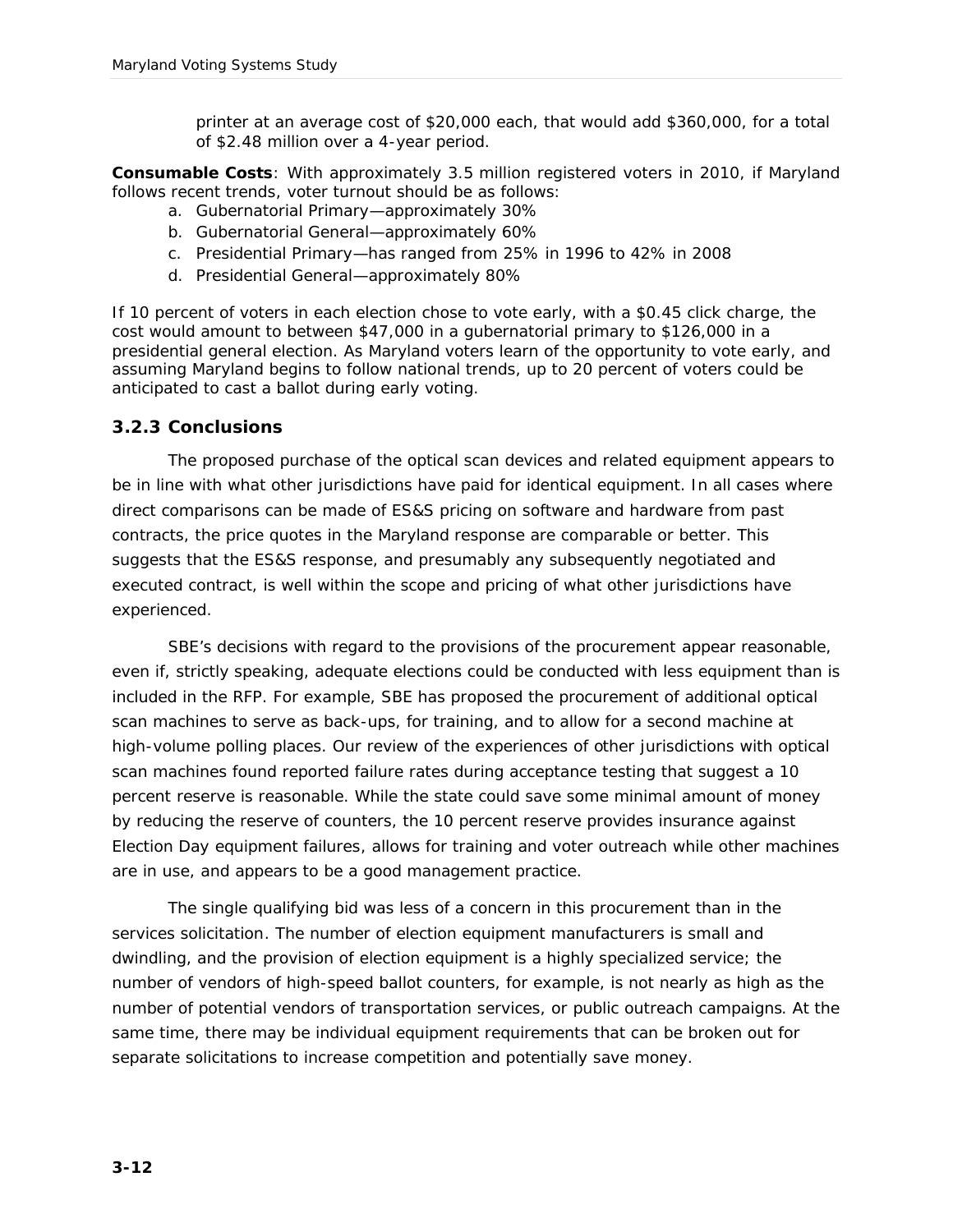printer at an average cost of \$20,000 each, that would add \$360,000, for a total of \$2.48 million over a 4-year period.

**Consumable Costs**: With approximately 3.5 million registered voters in 2010, if Maryland follows recent trends, voter turnout should be as follows:

- a. Gubernatorial Primary—approximately 30%
- b. Gubernatorial General—approximately 60%
- c. Presidential Primary—has ranged from 25% in 1996 to 42% in 2008
- d. Presidential General—approximately 80%

If 10 percent of voters in each election chose to vote early, with a \$0.45 click charge, the cost would amount to between \$47,000 in a gubernatorial primary to \$126,000 in a presidential general election. As Maryland voters learn of the opportunity to vote early, and assuming Maryland begins to follow national trends, up to 20 percent of voters could be anticipated to cast a ballot during early voting.

#### *3.2.3 Conclusions*

The proposed purchase of the optical scan devices and related equipment appears to be in line with what other jurisdictions have paid for identical equipment. In all cases where direct comparisons can be made of ES&S pricing on software and hardware from past contracts, the price quotes in the Maryland response are comparable or better. This suggests that the ES&S response, and presumably any subsequently negotiated and executed contract, is well within the scope and pricing of what other jurisdictions have experienced.

SBE's decisions with regard to the provisions of the procurement appear reasonable, even if, strictly speaking, adequate elections could be conducted with less equipment than is included in the RFP. For example, SBE has proposed the procurement of additional optical scan machines to serve as back-ups, for training, and to allow for a second machine at high-volume polling places. Our review of the experiences of other jurisdictions with optical scan machines found reported failure rates during acceptance testing that suggest a 10 percent reserve is reasonable. While the state could save some minimal amount of money by reducing the reserve of counters, the 10 percent reserve provides insurance against Election Day equipment failures, allows for training and voter outreach while other machines are in use, and appears to be a good management practice.

The single qualifying bid was less of a concern in this procurement than in the services solicitation. The number of election equipment manufacturers is small and dwindling, and the provision of election equipment is a highly specialized service; the number of vendors of high-speed ballot counters, for example, is not nearly as high as the number of potential vendors of transportation services, or public outreach campaigns. At the same time, there may be individual equipment requirements that can be broken out for separate solicitations to increase competition and potentially save money.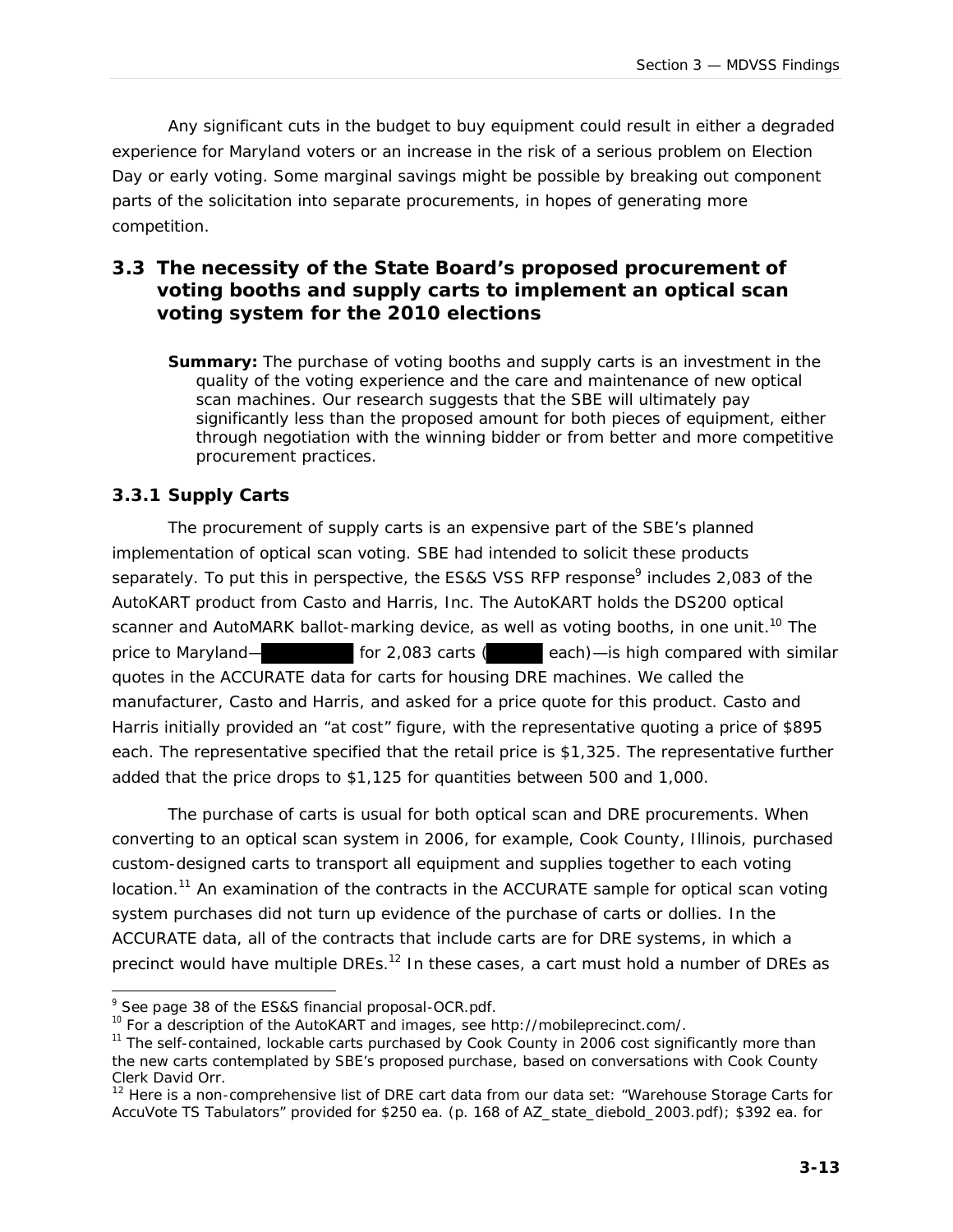Any significant cuts in the budget to buy equipment could result in either a degraded experience for Maryland voters or an increase in the risk of a serious problem on Election Day or early voting. Some marginal savings might be possible by breaking out component parts of the solicitation into separate procurements, in hopes of generating more competition.

#### **3.3 The necessity of the State Board's proposed procurement of voting booths and supply carts to implement an optical scan voting system for the 2010 elections**

**Summary:** The purchase of voting booths and supply carts is an investment in the quality of the voting experience and the care and maintenance of new optical scan machines. Our research suggests that the SBE will ultimately pay significantly less than the proposed amount for both pieces of equipment, either through negotiation with the winning bidder or from better and more competitive procurement practices.

#### *3.3.1 Supply Carts*

j

The procurement of supply carts is an expensive part of the SBE's planned implementation of optical scan voting. SBE had intended to solicit these products separately. To put this in perspective, the ES&S VSS RFP response<sup>9</sup> includes 2,083 of the AutoKART product from Casto and Harris, Inc. The AutoKART holds the DS200 optical scanner and AutoMARK ballot-marking device, as well as voting booths, in one unit.<sup>10</sup> The price to Maryland— for 2,083 carts ( each)—is high compared with similar quotes in the ACCURATE data for carts for housing DRE machines. We called the manufacturer, Casto and Harris, and asked for a price quote for this product. Casto and Harris initially provided an "at cost" figure, with the representative quoting a price of \$895 each. The representative specified that the retail price is \$1,325. The representative further added that the price drops to \$1,125 for quantities between 500 and 1,000.

The purchase of carts is usual for both optical scan and DRE procurements. When converting to an optical scan system in 2006, for example, Cook County, Illinois, purchased custom-designed carts to transport all equipment and supplies together to each voting location.<sup>11</sup> An examination of the contracts in the ACCURATE sample for optical scan voting system purchases did not turn up evidence of the purchase of carts or dollies. In the ACCURATE data, all of the contracts that include carts are for DRE systems, in which a precinct would have multiple DREs.<sup>12</sup> In these cases, a cart must hold a number of DREs as

<sup>&</sup>lt;sup>9</sup> See page 38 of the ES&S financial proposal-OCR.pdf.

<sup>&</sup>lt;sup>10</sup> For a description of the AutoKART and images, see http://mobileprecinct.com/.

<sup>&</sup>lt;sup>11</sup> The self-contained, lockable carts purchased by Cook County in 2006 cost significantly more than the new carts contemplated by SBE's proposed purchase, based on conversations with Cook County Clerk David Orr.

<sup>&</sup>lt;sup>12</sup> Here is a non-comprehensive list of DRE cart data from our data set: "Warehouse Storage Carts for AccuVote TS Tabulators" provided for \$250 ea. (p. 168 of AZ\_state\_diebold\_2003.pdf); \$392 ea. for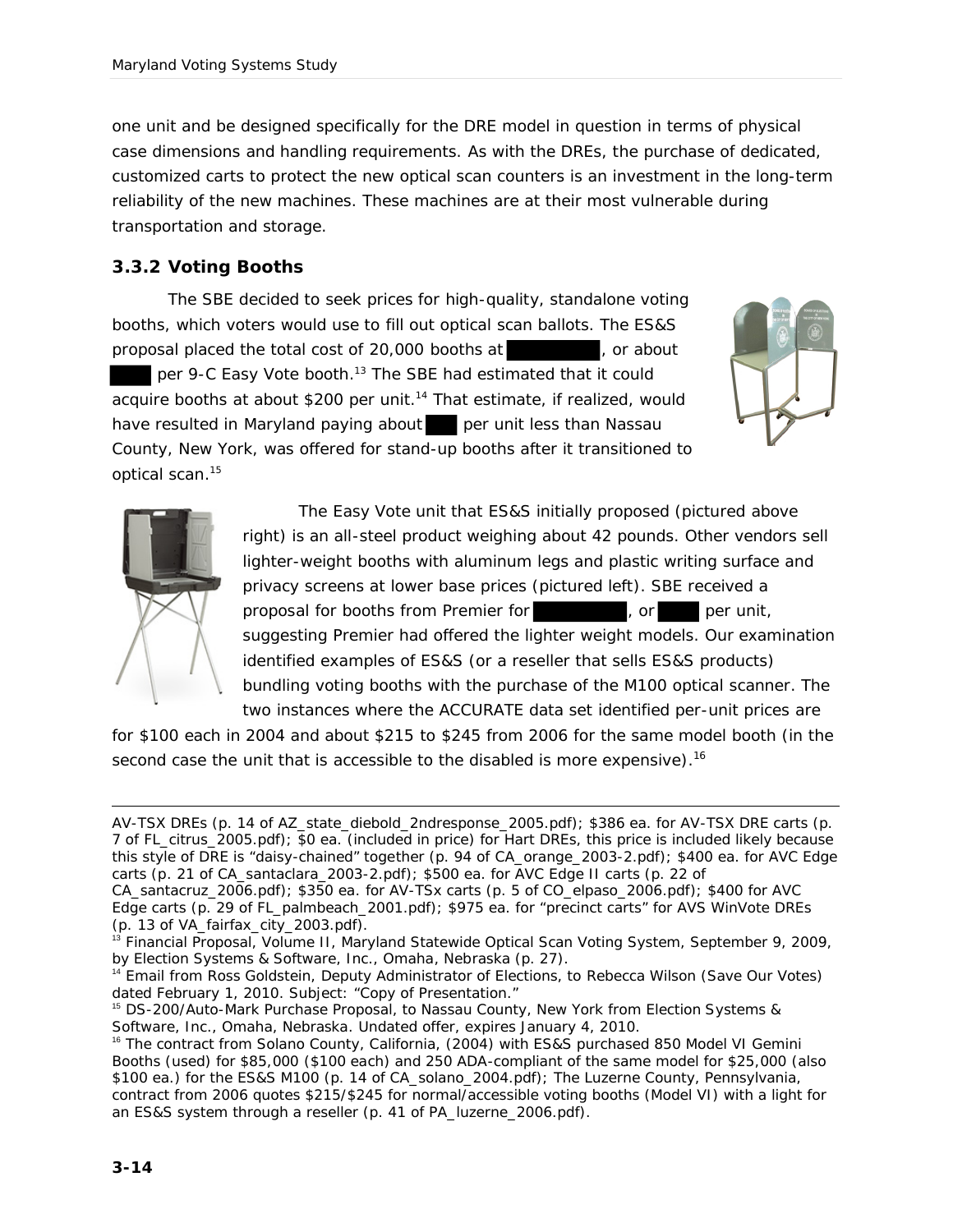one unit and be designed specifically for the DRE model in question in terms of physical case dimensions and handling requirements. As with the DREs, the purchase of dedicated, customized carts to protect the new optical scan counters is an investment in the long-term reliability of the new machines. These machines are at their most vulnerable during transportation and storage.

#### *3.3.2 Voting Booths*

The SBE decided to seek prices for high-quality, standalone voting booths, which voters would use to fill out optical scan ballots. The ES&S proposal placed the total cost of 20,000 booths at , or about per 9-C Easy Vote booth. <sup>13</sup> The SBE had estimated that it could acquire booths at about \$200 per unit.<sup>14</sup> That estimate, if realized, would have resulted in Maryland paying about per unit less than Nassau County, New York, was offered for stand-up booths after it transitioned to optical scan. 15





The Easy Vote unit that ES&S initially proposed (pictured above right) is an all-steel product weighing about 42 pounds. Other vendors sell lighter-weight booths with aluminum legs and plastic writing surface and privacy screens at lower base prices (pictured left). SBE received a proposal for booths from Premier for **the contract of the set of the per** unit, suggesting Premier had offered the lighter weight models. Our examination identified examples of ES&S (or a reseller that sells ES&S products) bundling voting booths with the purchase of the M100 optical scanner. The two instances where the ACCURATE data set identified per-unit prices are

for \$100 each in 2004 and about \$215 to \$245 from 2006 for the same model booth (in the second case the unit that is accessible to the disabled is more expensive).<sup>16</sup>

AV-TSX DREs (p. 14 of AZ\_state\_diebold\_2ndresponse\_2005.pdf); \$386 ea. for AV-TSX DRE carts (p. 7 of FL\_citrus\_2005.pdf); \$0 ea. (included in price) for Hart DREs, this price is included likely because this style of DRE is "daisy-chained" together (p. 94 of CA\_orange\_2003-2.pdf); \$400 ea. for AVC Edge carts (p. 21 of CA\_santaclara\_2003-2.pdf); \$500 ea. for AVC Edge II carts (p. 22 of CA\_santacruz\_2006.pdf); \$350 ea. for AV-TSx carts (p. 5 of CO\_elpaso\_2006.pdf); \$400 for AVC Edge carts (p. 29 of FL\_palmbeach\_2001.pdf); \$975 ea. for "precinct carts" for AVS WinVote DREs

-

<sup>(</sup>p. 13 of VA\_fairfax\_city\_2003.pdf).

<sup>&</sup>lt;sup>13</sup> Financial Proposal, Volume II, Maryland Statewide Optical Scan Voting System, September 9, 2009, by Election Systems & Software, Inc., Omaha, Nebraska (p. 27).

<sup>&</sup>lt;sup>14</sup> Email from Ross Goldstein, Deputy Administrator of Elections, to Rebecca Wilson (Save Our Votes) dated February 1, 2010. Subject: "Copy of Presentation."

<sup>15</sup> DS-200/Auto-Mark Purchase Proposal, to Nassau County, New York from Election Systems & Software, Inc., Omaha, Nebraska. Undated offer, expires January 4, 2010.

<sup>&</sup>lt;sup>16</sup> The contract from Solano County, California, (2004) with ES&S purchased 850 Model VI Gemini Booths (used) for \$85,000 (\$100 each) and 250 ADA-compliant of the same model for \$25,000 (also \$100 ea.) for the ES&S M100 (p. 14 of CA\_solano\_2004.pdf); The Luzerne County, Pennsylvania, contract from 2006 quotes \$215/\$245 for normal/accessible voting booths (Model VI) with a light for an ES&S system through a reseller (p. 41 of PA\_luzerne\_2006.pdf).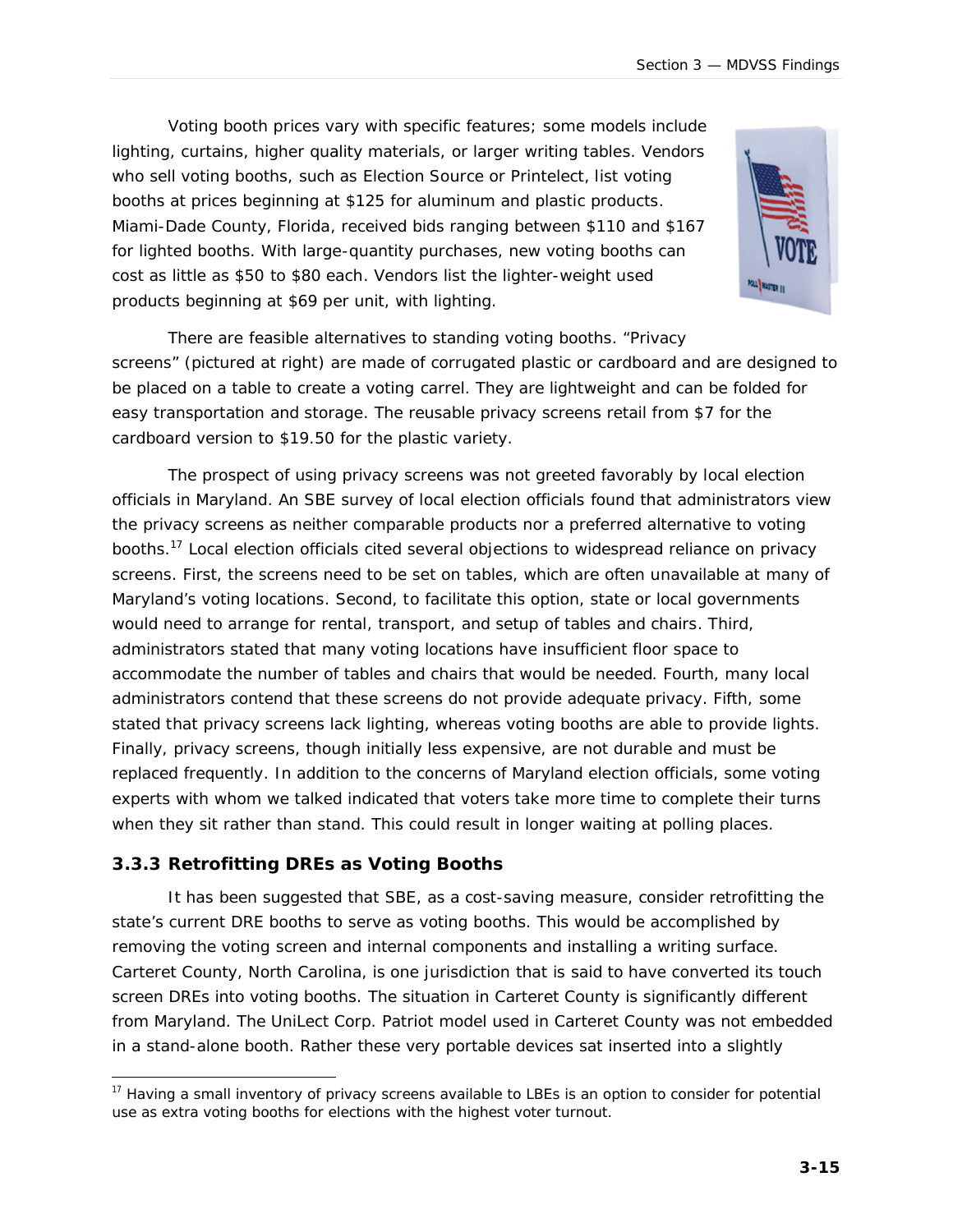Voting booth prices vary with specific features; some models include lighting, curtains, higher quality materials, or larger writing tables. Vendors who sell voting booths, such as Election Source or Printelect, list voting booths at prices beginning at \$125 for aluminum and plastic products. Miami-Dade County, Florida, received bids ranging between \$110 and \$167 for lighted booths. With large-quantity purchases, new voting booths can cost as little as \$50 to \$80 each. Vendors list the lighter-weight used products beginning at \$69 per unit, with lighting.



There are feasible alternatives to standing voting booths. "Privacy screens" (pictured at right) are made of corrugated plastic or cardboard and are designed to be placed on a table to create a voting carrel. They are lightweight and can be folded for easy transportation and storage. The reusable privacy screens retail from \$7 for the cardboard version to \$19.50 for the plastic variety.

The prospect of using privacy screens was not greeted favorably by local election officials in Maryland. An SBE survey of local election officials found that administrators view the privacy screens as neither comparable products nor a preferred alternative to voting booths.<sup>17</sup> Local election officials cited several objections to widespread reliance on privacy screens. First, the screens need to be set on tables, which are often unavailable at many of Maryland's voting locations. Second, to facilitate this option, state or local governments would need to arrange for rental, transport, and setup of tables and chairs. Third, administrators stated that many voting locations have insufficient floor space to accommodate the number of tables and chairs that would be needed. Fourth, many local administrators contend that these screens do not provide adequate privacy. Fifth, some stated that privacy screens lack lighting, whereas voting booths are able to provide lights. Finally, privacy screens, though initially less expensive, are not durable and must be replaced frequently. In addition to the concerns of Maryland election officials, some voting experts with whom we talked indicated that voters take more time to complete their turns when they sit rather than stand. This could result in longer waiting at polling places.

#### *3.3.3 Retrofitting DREs as Voting Booths*

It has been suggested that SBE, as a cost-saving measure, consider retrofitting the state's current DRE booths to serve as voting booths. This would be accomplished by removing the voting screen and internal components and installing a writing surface. Carteret County, North Carolina, is one jurisdiction that is said to have converted its touch screen DREs into voting booths. The situation in Carteret County is significantly different from Maryland. The UniLect Corp. Patriot model used in Carteret County was not embedded in a stand-alone booth. Rather these very portable devices sat inserted into a slightly

l  $17$  Having a small inventory of privacy screens available to LBEs is an option to consider for potential use as extra voting booths for elections with the highest voter turnout.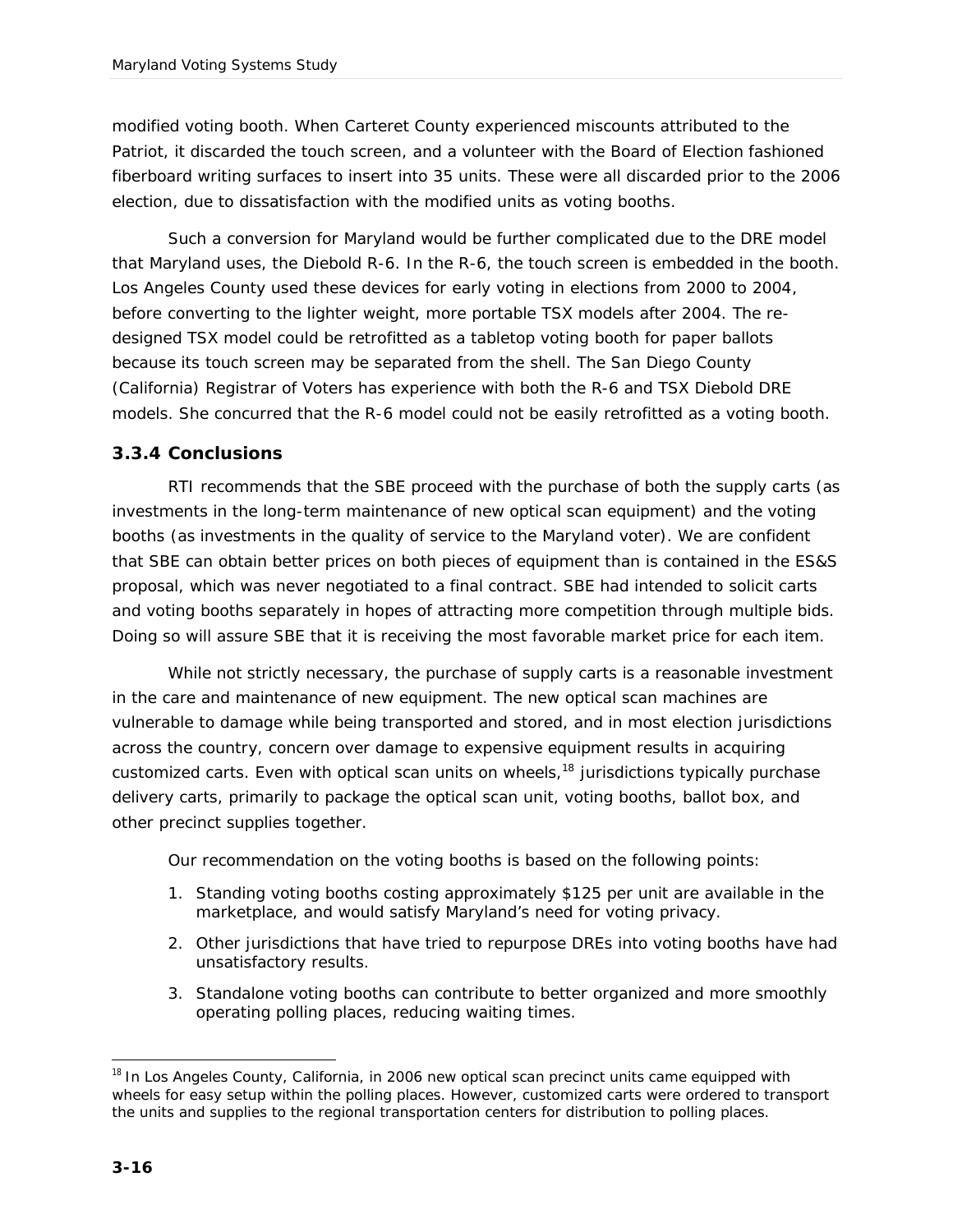modified voting booth. When Carteret County experienced miscounts attributed to the Patriot, it discarded the touch screen, and a volunteer with the Board of Election fashioned fiberboard writing surfaces to insert into 35 units. These were all discarded prior to the 2006 election, due to dissatisfaction with the modified units as voting booths.

Such a conversion for Maryland would be further complicated due to the DRE model that Maryland uses, the Diebold R-6. In the R-6, the touch screen is embedded in the booth. Los Angeles County used these devices for early voting in elections from 2000 to 2004, before converting to the lighter weight, more portable TSX models after 2004. The redesigned TSX model could be retrofitted as a tabletop voting booth for paper ballots because its touch screen may be separated from the shell. The San Diego County (California) Registrar of Voters has experience with both the R-6 and TSX Diebold DRE models. She concurred that the R-6 model could not be easily retrofitted as a voting booth.

#### *3.3.4 Conclusions*

RTI recommends that the SBE proceed with the purchase of both the supply carts (as investments in the long-term maintenance of new optical scan equipment) and the voting booths (as investments in the quality of service to the Maryland voter). We are confident that SBE can obtain better prices on both pieces of equipment than is contained in the ES&S proposal, which was never negotiated to a final contract. SBE had intended to solicit carts and voting booths separately in hopes of attracting more competition through multiple bids. Doing so will assure SBE that it is receiving the most favorable market price for each item.

While not strictly necessary, the purchase of supply carts is a reasonable investment in the care and maintenance of new equipment. The new optical scan machines are vulnerable to damage while being transported and stored, and in most election jurisdictions across the country, concern over damage to expensive equipment results in acquiring customized carts. Even with optical scan units on wheels, $18$  jurisdictions typically purchase delivery carts, primarily to package the optical scan unit, voting booths, ballot box, and other precinct supplies together.

Our recommendation on the voting booths is based on the following points:

- 1. Standing voting booths costing approximately \$125 per unit are available in the marketplace, and would satisfy Maryland's need for voting privacy.
- 2. Other jurisdictions that have tried to repurpose DREs into voting booths have had unsatisfactory results.
- 3. Standalone voting booths can contribute to better organized and more smoothly operating polling places, reducing waiting times.

j <sup>18</sup> In Los Angeles County, California, in 2006 new optical scan precinct units came equipped with wheels for easy setup within the polling places. However, customized carts were ordered to transport the units and supplies to the regional transportation centers for distribution to polling places.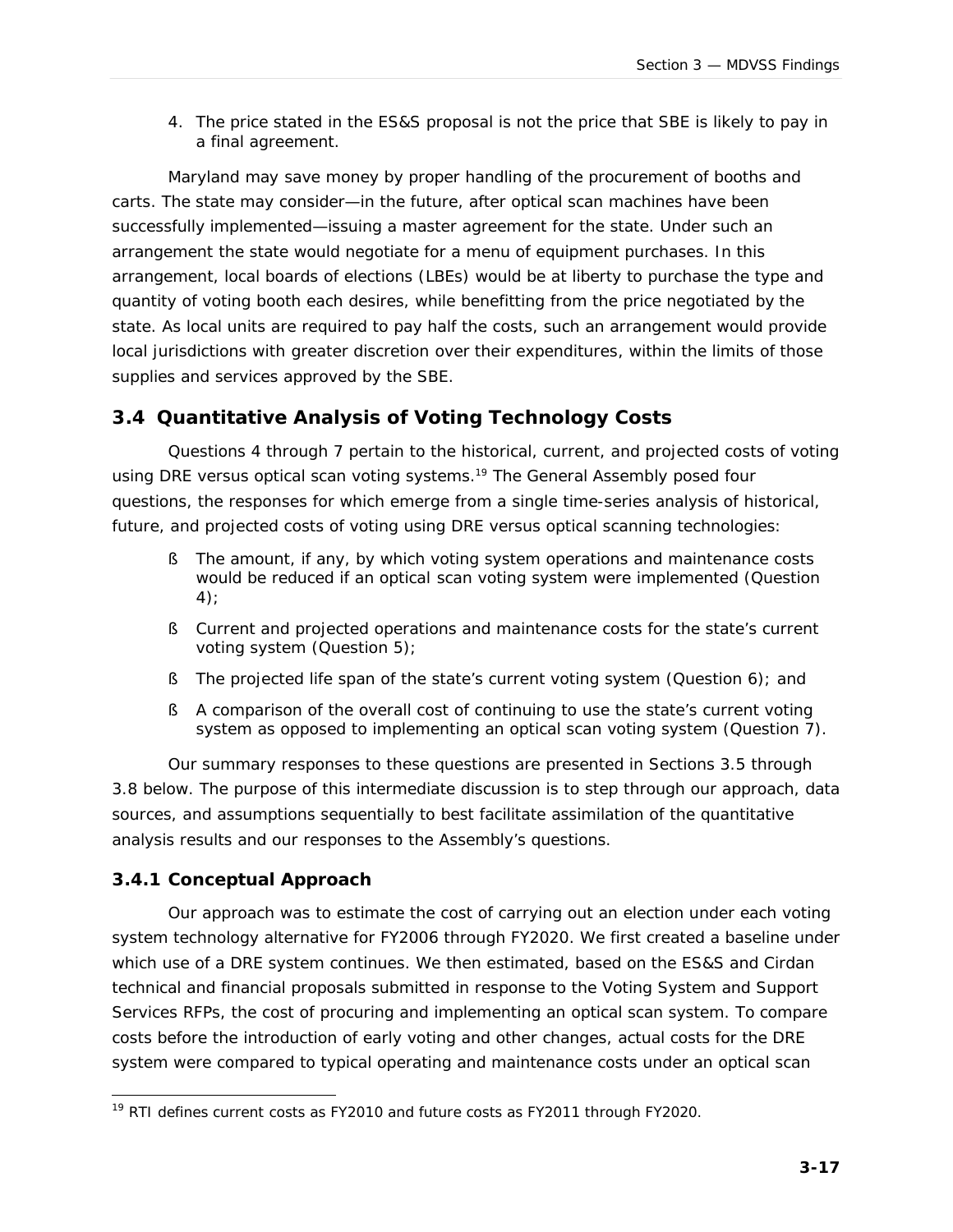4. The price stated in the ES&S proposal is not the price that SBE is likely to pay in a final agreement.

Maryland may save money by proper handling of the procurement of booths and carts. The state may consider—in the future, after optical scan machines have been successfully implemented—issuing a master agreement for the state. Under such an arrangement the state would negotiate for a menu of equipment purchases. In this arrangement, local boards of elections (LBEs) would be at liberty to purchase the type and quantity of voting booth each desires, while benefitting from the price negotiated by the state. As local units are required to pay half the costs, such an arrangement would provide local jurisdictions with greater discretion over their expenditures, within the limits of those supplies and services approved by the SBE.

## **3.4 Quantitative Analysis of Voting Technology Costs**

Questions 4 through 7 pertain to the historical, current, and projected costs of voting using DRE versus optical scan voting systems.<sup>19</sup> The General Assembly posed four questions, the responses for which emerge from a single time-series analysis of historical, future, and projected costs of voting using DRE versus optical scanning technologies:

- § The amount, if any, by which voting system operations and maintenance costs would be reduced if an optical scan voting system were implemented (Question 4);
- § Current and projected operations and maintenance costs for the state's current voting system (Question 5);
- § The projected life span of the state's current voting system (Question 6); and
- § A comparison of the overall cost of continuing to use the state's current voting system as opposed to implementing an optical scan voting system (Question 7).

Our summary responses to these questions are presented in Sections 3.5 through 3.8 below. The purpose of this intermediate discussion is to step through our approach, data sources, and assumptions sequentially to best facilitate assimilation of the quantitative analysis results and our responses to the Assembly's questions.

#### *3.4.1 Conceptual Approach*

Our approach was to estimate the cost of carrying out an election under each voting system technology alternative for FY2006 through FY2020. We first created a baseline under which use of a DRE system continues. We then estimated, based on the ES&S and Cirdan technical and financial proposals submitted in response to the Voting System and Support Services RFPs, the cost of procuring and implementing an optical scan system. To compare costs before the introduction of early voting and other changes, actual costs for the DRE system were compared to typical operating and maintenance costs under an optical scan

j <sup>19</sup> RTI defines current costs as FY2010 and future costs as FY2011 through FY2020.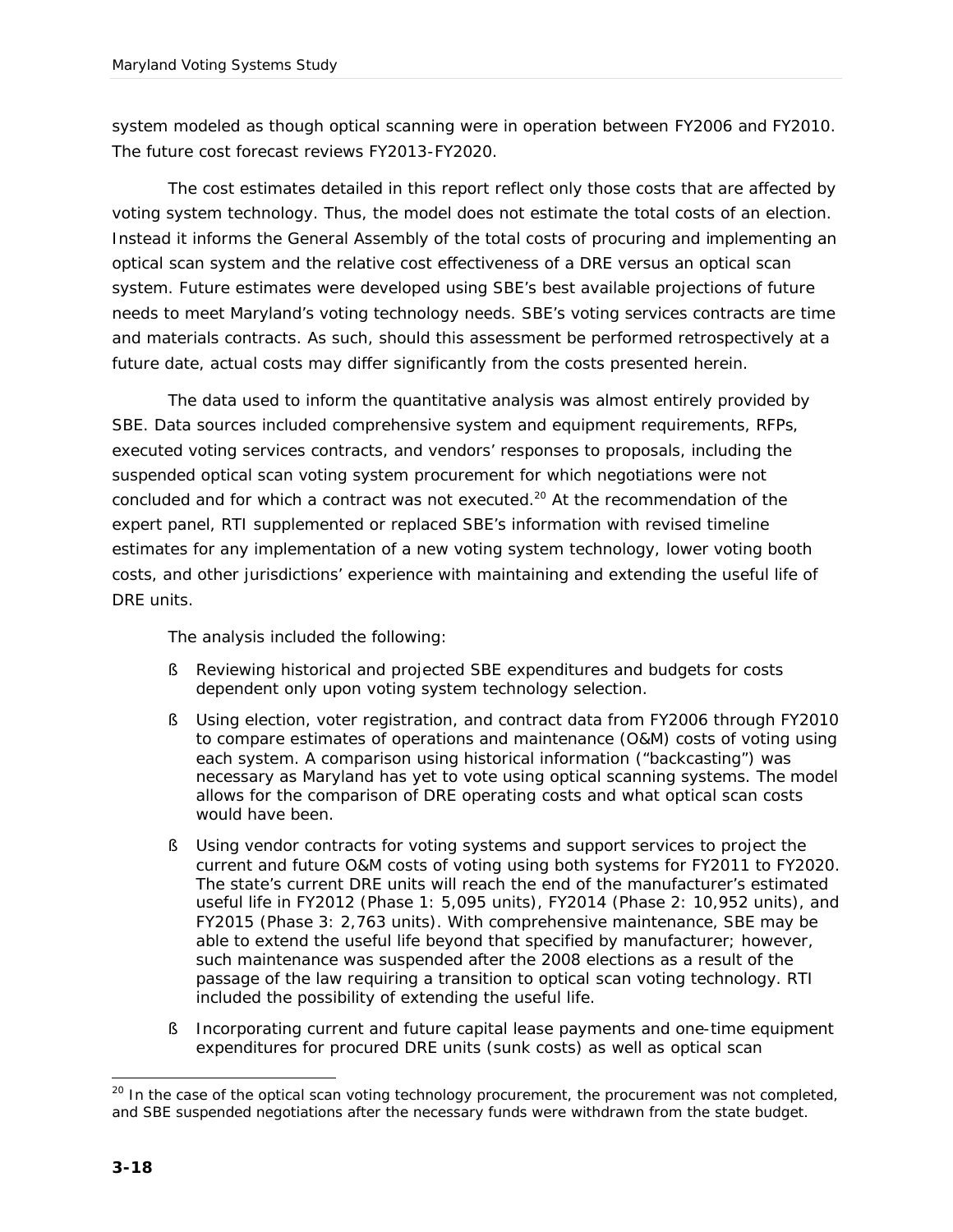system modeled as though optical scanning were in operation between FY2006 and FY2010. The future cost forecast reviews FY2013-FY2020.

The cost estimates detailed in this report reflect only those costs that are affected by voting system technology. Thus, the model does not estimate the total costs of an election. Instead it informs the General Assembly of the total costs of procuring and implementing an optical scan system and the relative cost effectiveness of a DRE versus an optical scan system. Future estimates were developed using SBE's best available projections of future needs to meet Maryland's voting technology needs. SBE's voting services contracts are time and materials contracts. As such, should this assessment be performed retrospectively at a future date, actual costs may differ significantly from the costs presented herein.

The data used to inform the quantitative analysis was almost entirely provided by SBE. Data sources included comprehensive system and equipment requirements, RFPs, executed voting services contracts, and vendors' responses to proposals, including the suspended optical scan voting system procurement for which negotiations were not concluded and for which a contract was not executed.<sup>20</sup> At the recommendation of the expert panel, RTI supplemented or replaced SBE's information with revised timeline estimates for any implementation of a new voting system technology, lower voting booth costs, and other jurisdictions' experience with maintaining and extending the useful life of DRE units.

The analysis included the following:

- § Reviewing historical and projected SBE expenditures and budgets for costs dependent only upon voting system technology selection.
- § Using election, voter registration, and contract data from FY2006 through FY2010 to compare estimates of operations and maintenance (O&M) costs of voting using each system. A comparison using historical information ("backcasting") was necessary as Maryland has yet to vote using optical scanning systems. The model allows for the comparison of DRE operating costs and what optical scan costs would have been.
- § Using vendor contracts for voting systems and support services to project the current and future O&M costs of voting using both systems for FY2011 to FY2020. The state's current DRE units will reach the end of the manufacturer's estimated useful life in FY2012 (Phase 1: 5,095 units), FY2014 (Phase 2: 10,952 units), and FY2015 (Phase 3: 2,763 units). With comprehensive maintenance, SBE may be able to extend the useful life beyond that specified by manufacturer; however, such maintenance was suspended after the 2008 elections as a result of the passage of the law requiring a transition to optical scan voting technology. RTI included the possibility of extending the useful life.
- § Incorporating current and future capital lease payments and one-time equipment expenditures for procured DRE units (sunk costs) as well as optical scan

l  $20$  In the case of the optical scan voting technology procurement, the procurement was not completed, and SBE suspended negotiations after the necessary funds were withdrawn from the state budget.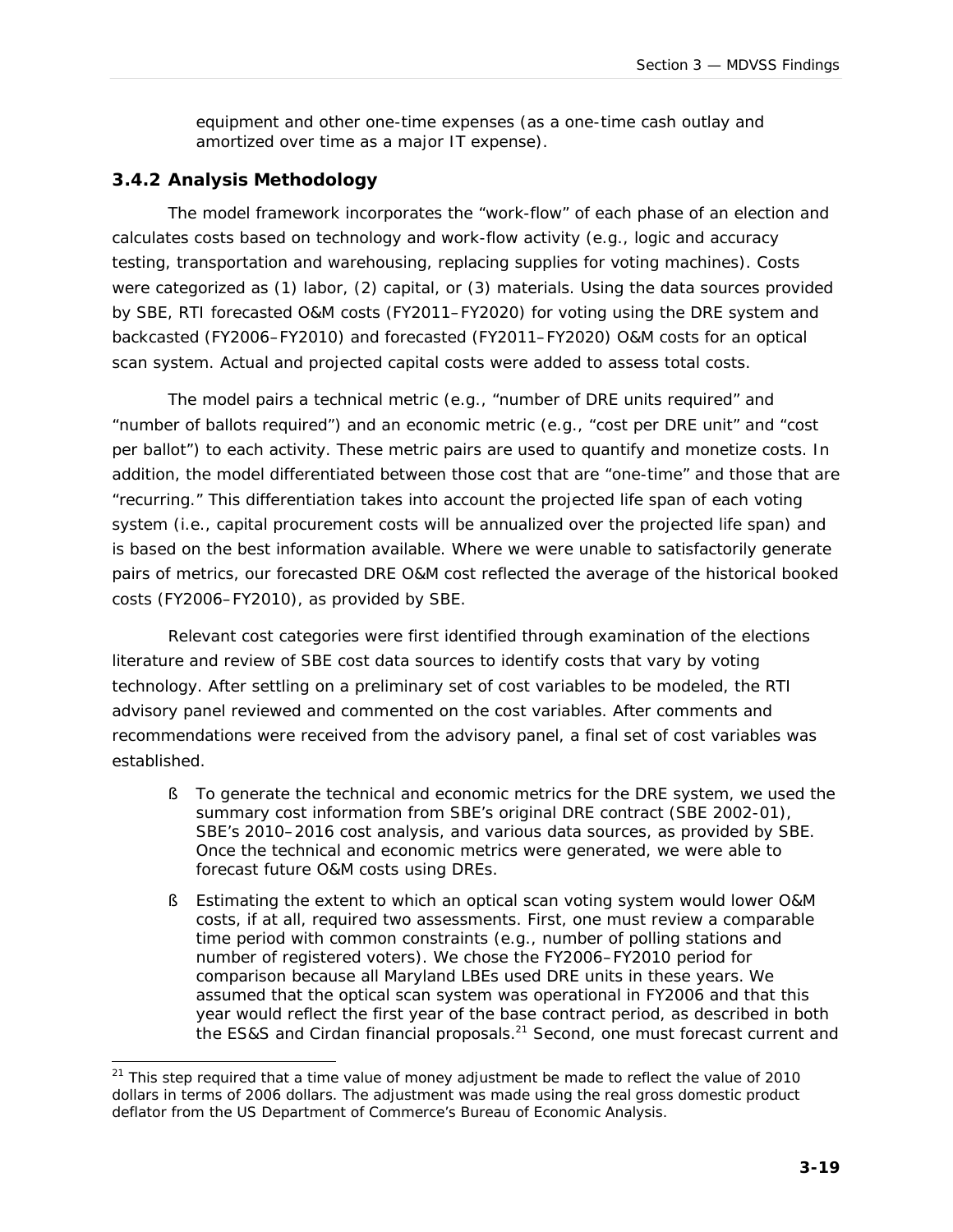equipment and other one-time expenses (as a one-time cash outlay and amortized over time as a major IT expense).

#### *3.4.2 Analysis Methodology*

The model framework incorporates the "work-flow" of each phase of an election and calculates costs based on technology and work-flow activity (e.g., logic and accuracy testing, transportation and warehousing, replacing supplies for voting machines). Costs were categorized as (1) labor, (2) capital, or (3) materials. Using the data sources provided by SBE, RTI forecasted O&M costs (FY2011–FY2020) for voting using the DRE system and backcasted (FY2006–FY2010) and forecasted (FY2011–FY2020) O&M costs for an optical scan system. Actual and projected capital costs were added to assess total costs.

The model pairs a technical metric (e.g., "number of DRE units required" and "number of ballots required") and an economic metric (e.g., "cost per DRE unit" and "cost per ballot") to each activity. These metric pairs are used to quantify and monetize costs. In addition, the model differentiated between those cost that are "one-time" and those that are "recurring." This differentiation takes into account the projected life span of each voting system (i.e., capital procurement costs will be annualized over the projected life span) and is based on the best information available. Where we were unable to satisfactorily generate pairs of metrics, our forecasted DRE O&M cost reflected the average of the historical booked costs (FY2006–FY2010), as provided by SBE.

Relevant cost categories were first identified through examination of the elections literature and review of SBE cost data sources to identify costs that vary by voting technology. After settling on a preliminary set of cost variables to be modeled, the RTI advisory panel reviewed and commented on the cost variables. After comments and recommendations were received from the advisory panel, a final set of cost variables was established.

- § To generate the technical and economic metrics for the DRE system, we used the summary cost information from SBE's original DRE contract (SBE 2002-01), SBE's 2010–2016 cost analysis, and various data sources, as provided by SBE. Once the technical and economic metrics were generated, we were able to forecast future O&M costs using DREs.
- § Estimating the extent to which an optical scan voting system would lower O&M costs, if at all, required two assessments. First, one must review a comparable time period with common constraints (e.g., number of polling stations and number of registered voters). We chose the FY2006–FY2010 period for comparison because all Maryland LBEs used DRE units in these years. We assumed that the optical scan system was operational in FY2006 and that this year would reflect the first year of the base contract period, as described in both the ES&S and Cirdan financial proposals.<sup>21</sup> Second, one must forecast current and

j <sup>21</sup> This step required that a time value of money adjustment be made to reflect the value of 2010 dollars in terms of 2006 dollars. The adjustment was made using the real gross domestic product deflator from the US Department of Commerce's Bureau of Economic Analysis.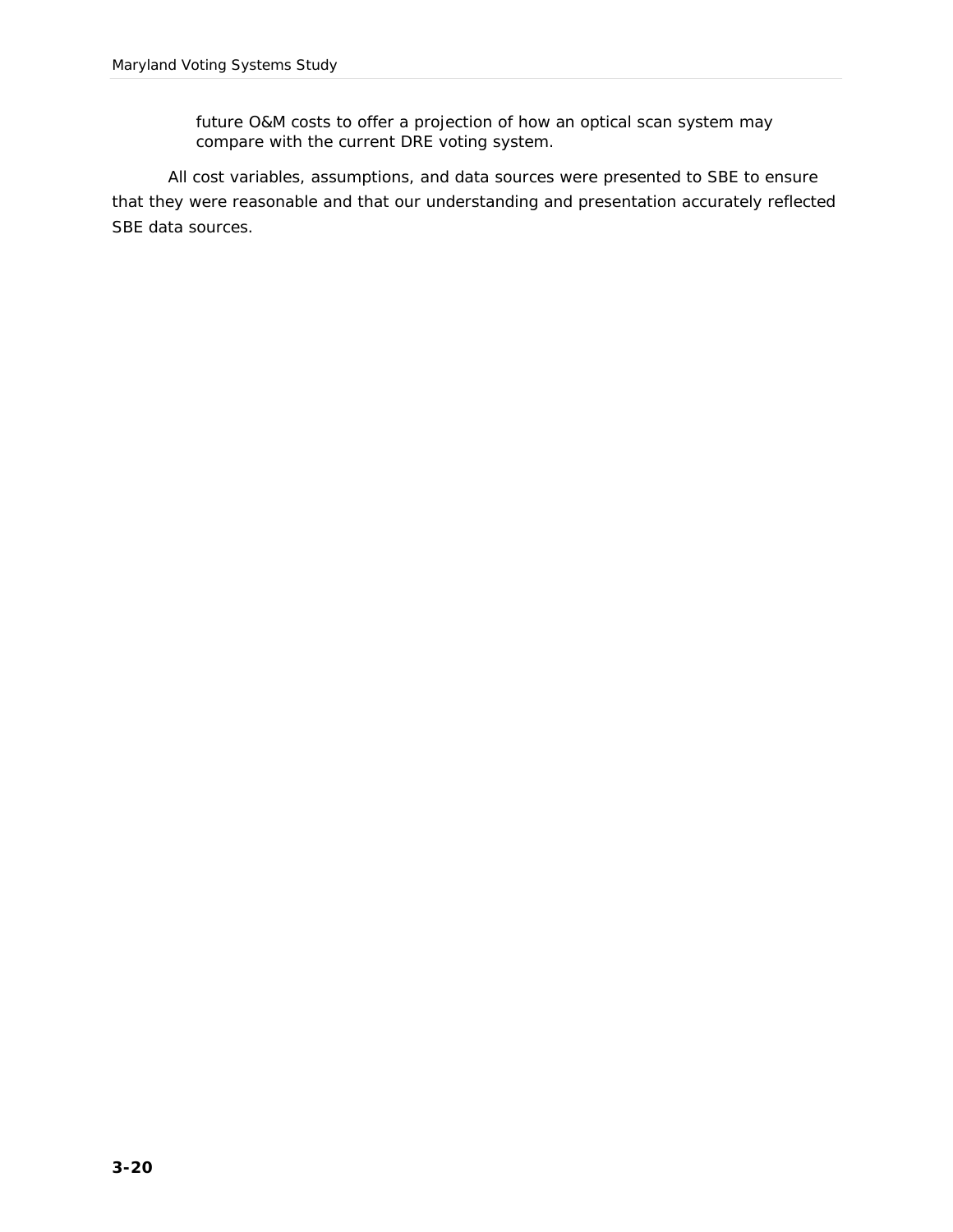future O&M costs to offer a projection of how an optical scan system may compare with the current DRE voting system.

All cost variables, assumptions, and data sources were presented to SBE to ensure that they were reasonable and that our understanding and presentation accurately reflected SBE data sources.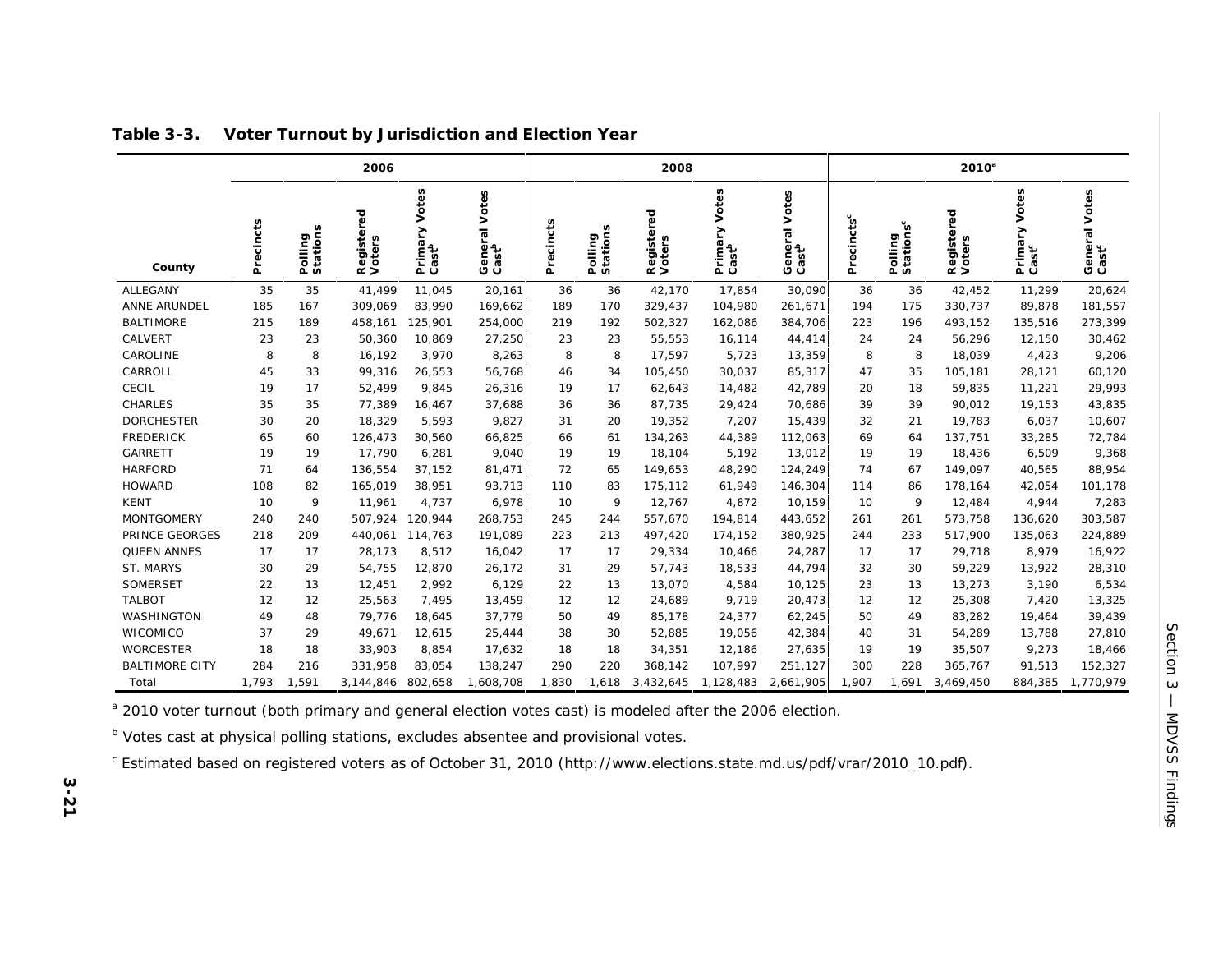|                       | 2006      |                     |                      |                                       |                                    | 2008      |                     |                      |                                       | 2010 <sup>a</sup>                     |                        |                                  |                      |                                       |                                    |
|-----------------------|-----------|---------------------|----------------------|---------------------------------------|------------------------------------|-----------|---------------------|----------------------|---------------------------------------|---------------------------------------|------------------------|----------------------------------|----------------------|---------------------------------------|------------------------------------|
| County                | Precincts | Polling<br>Stations | Registered<br>Voters | Votes<br>Primary<br>Cast <sup>b</sup> | General Votes<br>Cast <sup>b</sup> | Precincts | Polling<br>Stations | Registered<br>Voters | Votes<br>Primary<br>Cast <sup>b</sup> | Votes<br>General<br>Cast <sup>b</sup> | Precincts <sup>c</sup> | Polling<br>Stations <sup>c</sup> | Registered<br>Voters | Votes<br>Primary<br>Cast <sup>c</sup> | General Votes<br>Cast <sup>c</sup> |
| ALLEGANY              | 35        | 35                  | 41,499               | 11,045                                | 20,161                             | 36        | 36                  | 42,170               | 17,854                                | 30,090                                | 36                     | 36                               | 42,452               | 11,299                                | 20,624                             |
| ANNE ARUNDEL          | 185       | 167                 | 309,069              | 83,990                                | 169,662                            | 189       | 170                 | 329,437              | 104,980                               | 261,671                               | 194                    | 175                              | 330,737              | 89,878                                | 181,557                            |
| <b>BALTIMORE</b>      | 215       | 189                 | 458,161              | 125,901                               | 254,000                            | 219       | 192                 | 502,327              | 162,086                               | 384,706                               | 223                    | 196                              | 493,152              | 135,516                               | 273,399                            |
| CALVERT               | 23        | 23                  | 50,360               | 10,869                                | 27,250                             | 23        | 23                  | 55,553               | 16,114                                | 44,414                                | 24                     | 24                               | 56,296               | 12,150                                | 30,462                             |
| CAROLINE              | 8         | 8                   | 16,192               | 3,970                                 | 8,263                              | 8         | 8                   | 17,597               | 5,723                                 | 13,359                                | 8                      | 8                                | 18,039               | 4,423                                 | 9,206                              |
| CARROLL               | 45        | 33                  | 99,316               | 26,553                                | 56,768                             | 46        | 34                  | 105,450              | 30,037                                | 85,317                                | 47                     | 35                               | 105,181              | 28,121                                | 60,120                             |
| CECIL                 | 19        | 17                  | 52,499               | 9,845                                 | 26,316                             | 19        | 17                  | 62,643               | 14,482                                | 42,789                                | 20                     | 18                               | 59,835               | 11,221                                | 29,993                             |
| CHARLES               | 35        | 35                  | 77,389               | 16,467                                | 37,688                             | 36        | 36                  | 87,735               | 29,424                                | 70,686                                | 39                     | 39                               | 90,012               | 19,153                                | 43,835                             |
| <b>DORCHESTER</b>     | 30        | 20                  | 18,329               | 5,593                                 | 9,827                              | 31        | 20                  | 19,352               | 7,207                                 | 15,439                                | 32                     | 21                               | 19,783               | 6,037                                 | 10,607                             |
| <b>FREDERICK</b>      | 65        | 60                  | 126,473              | 30,560                                | 66,825                             | 66        | 61                  | 134,263              | 44,389                                | 112,063                               | 69                     | 64                               | 137,751              | 33,285                                | 72,784                             |
| GARRETT               | 19        | 19                  | 17,790               | 6,281                                 | 9,040                              | 19        | 19                  | 18,104               | 5,192                                 | 13,012                                | 19                     | 19                               | 18,436               | 6,509                                 | 9,368                              |
| <b>HARFORD</b>        | 71        | 64                  | 136,554              | 37,152                                | 81,471                             | 72        | 65                  | 149,653              | 48,290                                | 124,249                               | 74                     | 67                               | 149,097              | 40,565                                | 88,954                             |
| <b>HOWARD</b>         | 108       | 82                  | 165,019              | 38,951                                | 93,713                             | 110       | 83                  | 175,112              | 61,949                                | 146,304                               | 114                    | 86                               | 178,164              | 42,054                                | 101,178                            |
| <b>KENT</b>           | 10        | 9                   | 11,961               | 4,737                                 | 6,978                              | 10        | 9                   | 12,767               | 4,872                                 | 10,159                                | 10                     | 9                                | 12,484               | 4,944                                 | 7,283                              |
| <b>MONTGOMERY</b>     | 240       | 240                 | 507,924              | 120,944                               | 268,753                            | 245       | 244                 | 557,670              | 194,814                               | 443,652                               | 261                    | 261                              | 573,758              | 136,620                               | 303,587                            |
| PRINCE GEORGES        | 218       | 209                 | 440,061              | 114,763                               | 191,089                            | 223       | 213                 | 497,420              | 174,152                               | 380,925                               | 244                    | 233                              | 517,900              | 135,063                               | 224,889                            |
| QUEEN ANNES           | 17        | 17                  | 28,173               | 8,512                                 | 16,042                             | 17        | 17                  | 29,334               | 10,466                                | 24,287                                | 17                     | 17                               | 29,718               | 8,979                                 | 16,922                             |
| ST. MARYS             | 30        | 29                  | 54,755               | 12,870                                | 26,172                             | 31        | 29                  | 57,743               | 18,533                                | 44,794                                | 32                     | 30                               | 59,229               | 13,922                                | 28,310                             |
| SOMERSET              | 22        | 13                  | 12,451               | 2,992                                 | 6,129                              | 22        | 13                  | 13,070               | 4,584                                 | 10,125                                | 23                     | 13                               | 13,273               | 3,190                                 | 6,534                              |
| <b>TALBOT</b>         | 12        | 12                  | 25,563               | 7,495                                 | 13,459                             | 12        | 12                  | 24,689               | 9,719                                 | 20,473                                | 12                     | 12                               | 25,308               | 7,420                                 | 13,325                             |
| WASHINGTON            | 49        | 48                  | 79,776               | 18,645                                | 37,779                             | 50        | 49                  | 85,178               | 24,377                                | 62,245                                | 50                     | 49                               | 83,282               | 19,464                                | 39,439                             |
| WICOMICO              | 37        | 29                  | 49,671               | 12,615                                | 25,444                             | 38        | 30                  | 52,885               | 19,056                                | 42,384                                | 40                     | 31                               | 54,289               | 13,788                                | 27,810                             |
| <b>WORCESTER</b>      | 18        | 18                  | 33,903               | 8,854                                 | 17,632                             | 18        | 18                  | 34,351               | 12,186                                | 27,635                                | 19                     | 19                               | 35,507               | 9,273                                 | 18,466                             |
| <b>BALTIMORE CITY</b> | 284       | 216                 | 331.958              | 83,054                                | 138,247                            | 290       | 220                 | 368,142              | 107,997                               | 251.127                               | 300                    | 228                              | 365,767              | 91,513                                | 152,327                            |
| Total                 | 1,793     | 1,591               | 3,144,846            | 802,658                               | 1,608,708                          | 1,830     | 1.618               | 3,432,645            | 1,128,483                             | 2,661,905                             | 1,907                  | 1,691                            | 3,469,450            | 884,385                               | 1,770,979                          |

**Table 3-3. Voter Turnout by Jurisdiction and Election Year**

<sup>a</sup> 2010 voter turnout (both primary and general election votes cast) is modeled after the 2006 election.

b Votes cast at physical polling stations, excludes absentee and provisional votes.

<sup>c</sup> Estimated based on registered voters as of October 31, 2010 (http://www.elections.state.md.us/pdf/vrar/2010\_10.pdf).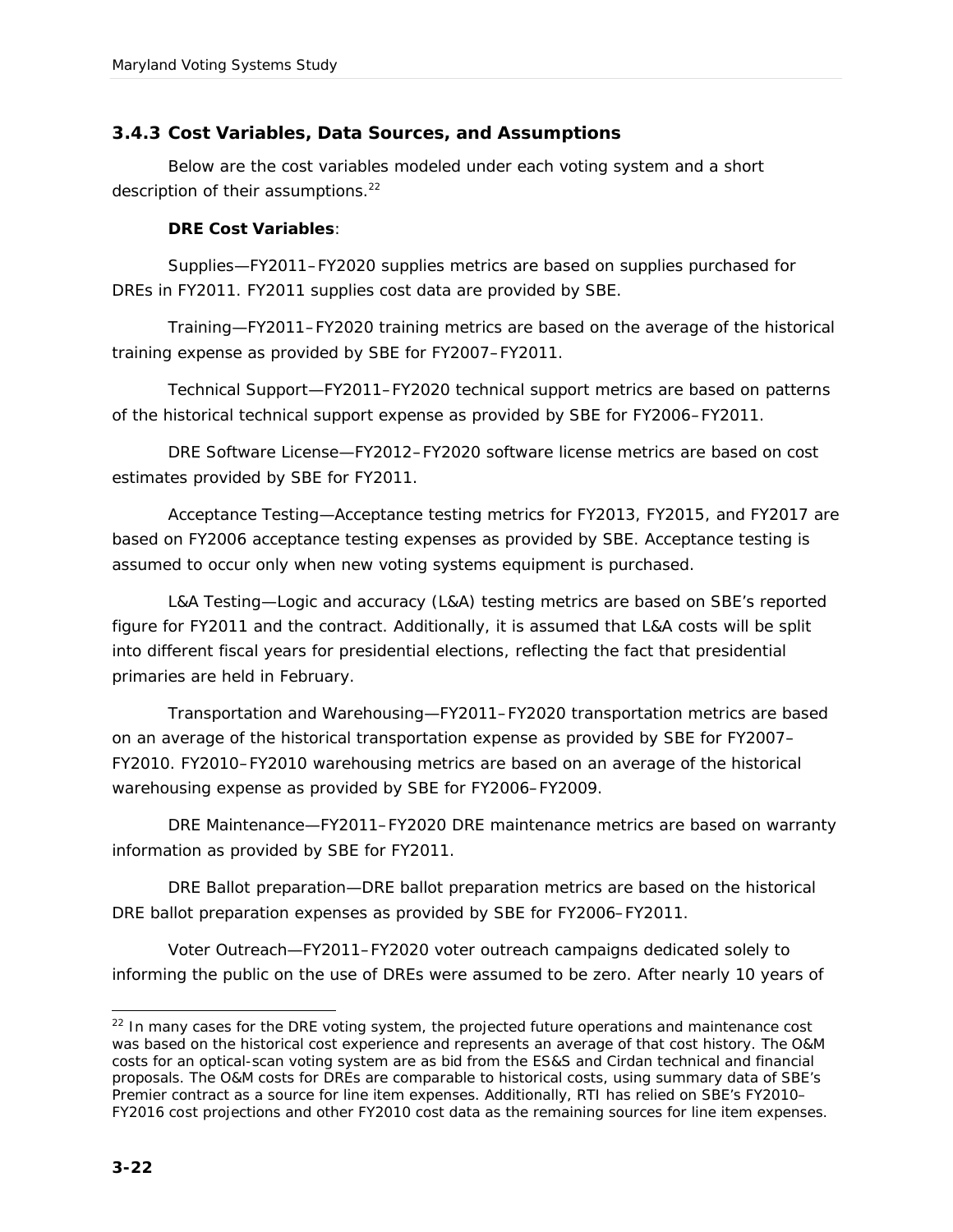#### *3.4.3 Cost Variables, Data Sources, and Assumptions*

Below are the cost variables modeled under each voting system and a short description of their assumptions.<sup>22</sup>

**DRE Cost Variables**:

Supplies—FY2011–FY2020 supplies metrics are based on supplies purchased for DREs in FY2011. FY2011 supplies cost data are provided by SBE.

Training—FY2011–FY2020 training metrics are based on the average of the historical training expense as provided by SBE for FY2007–FY2011.

Technical Support—FY2011–FY2020 technical support metrics are based on patterns of the historical technical support expense as provided by SBE for FY2006–FY2011.

DRE Software License—FY2012–FY2020 software license metrics are based on cost estimates provided by SBE for FY2011.

Acceptance Testing—Acceptance testing metrics for FY2013, FY2015, and FY2017 are based on FY2006 acceptance testing expenses as provided by SBE. Acceptance testing is assumed to occur only when new voting systems equipment is purchased.

L&A Testing—Logic and accuracy (L&A) testing metrics are based on SBE's reported figure for FY2011 and the contract. Additionally, it is assumed that L&A costs will be split into different fiscal years for presidential elections, reflecting the fact that presidential primaries are held in February.

Transportation and Warehousing—FY2011–FY2020 transportation metrics are based on an average of the historical transportation expense as provided by SBE for FY2007– FY2010. FY2010–FY2010 warehousing metrics are based on an average of the historical warehousing expense as provided by SBE for FY2006–FY2009.

DRE Maintenance—FY2011–FY2020 DRE maintenance metrics are based on warranty information as provided by SBE for FY2011.

DRE Ballot preparation—DRE ballot preparation metrics are based on the historical DRE ballot preparation expenses as provided by SBE for FY2006–FY2011.

Voter Outreach—FY2011–FY2020 voter outreach campaigns dedicated solely to informing the public on the use of DREs were assumed to be zero. After nearly 10 years of

<sup>-</sup> $22$  In many cases for the DRE voting system, the projected future operations and maintenance cost was based on the historical cost experience and represents an average of that cost history. The O&M costs for an optical-scan voting system are as bid from the ES&S and Cirdan technical and financial proposals. The O&M costs for DREs are comparable to historical costs, using summary data of SBE's Premier contract as a source for line item expenses. Additionally, RTI has relied on SBE's FY2010-FY2016 cost projections and other FY2010 cost data as the remaining sources for line item expenses.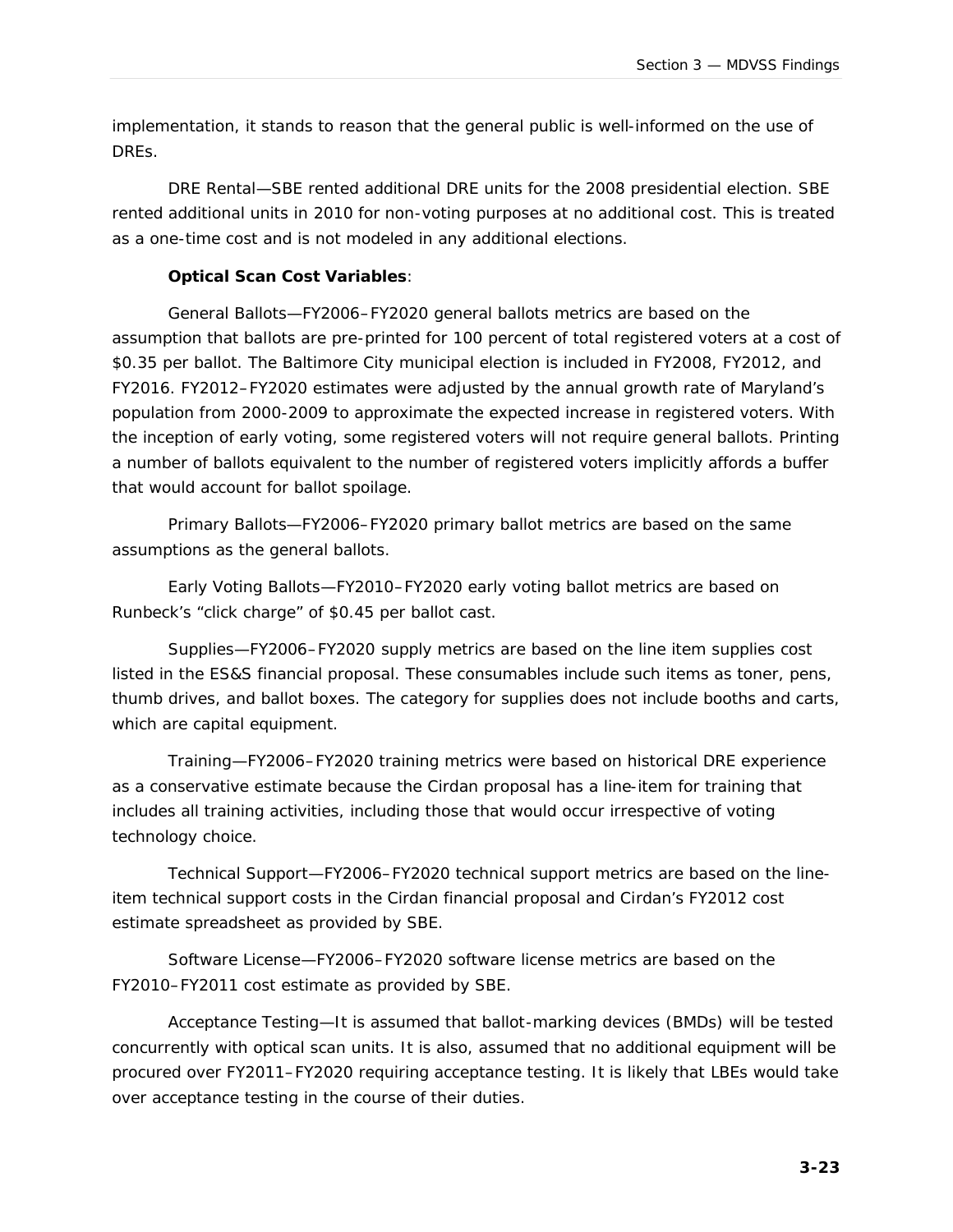implementation, it stands to reason that the general public is well-informed on the use of DREs.

DRE Rental—SBE rented additional DRE units for the 2008 presidential election. SBE rented additional units in 2010 for non-voting purposes at no additional cost. This is treated as a one-time cost and is not modeled in any additional elections.

**Optical Scan Cost Variables**:

General Ballots—FY2006–FY2020 general ballots metrics are based on the assumption that ballots are pre-printed for 100 percent of total registered voters at a cost of \$0.35 per ballot. The Baltimore City municipal election is included in FY2008, FY2012, and FY2016. FY2012–FY2020 estimates were adjusted by the annual growth rate of Maryland's population from 2000-2009 to approximate the expected increase in registered voters. With the inception of early voting, some registered voters will not require general ballots. Printing a number of ballots equivalent to the number of registered voters implicitly affords a buffer that would account for ballot spoilage.

Primary Ballots—FY2006–FY2020 primary ballot metrics are based on the same assumptions as the general ballots.

Early Voting Ballots—FY2010–FY2020 early voting ballot metrics are based on Runbeck's "click charge" of \$0.45 per ballot cast.

Supplies—FY2006–FY2020 supply metrics are based on the line item supplies cost listed in the ES&S financial proposal. These consumables include such items as toner, pens, thumb drives, and ballot boxes. The category for supplies does not include booths and carts, which are capital equipment.

Training—FY2006–FY2020 training metrics were based on historical DRE experience as a conservative estimate because the Cirdan proposal has a line-item for training that includes all training activities, including those that would occur irrespective of voting technology choice.

Technical Support—FY2006–FY2020 technical support metrics are based on the lineitem technical support costs in the Cirdan financial proposal and Cirdan's FY2012 cost estimate spreadsheet as provided by SBE.

Software License—FY2006–FY2020 software license metrics are based on the FY2010–FY2011 cost estimate as provided by SBE.

Acceptance Testing—It is assumed that ballot-marking devices (BMDs) will be tested concurrently with optical scan units. It is also, assumed that no additional equipment will be procured over FY2011–FY2020 requiring acceptance testing. It is likely that LBEs would take over acceptance testing in the course of their duties.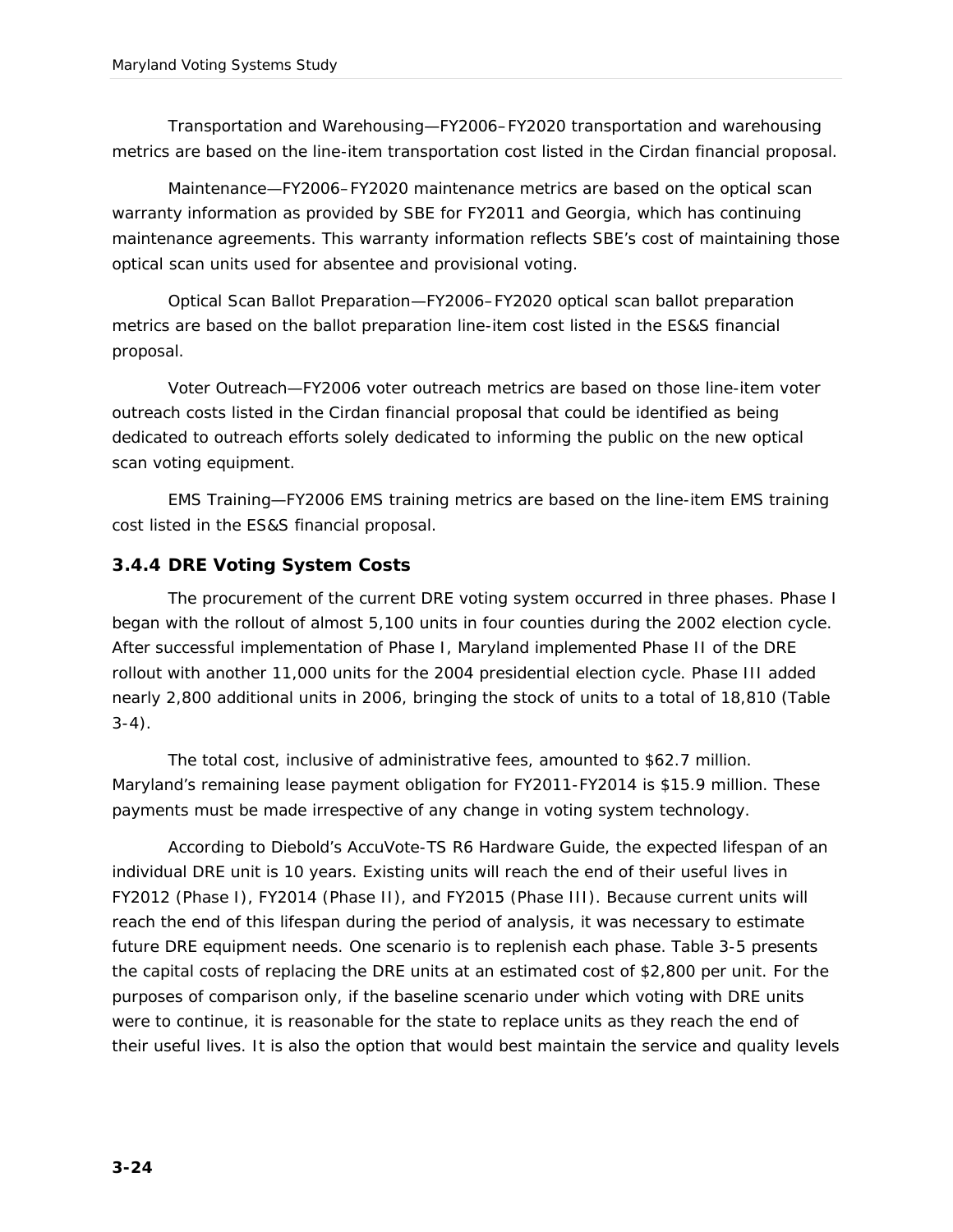Transportation and Warehousing—FY2006–FY2020 transportation and warehousing metrics are based on the line-item transportation cost listed in the Cirdan financial proposal.

Maintenance—FY2006–FY2020 maintenance metrics are based on the optical scan warranty information as provided by SBE for FY2011 and Georgia, which has continuing maintenance agreements. This warranty information reflects SBE's cost of maintaining those optical scan units used for absentee and provisional voting.

Optical Scan Ballot Preparation—FY2006–FY2020 optical scan ballot preparation metrics are based on the ballot preparation line-item cost listed in the ES&S financial proposal.

Voter Outreach—FY2006 voter outreach metrics are based on those line-item voter outreach costs listed in the Cirdan financial proposal that could be identified as being dedicated to outreach efforts solely dedicated to informing the public on the new optical scan voting equipment.

EMS Training—FY2006 EMS training metrics are based on the line-item EMS training cost listed in the ES&S financial proposal.

#### *3.4.4 DRE Voting System Costs*

The procurement of the current DRE voting system occurred in three phases. Phase I began with the rollout of almost 5,100 units in four counties during the 2002 election cycle. After successful implementation of Phase I, Maryland implemented Phase II of the DRE rollout with another 11,000 units for the 2004 presidential election cycle. Phase III added nearly 2,800 additional units in 2006, bringing the stock of units to a total of 18,810 (Table  $3-4$ ).

The total cost, inclusive of administrative fees, amounted to \$62.7 million. Maryland's remaining lease payment obligation for FY2011-FY2014 is \$15.9 million. These payments must be made irrespective of any change in voting system technology.

According to Diebold's AccuVote-TS R6 Hardware Guide, the expected lifespan of an individual DRE unit is 10 years. Existing units will reach the end of their useful lives in FY2012 (Phase I), FY2014 (Phase II), and FY2015 (Phase III). Because current units will reach the end of this lifespan during the period of analysis, it was necessary to estimate future DRE equipment needs. One scenario is to replenish each phase. Table 3-5 presents the capital costs of replacing the DRE units at an estimated cost of \$2,800 per unit. For the purposes of comparison only, if the baseline scenario under which voting with DRE units were to continue, it is reasonable for the state to replace units as they reach the end of their useful lives. It is also the option that would best maintain the service and quality levels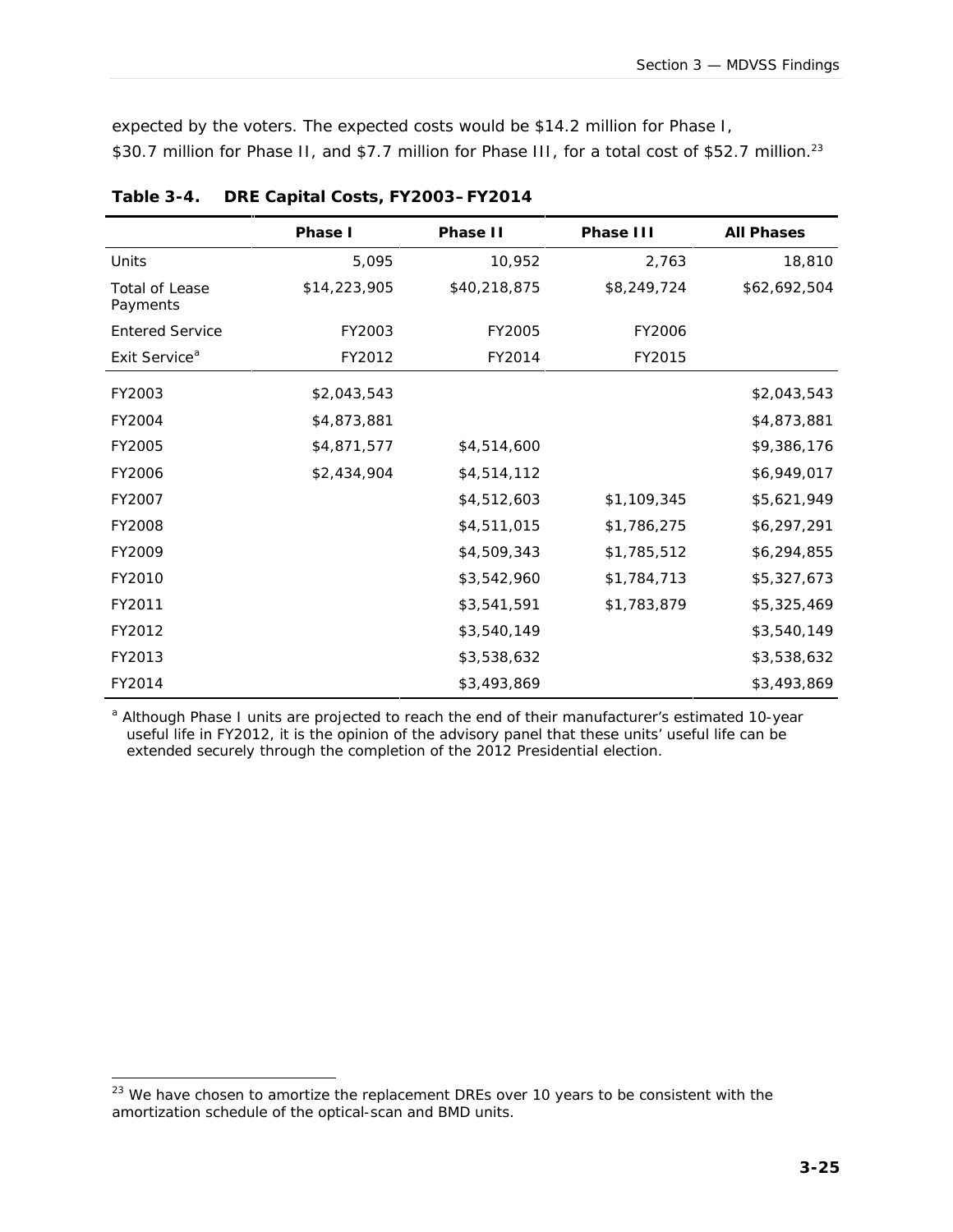expected by the voters. The expected costs would be \$14.2 million for Phase I, \$30.7 million for Phase II, and \$7.7 million for Phase III, for a total cost of \$52.7 million.<sup>23</sup>

|                                   | Phase I      | Phase II     | Phase III   | All Phases   |
|-----------------------------------|--------------|--------------|-------------|--------------|
| Units                             | 5,095        | 10,952       | 2,763       | 18,810       |
| <b>Total of Lease</b><br>Payments | \$14,223,905 | \$40,218,875 | \$8,249,724 | \$62,692,504 |
| <b>Entered Service</b>            | FY2003       | FY2005       | FY2006      |              |
| Exit Service <sup>a</sup>         | FY2012       | FY2014       | FY2015      |              |
| FY2003                            | \$2,043,543  |              |             | \$2,043,543  |
| FY2004                            | \$4,873,881  |              |             | \$4,873,881  |
| FY2005                            | \$4,871,577  | \$4,514,600  |             | \$9,386,176  |
| FY2006                            | \$2,434,904  | \$4,514,112  |             | \$6,949,017  |
| FY2007                            |              | \$4,512,603  | \$1,109,345 | \$5,621,949  |
| FY2008                            |              | \$4,511,015  | \$1,786,275 | \$6,297,291  |
| FY2009                            |              | \$4,509,343  | \$1,785,512 | \$6,294,855  |
| FY2010                            |              | \$3,542,960  | \$1,784,713 | \$5,327,673  |
| FY2011                            |              | \$3,541,591  | \$1,783,879 | \$5,325,469  |
| FY2012                            |              | \$3,540,149  |             | \$3,540,149  |
| FY2013                            |              | \$3,538,632  |             | \$3,538,632  |
| FY2014                            |              | \$3,493,869  |             | \$3,493,869  |

**Table 3-4. DRE Capital Costs, FY2003–FY2014**

a Although Phase I units are projected to reach the end of their manufacturer's estimated 10-year useful life in FY2012, it is the opinion of the advisory panel that these units' useful life can be extended securely through the completion of the 2012 Presidential election.

-

 $23$  We have chosen to amortize the replacement DREs over 10 years to be consistent with the amortization schedule of the optical-scan and BMD units.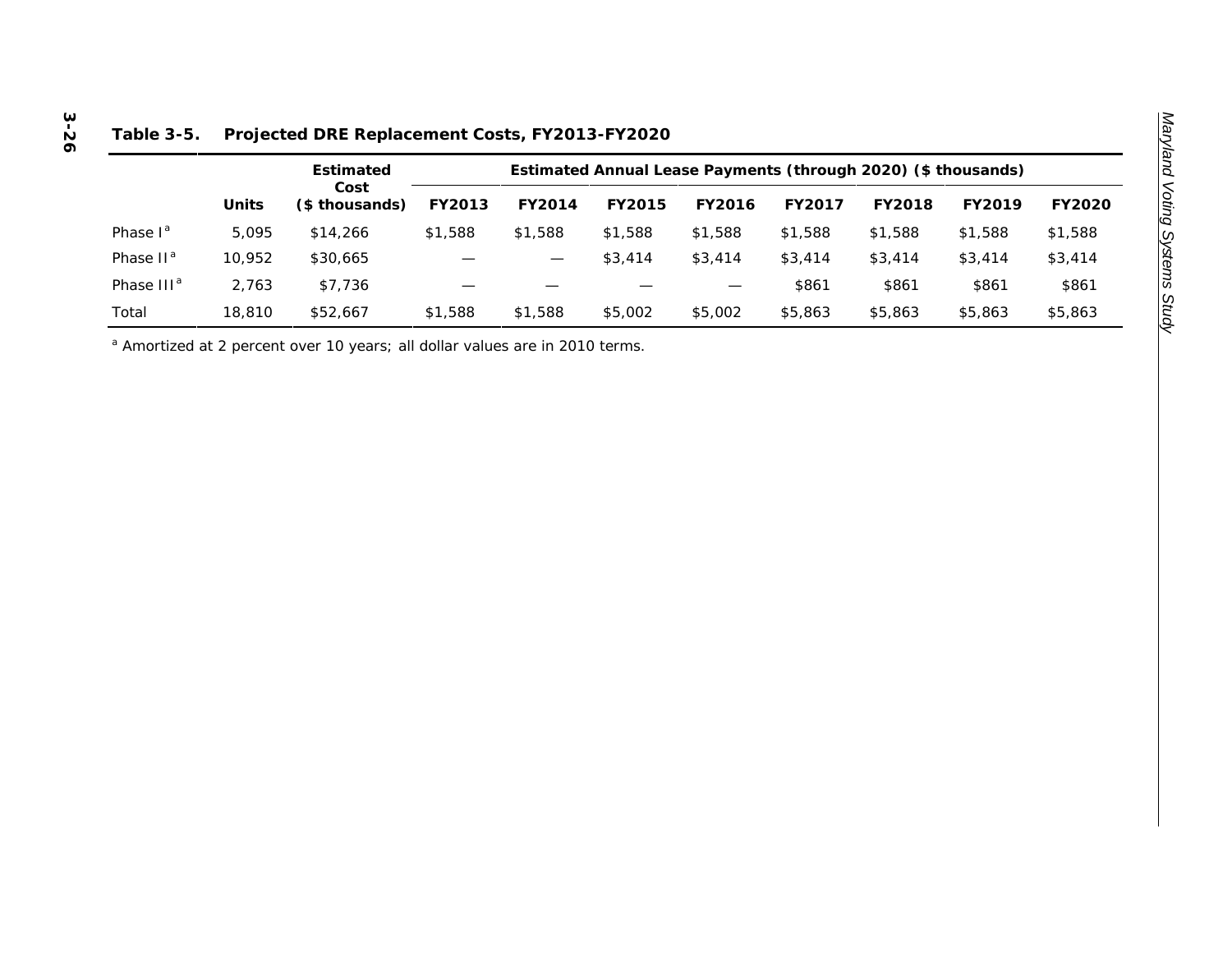|                        |        | Estimated<br>Cost<br>(\$ thousands) | Estimated Annual Lease Payments (through 2020) (\$ thousands) |         |         |         |         |         |         |         |  |
|------------------------|--------|-------------------------------------|---------------------------------------------------------------|---------|---------|---------|---------|---------|---------|---------|--|
|                        | Units  |                                     | FY2013                                                        | FY2014  | FY2015  | FY2016  | FY2017  | FY2018  | FY2019  | FY2020  |  |
| Phase $I^a$            | 5.095  | \$14,266                            | \$1,588                                                       | \$1,588 | \$1,588 | \$1,588 | \$1,588 | \$1,588 | \$1,588 | \$1,588 |  |
| Phase II <sup>a</sup>  | 10.952 | \$30,665                            |                                                               |         | \$3,414 | \$3,414 | \$3,414 | \$3,414 | \$3,414 | \$3,414 |  |
| Phase III <sup>a</sup> | 2.763  | \$7,736                             |                                                               |         |         |         | \$861   | \$861   | \$861   | \$861   |  |
| Total                  | 18,810 | \$52,667                            | \$1,588                                                       | \$1,588 | \$5,002 | \$5,002 | \$5,863 | \$5,863 | \$5,863 | \$5,863 |  |

#### **Table 3-5. Projected DRE Replacement Costs, FY2013-FY2020**

<sup>a</sup> Amortized at 2 percent over 10 years; all dollar values are in 2010 terms.

# **3 -26**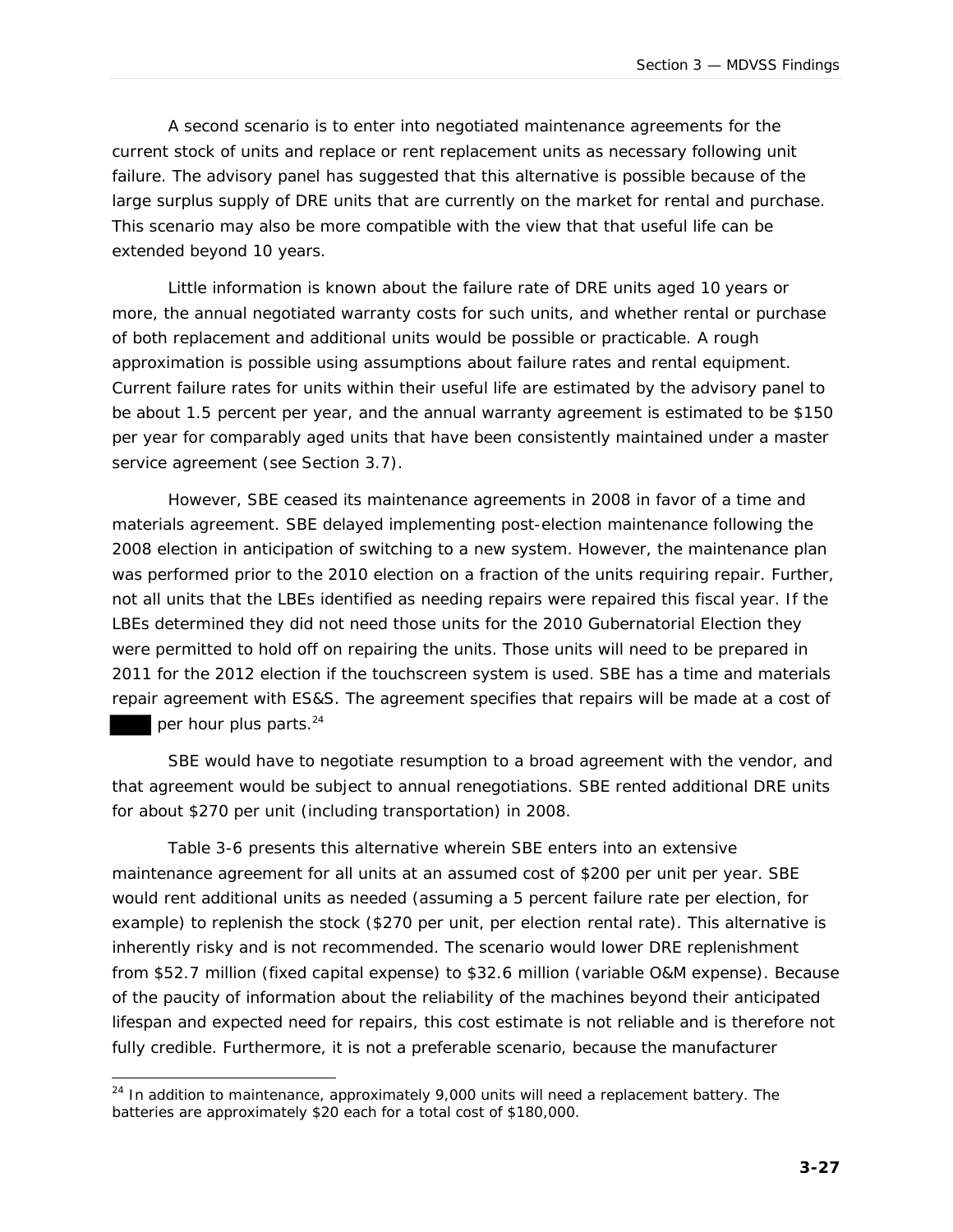A second scenario is to enter into negotiated maintenance agreements for the current stock of units and replace or rent replacement units as necessary following unit failure. The advisory panel has suggested that this alternative is possible because of the large surplus supply of DRE units that are currently on the market for rental and purchase. This scenario may also be more compatible with the view that that useful life can be extended beyond 10 years.

Little information is known about the failure rate of DRE units aged 10 years or more, the annual negotiated warranty costs for such units, and whether rental or purchase of both replacement and additional units would be possible or practicable. A rough approximation is possible using assumptions about failure rates and rental equipment. Current failure rates for *units within their useful life* are estimated by the advisory panel to be about 1.5 percent per year, and the annual warranty agreement is estimated to be \$150 per year for comparably aged units that have been consistently maintained under a master service agreement (see Section 3.7).

However, SBE ceased its maintenance agreements in 2008 in favor of a time and materials agreement. SBE delayed implementing post-election maintenance following the 2008 election in anticipation of switching to a new system. However, the maintenance plan was performed prior to the 2010 election on a fraction of the units requiring repair. Further, not all units that the LBEs identified as needing repairs were repaired this fiscal year. If the LBEs determined they did not need those units for the 2010 Gubernatorial Election they were permitted to hold off on repairing the units. Those units will need to be prepared in 2011 for the 2012 election if the touchscreen system is used. SBE has a time and materials repair agreement with ES&S. The agreement specifies that repairs will be made at a cost of

per hour plus parts.<sup>24</sup>

l

SBE would have to negotiate resumption to a broad agreement with the vendor, and that agreement would be subject to annual renegotiations. SBE rented additional DRE units for about \$270 per unit (including transportation) in 2008.

Table 3-6 presents this alternative wherein SBE enters into an extensive maintenance agreement for all units at an assumed cost of \$200 per unit per year. SBE would rent additional units as needed (assuming a 5 percent failure rate per election, for example) to replenish the stock (\$270 per unit, per election rental rate). This alternative is inherently risky and is not recommended. The scenario would lower DRE replenishment from \$52.7 million (fixed capital expense) to \$32.6 million (variable O&M expense). Because of the paucity of information about the reliability of the machines beyond their anticipated lifespan and expected need for repairs, this cost estimate is not reliable and is therefore not fully credible. Furthermore, it is not a preferable scenario, because the manufacturer

 $24$  In addition to maintenance, approximately 9,000 units will need a replacement battery. The batteries are approximately \$20 each for a total cost of \$180,000.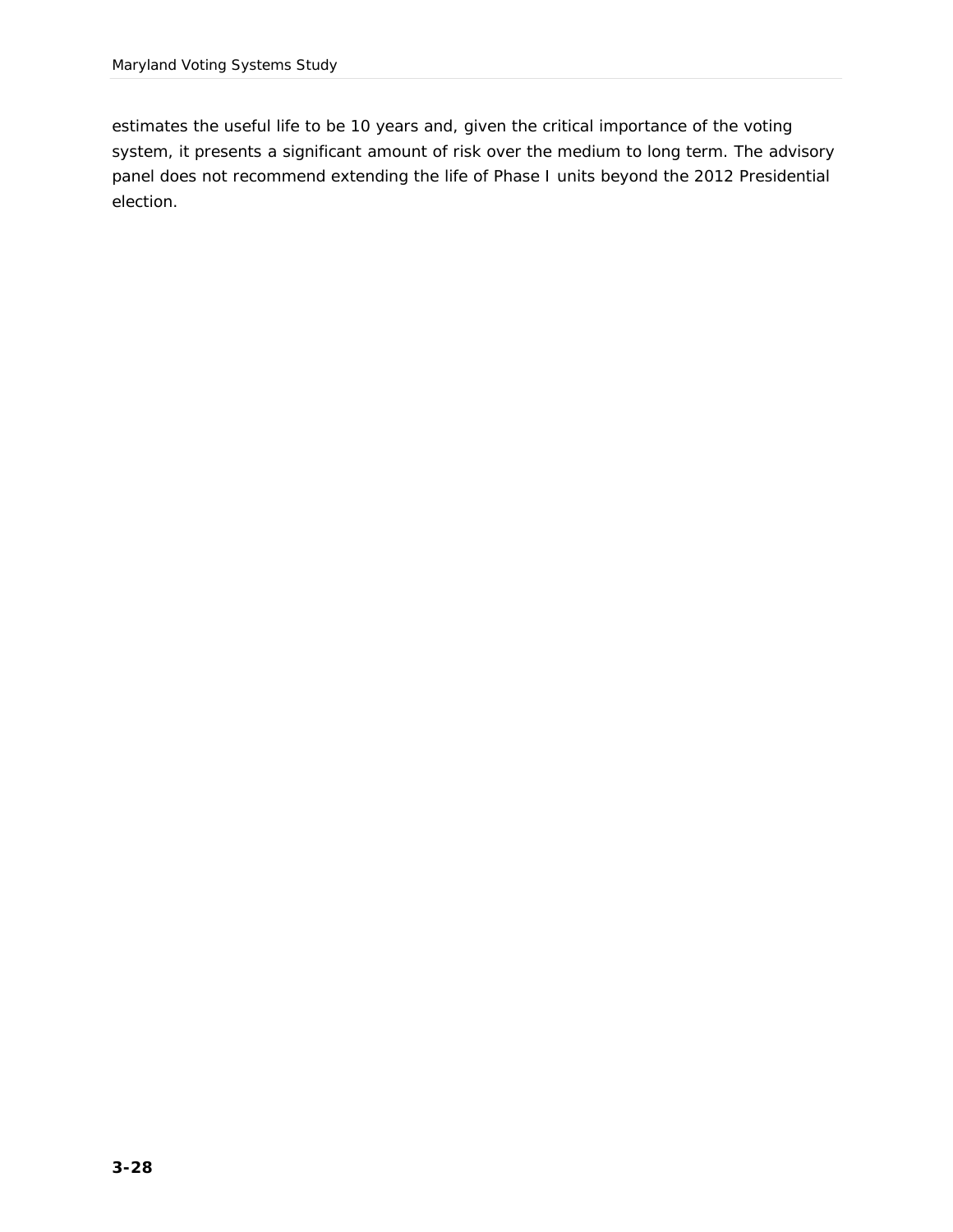estimates the useful life to be 10 years and, given the critical importance of the voting system, it presents a significant amount of risk over the medium to long term. The advisory panel does not recommend extending the life of Phase I units beyond the 2012 Presidential election.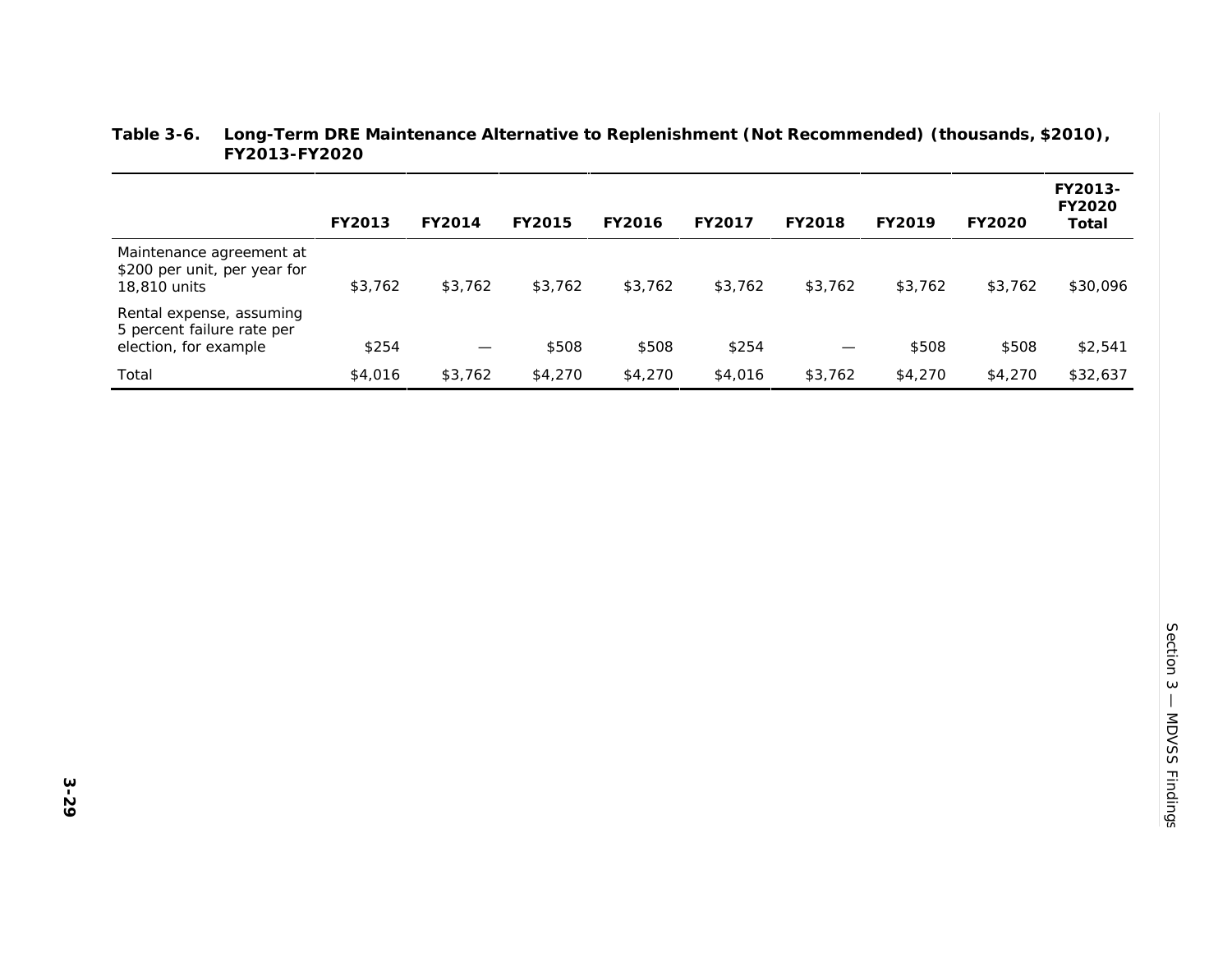|                                                                                 | FY2013  | FY2014                   | FY2015  | FY2016  | FY2017  | FY2018            | FY2019  | FY2020  | FY2013-<br>FY2020<br>Total |
|---------------------------------------------------------------------------------|---------|--------------------------|---------|---------|---------|-------------------|---------|---------|----------------------------|
| Maintenance agreement at<br>\$200 per unit, per year for<br>18,810 units        | \$3,762 | \$3,762                  | \$3,762 | \$3,762 | \$3,762 | \$3,762           | \$3,762 | \$3,762 | \$30,096                   |
| Rental expense, assuming<br>5 percent failure rate per<br>election, for example | \$254   | $\overline{\phantom{m}}$ | \$508   | \$508   | \$254   | $\hspace{0.05cm}$ | \$508   | \$508   | \$2,541                    |
| Total                                                                           | \$4,016 | \$3,762                  | \$4,270 | \$4,270 | \$4,016 | \$3,762           | \$4,270 | \$4,270 | \$32,637                   |

#### **Table 3-6. Long-Term DRE Maintenance Alternative to Replenishment (Not Recommended) (thousands, \$2010), FY2013-FY2020**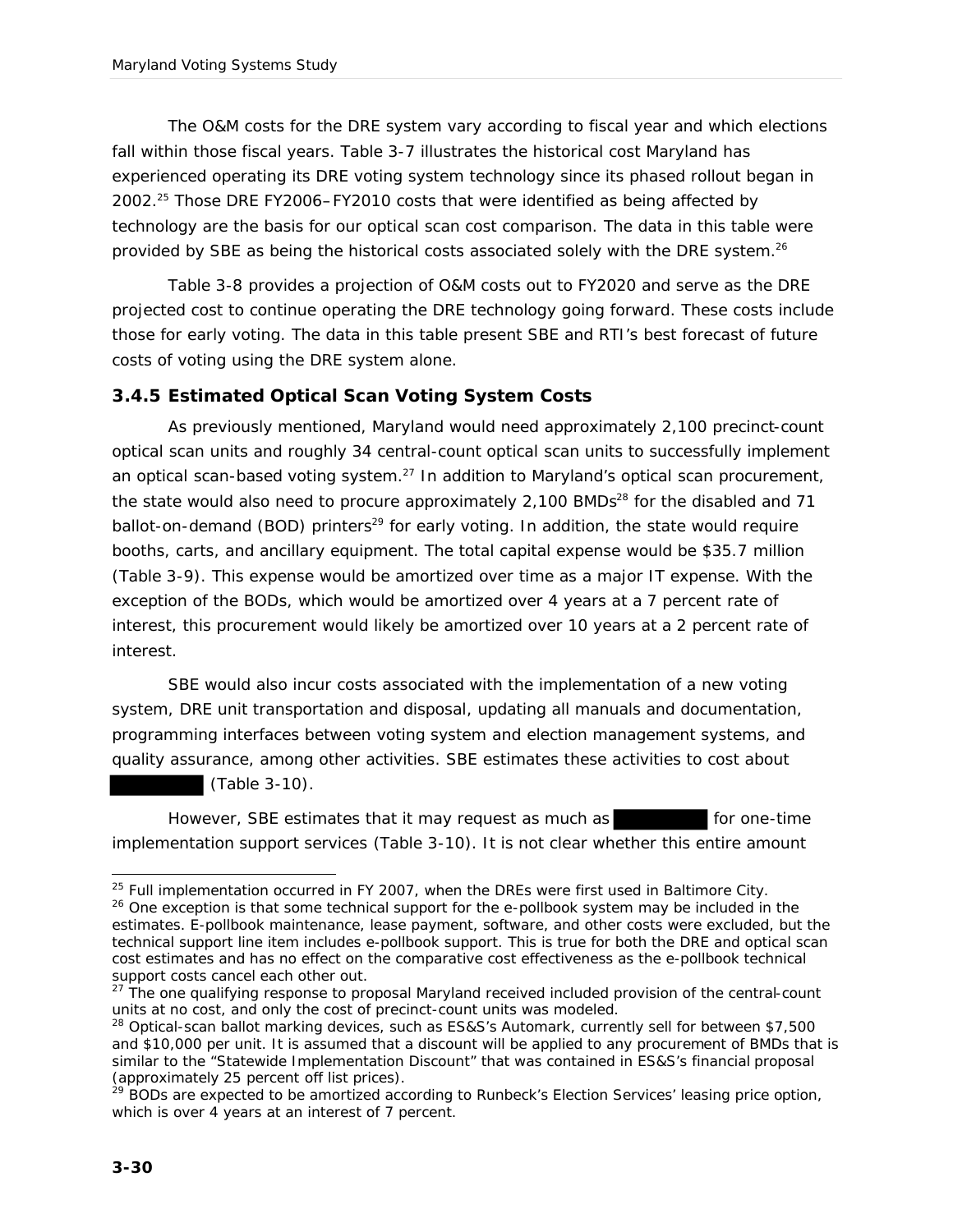The O&M costs for the DRE system vary according to fiscal year and which elections fall within those fiscal years. Table 3-7 illustrates the historical cost Maryland has experienced operating its DRE voting system technology since its phased rollout began in 2002.<sup>25</sup> Those DRE FY2006–FY2010 costs that were identified as being affected by technology are the basis for our optical scan cost comparison. The data in this table were provided by SBE as being the historical costs associated solely with the DRE system.<sup>26</sup>

Table 3-8 provides a projection of O&M costs out to FY2020 and serve as the DRE projected cost to continue operating the DRE technology going forward. These costs include those for early voting. The data in this table present SBE and RTI's best forecast of future costs of voting using the DRE system alone.

#### *3.4.5 Estimated Optical Scan Voting System Costs*

As previously mentioned, Maryland would need approximately 2,100 precinct-count optical scan units and roughly 34 central-count optical scan units to successfully implement an optical scan-based voting system. $^{27}$  In addition to Maryland's optical scan procurement, the state would also need to procure approximately  $2,100$  BMDs<sup>28</sup> for the disabled and 71 ballot-on-demand (BOD) printers<sup>29</sup> for early voting. In addition, the state would require booths, carts, and ancillary equipment. The total capital expense would be \$35.7 million (Table 3-9). This expense would be amortized over time as a major IT expense. With the exception of the BODs, which would be amortized over 4 years at a 7 percent rate of interest, this procurement would likely be amortized over 10 years at a 2 percent rate of interest.

SBE would also incur costs associated with the implementation of a new voting system, DRE unit transportation and disposal, updating all manuals and documentation, programming interfaces between voting system and election management systems, and quality assurance, among other activities. SBE estimates these activities to cost about

(Table 3-10).

However, SBE estimates that it may request as much as for one-time implementation support services (Table 3-10). It is not clear whether this entire amount

l  $25$  Full implementation occurred in FY 2007, when the DREs were first used in Baltimore City.

<sup>&</sup>lt;sup>26</sup> One exception is that some technical support for the e-pollbook system may be included in the estimates. E-pollbook maintenance, lease payment, software, and other costs were excluded, but the technical support line item includes e-pollbook support. This is true for both the DRE and optical scan cost estimates and has no effect on the comparative cost effectiveness as the e-pollbook technical support costs cancel each other out.

 $27$  The one qualifying response to proposal Maryland received included provision of the central-count units at no cost, and only the cost of precinct-count units was modeled.

<sup>&</sup>lt;sup>28</sup> Optical-scan ballot marking devices, such as ES&S's Automark, currently sell for between \$7,500 and \$10,000 per unit. It is assumed that a discount will be applied to any procurement of BMDs that is similar to the "Statewide Implementation Discount" that was contained in ES&S's financial proposal (approximately 25 percent off list prices).

<sup>&</sup>lt;sup>29</sup> BODs are expected to be amortized according to Runbeck's Election Services' leasing price option, which is over 4 years at an interest of 7 percent.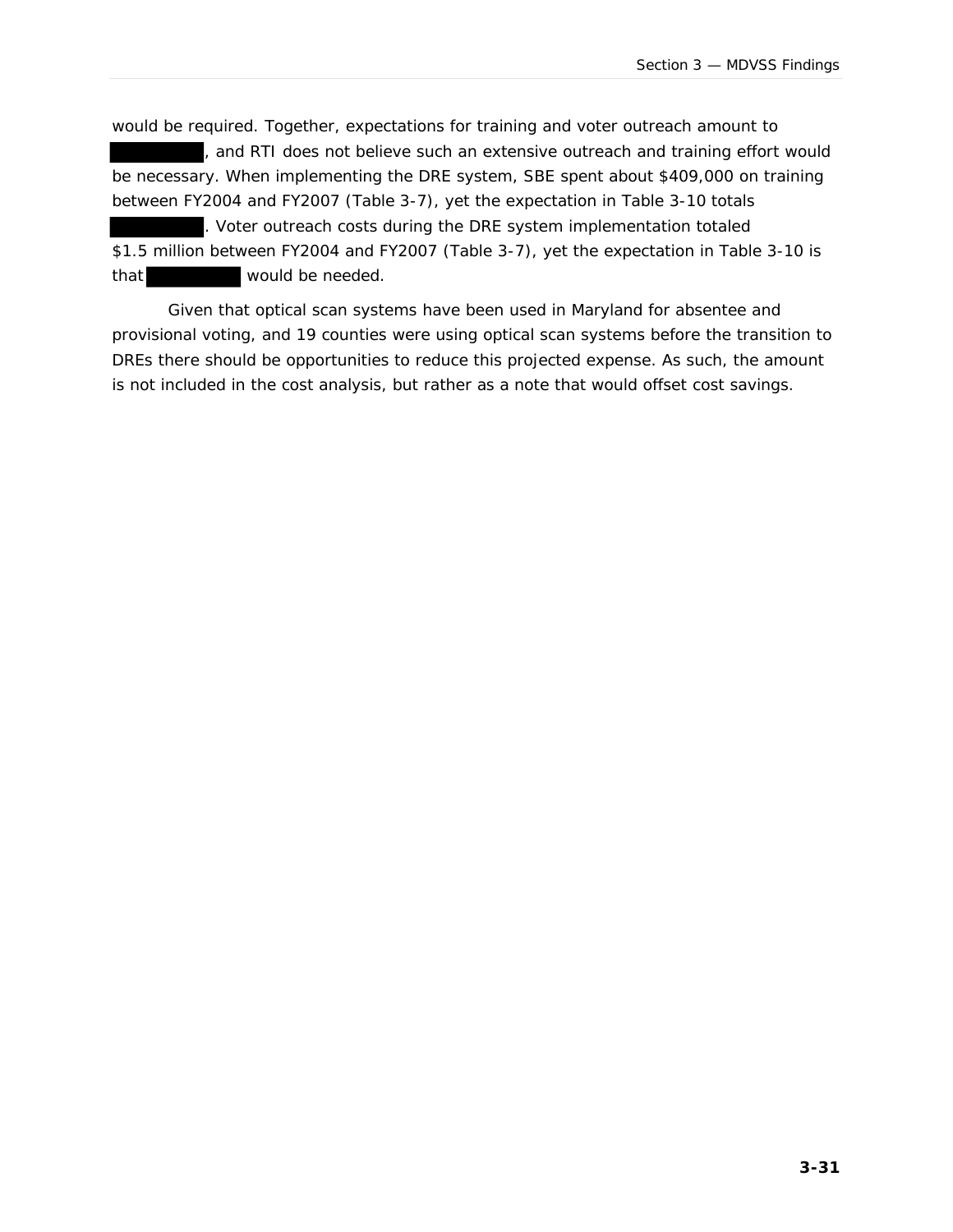would be required. Together, expectations for training and voter outreach amount to , and RTI does not believe such an extensive outreach and training effort would be necessary. When implementing the DRE system, SBE spent about \$409,000 on training between FY2004 and FY2007 (Table 3-7), yet the expectation in Table 3-10 totals . Voter outreach costs during the DRE system implementation totaled \$1.5 million between FY2004 and FY2007 (Table 3-7), yet the expectation in Table 3-10 is that would be needed.

Given that optical scan systems have been used in Maryland for absentee and provisional voting, and 19 counties were using optical scan systems before the transition to DREs there should be opportunities to reduce this projected expense. As such, the amount is not included in the cost analysis, but rather as a note that would offset cost savings.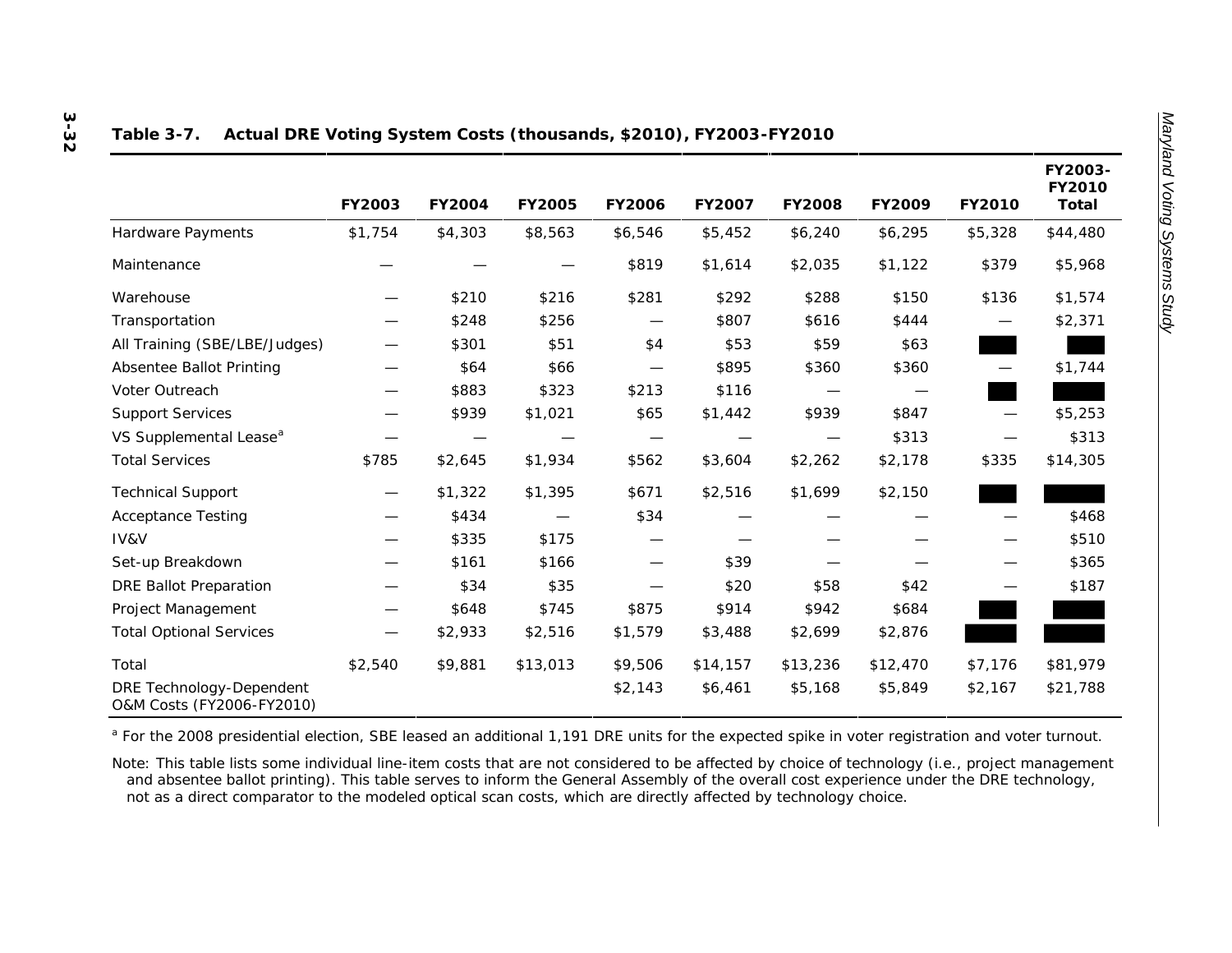|                                                       | FY2003  | FY2004  | FY2005   | FY2006  | FY2007   | FY2008   | FY2009   | FY2010                   | FY2003-<br>FY2010<br>Total |
|-------------------------------------------------------|---------|---------|----------|---------|----------|----------|----------|--------------------------|----------------------------|
| Hardware Payments                                     | \$1,754 | \$4,303 | \$8,563  | \$6,546 | \$5,452  | \$6,240  | \$6,295  | \$5,328                  | \$44,480                   |
| Maintenance                                           |         |         |          | \$819   | \$1,614  | \$2,035  | \$1,122  | \$379                    | \$5,968                    |
| Warehouse                                             |         | \$210   | \$216    | \$281   | \$292    | \$288    | \$150    | \$136                    | \$1,574                    |
| Transportation                                        |         | \$248   | \$256    |         | \$807    | \$616    | \$444    | $\overline{\phantom{0}}$ | \$2,371                    |
| All Training (SBE/LBE/Judges)                         |         | \$301   | \$51     | \$4     | \$53     | \$59     | \$63     |                          |                            |
| Absentee Ballot Printing                              |         | \$64    | \$66     |         | \$895    | \$360    | \$360    |                          | \$1,744                    |
| Voter Outreach                                        |         | \$883   | \$323    | \$213   | \$116    |          |          |                          |                            |
| <b>Support Services</b>                               |         | \$939   | \$1,021  | \$65    | \$1,442  | \$939    | \$847    |                          | \$5,253                    |
| VS Supplemental Lease <sup>a</sup>                    |         |         |          |         |          |          | \$313    |                          | \$313                      |
| <b>Total Services</b>                                 | \$785   | \$2,645 | \$1,934  | \$562   | \$3,604  | \$2,262  | \$2,178  | \$335                    | \$14,305                   |
| <b>Technical Support</b>                              |         | \$1,322 | \$1,395  | \$671   | \$2,516  | \$1,699  | \$2,150  |                          |                            |
| <b>Acceptance Testing</b>                             |         | \$434   |          | \$34    |          |          |          |                          | \$468                      |
| IV&V                                                  |         | \$335   | \$175    |         |          |          |          |                          | \$510                      |
| Set-up Breakdown                                      |         | \$161   | \$166    |         | \$39     |          |          |                          | \$365                      |
| <b>DRE Ballot Preparation</b>                         |         | \$34    | \$35     |         | \$20     | \$58     | \$42     |                          | \$187                      |
| Project Management                                    |         | \$648   | \$745    | \$875   | \$914    | \$942    | \$684    |                          |                            |
| <b>Total Optional Services</b>                        |         | \$2,933 | \$2,516  | \$1,579 | \$3,488  | \$2,699  | \$2,876  |                          |                            |
| Total                                                 | \$2,540 | \$9,881 | \$13,013 | \$9,506 | \$14,157 | \$13,236 | \$12,470 | \$7,176                  | \$81,979                   |
| DRE Technology-Dependent<br>O&M Costs (FY2006-FY2010) |         |         |          | \$2,143 | \$6,461  | \$5,168  | \$5,849  | \$2,167                  | \$21,788                   |

#### **Table 3-7. Actual DRE Voting System Costs (thousands, \$2010), FY2003-FY2010**

<sup>a</sup> For the 2008 presidential election, SBE leased an additional 1,191 DRE units for the expected spike in voter registration and voter turnout.

Note: This table lists some individual line-item costs that are not considered to be affected by choice of technology (i.e., project management and absentee ballot printing). This table serves to inform the General Assembly of the overall cost experience under the DRE technology, not as a direct comparator to the modeled optical scan costs, which are directly affected by technology choice.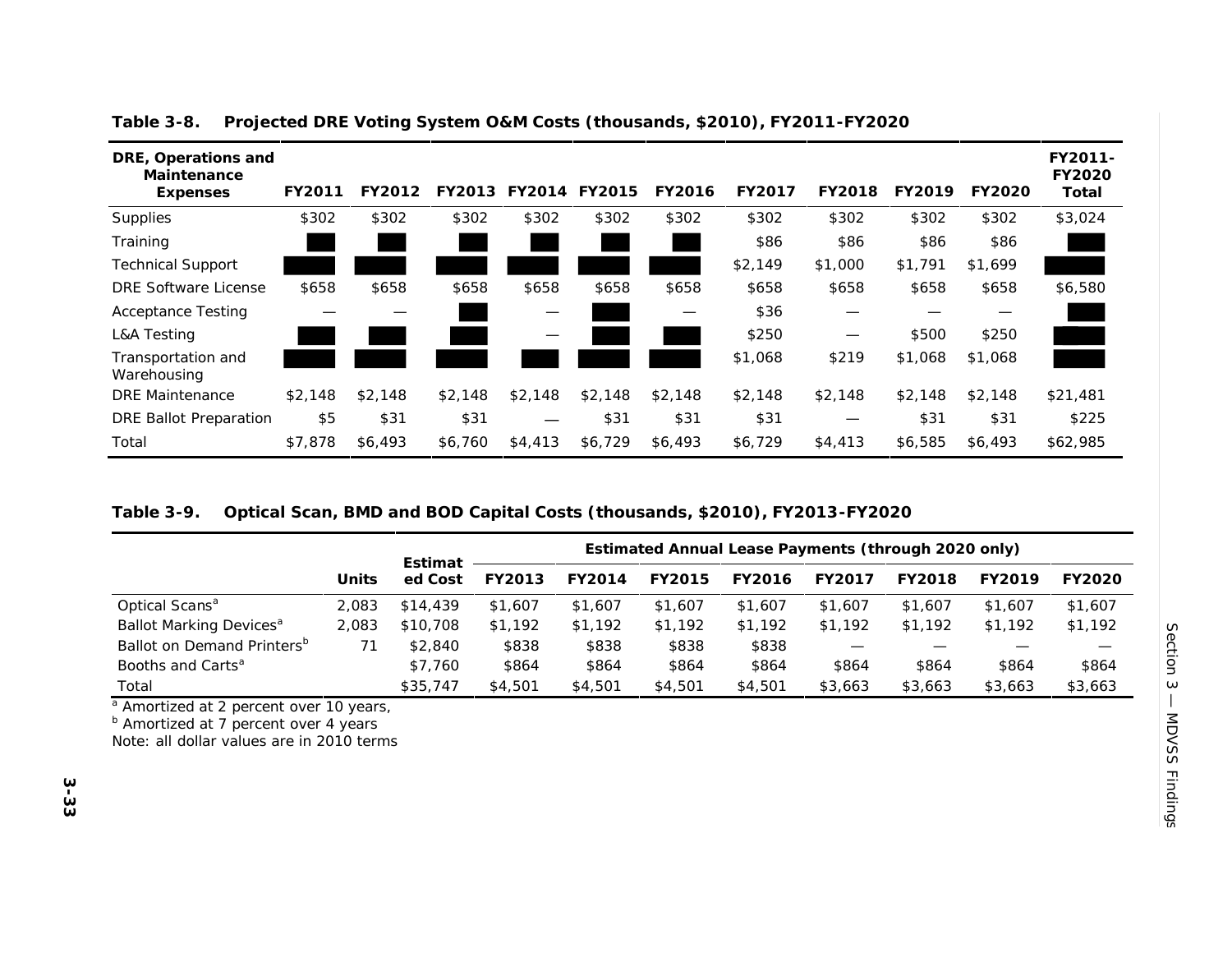| DRE, Operations and<br>Maintenance<br>Expenses | FY2011  | FY2012  | FY2013  | FY2014  | FY2015  | FY2016  | FY2017  | FY2018  | FY2019  | FY2020  | FY2011-<br>FY2020<br>Total |
|------------------------------------------------|---------|---------|---------|---------|---------|---------|---------|---------|---------|---------|----------------------------|
| Supplies                                       | \$302   | \$302   | \$302   | \$302   | \$302   | \$302   | \$302   | \$302   | \$302   | \$302   | \$3,024                    |
| Training                                       |         |         |         |         |         |         | \$86    | \$86    | \$86    | \$86    |                            |
| <b>Technical Support</b>                       |         |         |         |         |         |         | \$2,149 | \$1,000 | \$1,791 | \$1,699 |                            |
| DRE Software License                           | \$658   | \$658   | \$658   | \$658   | \$658   | \$658   | \$658   | \$658   | \$658   | \$658   | \$6,580                    |
| <b>Acceptance Testing</b>                      |         |         |         | —       |         |         | \$36    | —       |         |         |                            |
| <b>L&amp;A Testing</b>                         |         |         |         | —       |         |         | \$250   | —       | \$500   | \$250   |                            |
| Transportation and<br>Warehousing              |         |         |         |         |         |         | \$1,068 | \$219   | \$1,068 | \$1,068 |                            |
| <b>DRE</b> Maintenance                         | \$2,148 | \$2.148 | \$2.148 | \$2,148 | \$2,148 | \$2.148 | \$2.148 | \$2.148 | \$2.148 | \$2,148 | \$21,481                   |
| DRE Ballot Preparation                         | \$5     | \$31    | \$31    |         | \$31    | \$31    | \$31    | —       | \$31    | \$31    | \$225                      |
| Total                                          | \$7,878 | \$6,493 | \$6,760 | \$4,413 | \$6,729 | \$6,493 | \$6,729 | \$4,413 | \$6,585 | \$6,493 | \$62,985                   |

**Table 3-8. Projected DRE Voting System O&M Costs (thousands, \$2010), FY2011-FY2020**

#### **Table 3-9. Optical Scan, BMD and BOD Capital Costs (thousands, \$2010), FY2013-FY2020**

|                                        |       | Estimat  |         |         | Estimated Annual Lease Payments (through 2020 only) |         |         |         |         |         |
|----------------------------------------|-------|----------|---------|---------|-----------------------------------------------------|---------|---------|---------|---------|---------|
|                                        | Units | ed Cost  | FY2013  | FY2014  | FY2015                                              | FY2016  | FY2017  | FY2018  | FY2019  | FY2020  |
| Optical Scans <sup>a</sup>             | 2.083 | \$14,439 | \$1,607 | \$1,607 | \$1,607                                             | \$1,607 | \$1,607 | \$1,607 | \$1,607 | \$1,607 |
| Ballot Marking Devices <sup>a</sup>    | 2.083 | \$10,708 | \$1,192 | \$1.192 | \$1.192                                             | \$1.192 | \$1.192 | \$1,192 | \$1,192 | \$1,192 |
| Ballot on Demand Printers <sup>b</sup> |       | \$2,840  | \$838   | \$838   | \$838                                               | \$838   |         |         |         |         |
| Booths and Carts <sup>a</sup>          |       | \$7.760  | \$864   | \$864   | \$864                                               | \$864   | \$864   | \$864   | \$864   | \$864   |
| Total                                  |       | \$35,747 | \$4,501 | \$4,501 | \$4,501                                             | \$4,501 | \$3,663 | \$3,663 | \$3,663 | \$3,663 |

<sup>a</sup> Amortized at 2 percent over 10 years,

**b** Amortized at 7 percent over 4 years

Note: all dollar values are in 2010 terms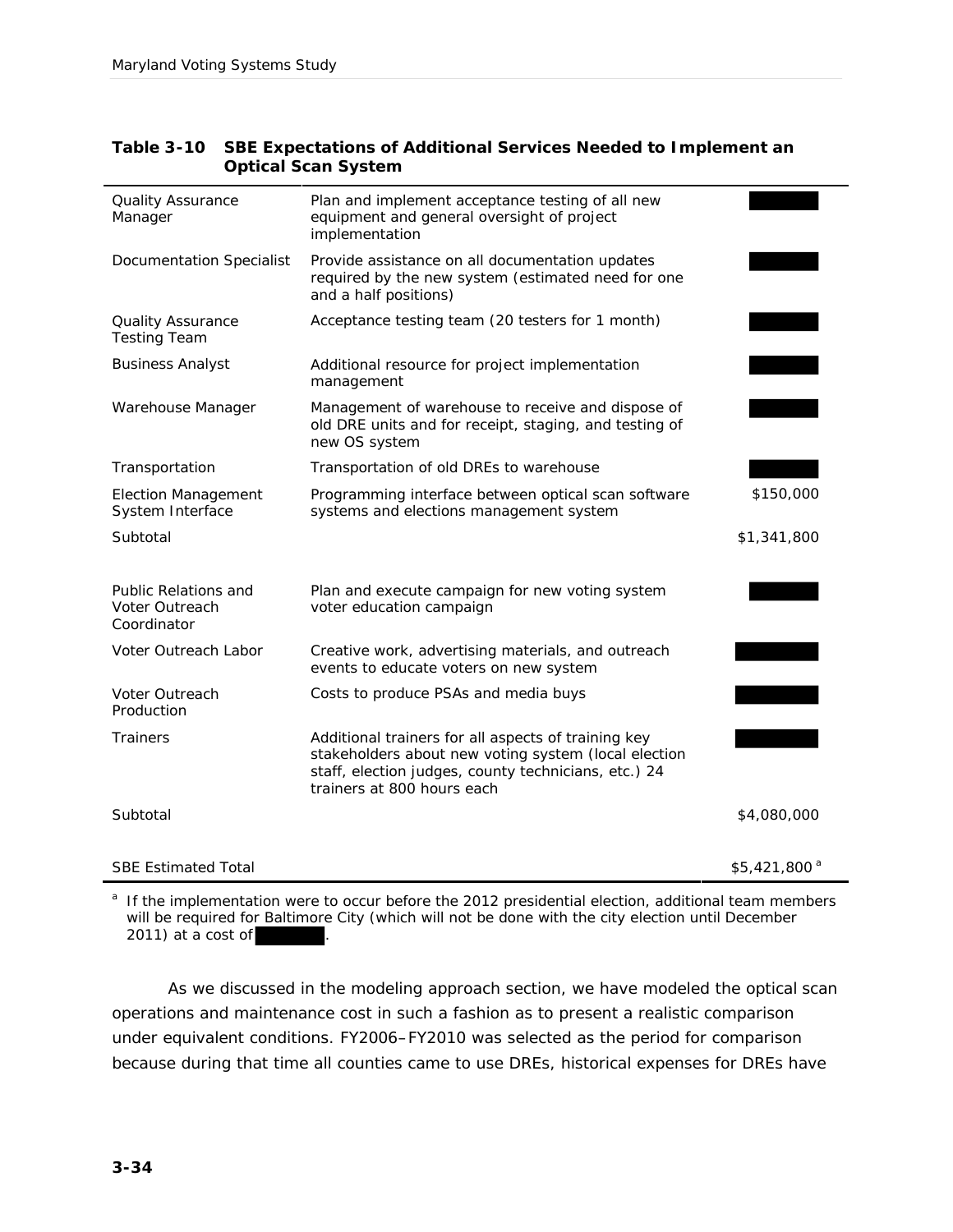| Quality Assurance<br>Manager                          | Plan and implement acceptance testing of all new<br>equipment and general oversight of project<br>implementation                                                                                  |                          |
|-------------------------------------------------------|---------------------------------------------------------------------------------------------------------------------------------------------------------------------------------------------------|--------------------------|
| Documentation Specialist                              | Provide assistance on all documentation updates<br>required by the new system (estimated need for one<br>and a half positions)                                                                    |                          |
| <b>Quality Assurance</b><br><b>Testing Team</b>       | Acceptance testing team (20 testers for 1 month)                                                                                                                                                  |                          |
| <b>Business Analyst</b>                               | Additional resource for project implementation<br>management                                                                                                                                      |                          |
| Warehouse Manager                                     | Management of warehouse to receive and dispose of<br>old DRE units and for receipt, staging, and testing of<br>new OS system                                                                      |                          |
| Transportation                                        | Transportation of old DREs to warehouse                                                                                                                                                           |                          |
| <b>Election Management</b><br>System Interface        | Programming interface between optical scan software<br>systems and elections management system                                                                                                    | \$150,000                |
| Subtotal                                              |                                                                                                                                                                                                   | \$1,341,800              |
| Public Relations and<br>Voter Outreach<br>Coordinator | Plan and execute campaign for new voting system<br>voter education campaign                                                                                                                       |                          |
| Voter Outreach Labor                                  | Creative work, advertising materials, and outreach<br>events to educate voters on new system                                                                                                      |                          |
| Voter Outreach<br>Production                          | Costs to produce PSAs and media buys                                                                                                                                                              |                          |
| Trainers                                              | Additional trainers for all aspects of training key<br>stakeholders about new voting system (local election<br>staff, election judges, county technicians, etc.) 24<br>trainers at 800 hours each |                          |
| Subtotal                                              |                                                                                                                                                                                                   | \$4,080,000              |
|                                                       |                                                                                                                                                                                                   |                          |
| <b>SBE Estimated Total</b>                            |                                                                                                                                                                                                   | \$5,421,800 <sup>a</sup> |

| Table 3-10 SBE Expectations of Additional Services Needed to Implement an |
|---------------------------------------------------------------------------|
| Optical Scan System                                                       |

<sup>a</sup> If the implementation were to occur before the 2012 presidential election, additional team members will be required for Baltimore City (which will not be done with the city election until December  $2011$ ) at a cost of

As we discussed in the modeling approach section, we have modeled the optical scan operations and maintenance cost in such a fashion as to present a realistic comparison under equivalent conditions. FY2006–FY2010 was selected as the period for comparison because during that time all counties came to use DREs, historical expenses for DREs have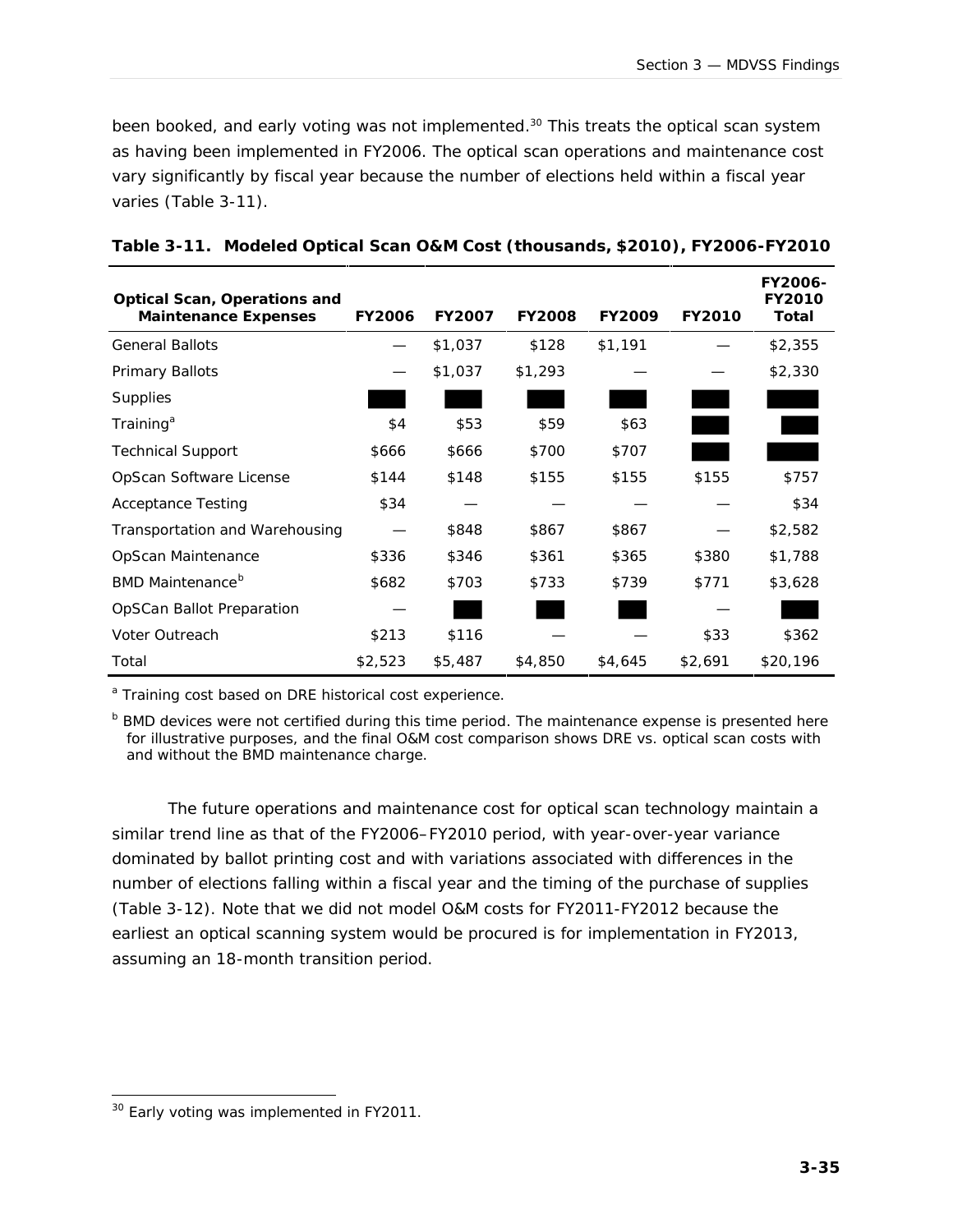been booked, and early voting was not implemented. <sup>30</sup> This treats the optical scan system as having been implemented in FY2006. The optical scan operations and maintenance cost vary significantly by fiscal year because the number of elections held within a fiscal year varies (Table 3-11).

| Optical Scan, Operations and   |         |         |         |         |         | FY2006-<br>FY2010 |
|--------------------------------|---------|---------|---------|---------|---------|-------------------|
| Maintenance Expenses           | FY2006  | FY2007  | FY2008  | FY2009  | FY2010  | Total             |
| <b>General Ballots</b>         |         | \$1,037 | \$128   | \$1,191 |         | \$2,355           |
| Primary Ballots                |         | \$1,037 | \$1,293 |         |         | \$2,330           |
| Supplies                       |         |         |         |         |         |                   |
| Training <sup>a</sup>          | \$4     | \$53    | \$59    | \$63    |         |                   |
| <b>Technical Support</b>       | \$666   | \$666   | \$700   | \$707   |         |                   |
| OpScan Software License        | \$144   | \$148   | \$155   | \$155   | \$155   | \$757             |
| <b>Acceptance Testing</b>      | \$34    |         |         |         |         | \$34              |
| Transportation and Warehousing |         | \$848   | \$867   | \$867   |         | \$2,582           |
| OpScan Maintenance             | \$336   | \$346   | \$361   | \$365   | \$380   | \$1,788           |
| BMD Maintenance <sup>b</sup>   | \$682   | \$703   | \$733   | \$739   | \$771   | \$3,628           |
| OpSCan Ballot Preparation      |         |         |         |         |         |                   |
| Voter Outreach                 | \$213   | \$116   |         |         | \$33    | \$362             |
| Total                          | \$2,523 | \$5,487 | \$4,850 | \$4,645 | \$2,691 | \$20,196          |

<sup>a</sup> Training cost based on DRE historical cost experience.

b BMD devices were not certified during this time period. The maintenance expense is presented here for illustrative purposes, and the final O&M cost comparison shows DRE vs. optical scan costs with and without the BMD maintenance charge.

The future operations and maintenance cost for optical scan technology maintain a similar trend line as that of the FY2006–FY2010 period, with year-over-year variance dominated by ballot printing cost and with variations associated with differences in the number of elections falling within a fiscal year and the timing of the purchase of supplies (Table 3-12). Note that we did not model O&M costs for FY2011-FY2012 because the earliest an optical scanning system would be procured is for implementation in FY2013, assuming an 18-month transition period.

j <sup>30</sup> Early voting was implemented in FY2011.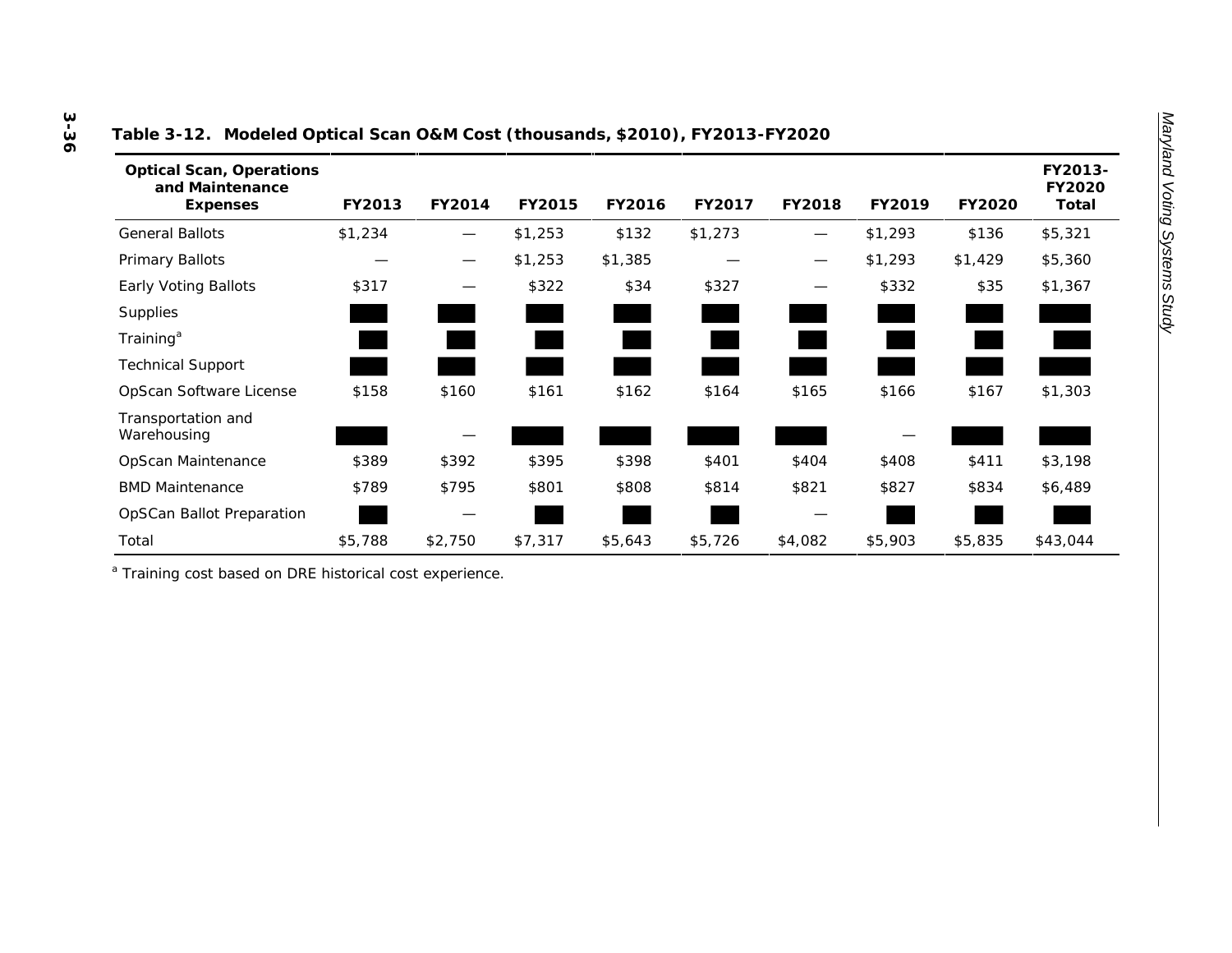| able of the includious optical board our vost (thousands, yeone), in equipment except |         |        |         |         |         |                   |         |         |                            |
|---------------------------------------------------------------------------------------|---------|--------|---------|---------|---------|-------------------|---------|---------|----------------------------|
| <b>Optical Scan, Operations</b><br>and Maintenance<br>Expenses                        | FY2013  | FY2014 | FY2015  | FY2016  | FY2017  | FY2018            | FY2019  | FY2020  | FY2013-<br>FY2020<br>Total |
| General Ballots                                                                       | \$1,234 |        | \$1,253 | \$132   | \$1,273 | $\hspace{0.05cm}$ | \$1,293 | \$136   | \$5,321                    |
| Primary Ballots                                                                       |         |        | \$1,253 | \$1,385 |         | —                 | \$1,293 | \$1,429 | \$5,360                    |
| Early Voting Ballots                                                                  | \$317   |        | \$322   | \$34    | \$327   |                   | \$332   | \$35    | \$1,367                    |
| <b>Supplies</b>                                                                       |         |        |         |         |         |                   |         |         |                            |
| Training <sup>a</sup>                                                                 |         |        |         |         |         |                   |         |         |                            |
| <b>Technical Support</b>                                                              |         |        |         |         |         |                   |         |         |                            |
| OpScan Software License                                                               | \$158   | \$160  | \$161   | \$162   | \$164   | \$165             | \$166   | \$167   | \$1,303                    |
| Transportation and<br>Warehousing                                                     |         |        |         |         |         |                   |         |         |                            |
| OpScan Maintenance                                                                    | \$389   | \$392  | \$395   | \$398   | \$401   | \$404             | \$408   | \$411   | \$3,198                    |
| <b>BMD Maintenance</b>                                                                | \$789   | \$795  | \$801   | \$808   | \$814   | \$821             | \$827   | \$834   | \$6,489                    |
|                                                                                       |         |        |         |         |         |                   |         |         |                            |

Total \$5,788 \$2,750 \$7,317 \$5,643 \$5,726 \$4,082 \$5,903 \$5,835 \$43,044

#### **Table 3-12. Modeled Optical Scan O&M Cost (thousands, \$2010), FY2013-FY2020**

a Training cost based on DRE historical cost experience.

**Supplies** Training<sup>a</sup>

OpSCan Ballot Preparation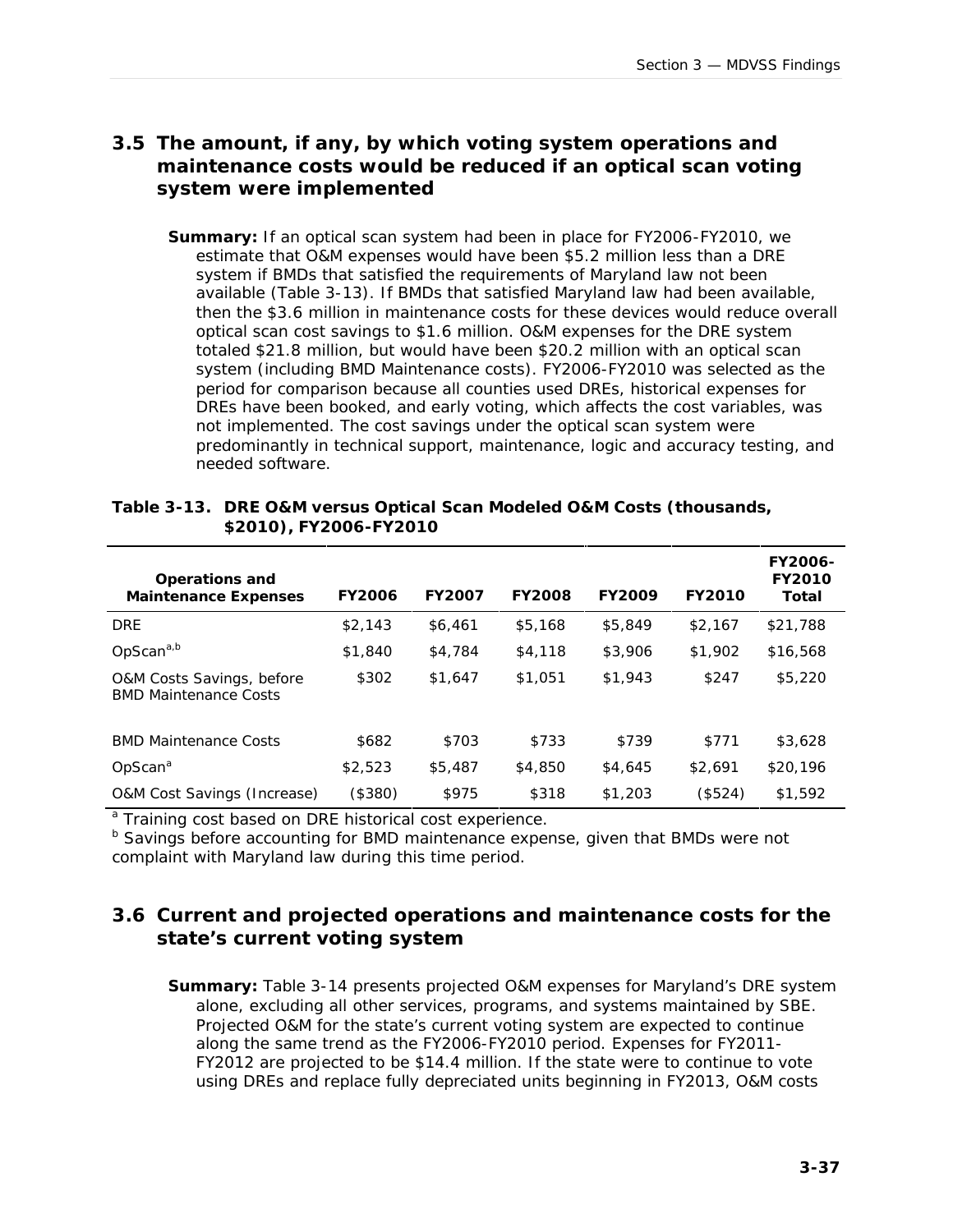#### **3.5 The amount, if any, by which voting system operations and maintenance costs would be reduced if an optical scan voting system were implemented**

**Summary:** If an optical scan system had been in place for FY2006-FY2010, we estimate that O&M expenses would have been \$5.2 million less than a DRE system if BMDs that satisfied the requirements of Maryland law not been available (Table 3-13). If BMDs that satisfied Maryland law had been available, then the \$3.6 million in maintenance costs for these devices would reduce overall optical scan cost savings to \$1.6 million. O&M expenses for the DRE system totaled \$21.8 million, but would have been \$20.2 million with an optical scan system (including BMD Maintenance costs). FY2006-FY2010 was selected as the period for comparison because all counties used DREs, historical expenses for DREs have been booked, and early voting, which affects the cost variables, was not implemented. The cost savings under the optical scan system were predominantly in technical support, maintenance, logic and accuracy testing, and needed software.

| Table 3-13. DRE O&M versus Optical Scan Modeled O&M Costs (thousands, |
|-----------------------------------------------------------------------|
| \$2010), FY2006-FY2010                                                |

| Operations and<br>Maintenance Expenses                    | FY2006  | FY2007  | <b>FY2008</b> | FY2009  | FY2010  | FY2006-<br>FY2010<br>Total |
|-----------------------------------------------------------|---------|---------|---------------|---------|---------|----------------------------|
| <b>DRE</b>                                                | \$2,143 | \$6,461 | \$5,168       | \$5,849 | \$2,167 | \$21,788                   |
| OpScan <sup>a,b</sup>                                     | \$1,840 | \$4,784 | \$4,118       | \$3,906 | \$1,902 | \$16,568                   |
| O&M Costs Savings, before<br><b>BMD Maintenance Costs</b> | \$302   | \$1,647 | \$1,051       | \$1,943 | \$247   | \$5,220                    |
| <b>BMD Maintenance Costs</b>                              | \$682   | \$703   | \$733         | \$739   | \$771   | \$3,628                    |
| OpScan <sup>a</sup>                                       | \$2,523 | \$5,487 | \$4,850       | \$4,645 | \$2.691 | \$20,196                   |
| <b>O&amp;M Cost Savings (Increase)</b>                    | (\$380) | \$975   | \$318         | \$1,203 | (\$524) | \$1,592                    |

<sup>a</sup> Training cost based on DRE historical cost experience.

b Savings before accounting for BMD maintenance expense, given that BMDs were not complaint with Maryland law during this time period.

## **3.6 Current and projected operations and maintenance costs for the state's current voting system**

**Summary:** Table 3-14 presents projected O&M expenses for Maryland's DRE system alone, excluding all other services, programs, and systems maintained by SBE. Projected O&M for the state's current voting system are expected to continue along the same trend as the FY2006-FY2010 period. Expenses for FY2011- FY2012 are projected to be \$14.4 million. If the state were to continue to vote using DREs and replace fully depreciated units beginning in FY2013, O&M costs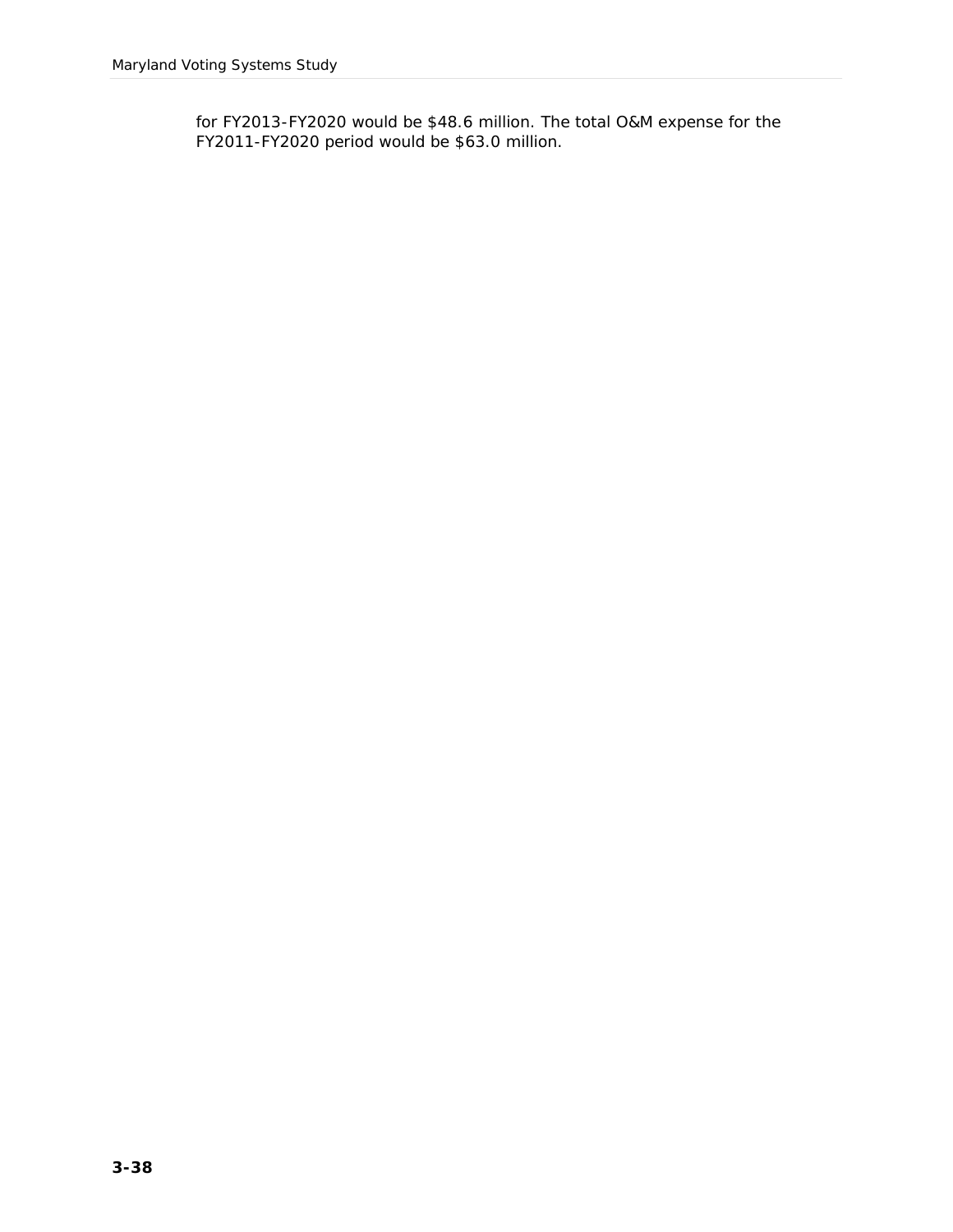for FY2013-FY2020 would be \$48.6 million. The total O&M expense for the FY2011-FY2020 period would be \$63.0 million.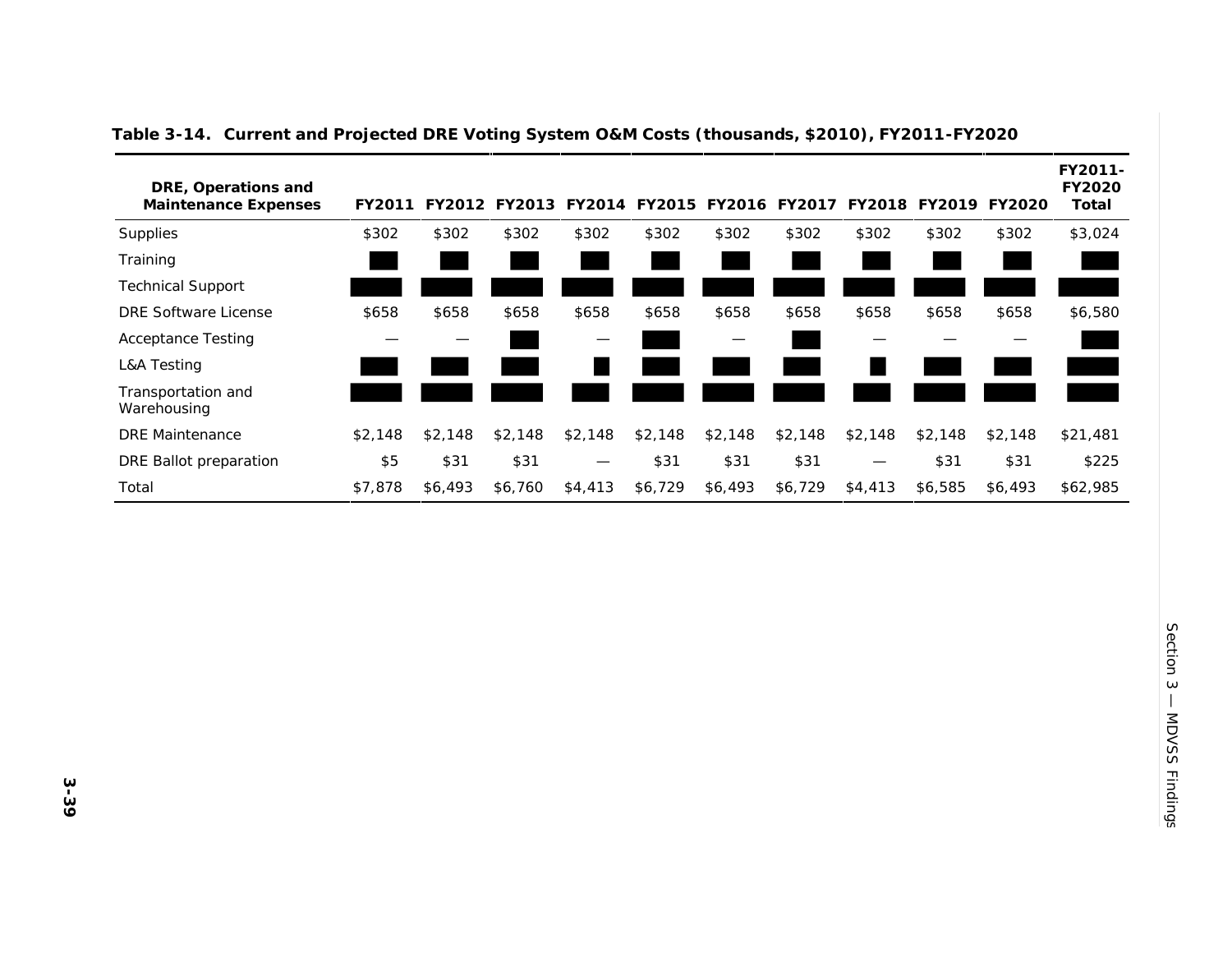| DRE, Operations and<br>Maintenance Expenses | FY2011  |         | FY2012 FY2013 | FY2014  |         | FY2015 FY2016 FY2017 |         | FY2018  | FY2019  | FY2020  | FY2011-<br>FY2020<br>Total |
|---------------------------------------------|---------|---------|---------------|---------|---------|----------------------|---------|---------|---------|---------|----------------------------|
| Supplies                                    | \$302   | \$302   | \$302         | \$302   | \$302   | \$302                | \$302   | \$302   | \$302   | \$302   | \$3,024                    |
| Training                                    |         |         |               |         |         |                      |         |         |         |         |                            |
| <b>Technical Support</b>                    |         |         |               |         |         |                      |         |         |         |         |                            |
| <b>DRE Software License</b>                 | \$658   | \$658   | \$658         | \$658   | \$658   | \$658                | \$658   | \$658   | \$658   | \$658   | \$6,580                    |
| <b>Acceptance Testing</b>                   |         |         |               | –       |         |                      |         |         |         |         |                            |
| <b>L&amp;A Testing</b>                      |         |         |               |         |         |                      |         |         |         |         |                            |
| Transportation and<br>Warehousing           |         |         |               |         |         |                      |         |         |         |         |                            |
| <b>DRE</b> Maintenance                      | \$2,148 | \$2,148 | \$2,148       | \$2,148 | \$2,148 | \$2,148              | \$2,148 | \$2,148 | \$2,148 | \$2,148 | \$21,481                   |
| DRE Ballot preparation                      | \$5     | \$31    | \$31          |         | \$31    | \$31                 | \$31    | —       | \$31    | \$31    | \$225                      |
| Total                                       | \$7,878 | \$6,493 | \$6,760       | \$4,413 | \$6,729 | \$6,493              | \$6,729 | \$4,413 | \$6,585 | \$6,493 | \$62,985                   |

#### **Table 3-14. Current and Projected DRE Voting System O&M Costs (thousands, \$2010), FY2011-FY2020**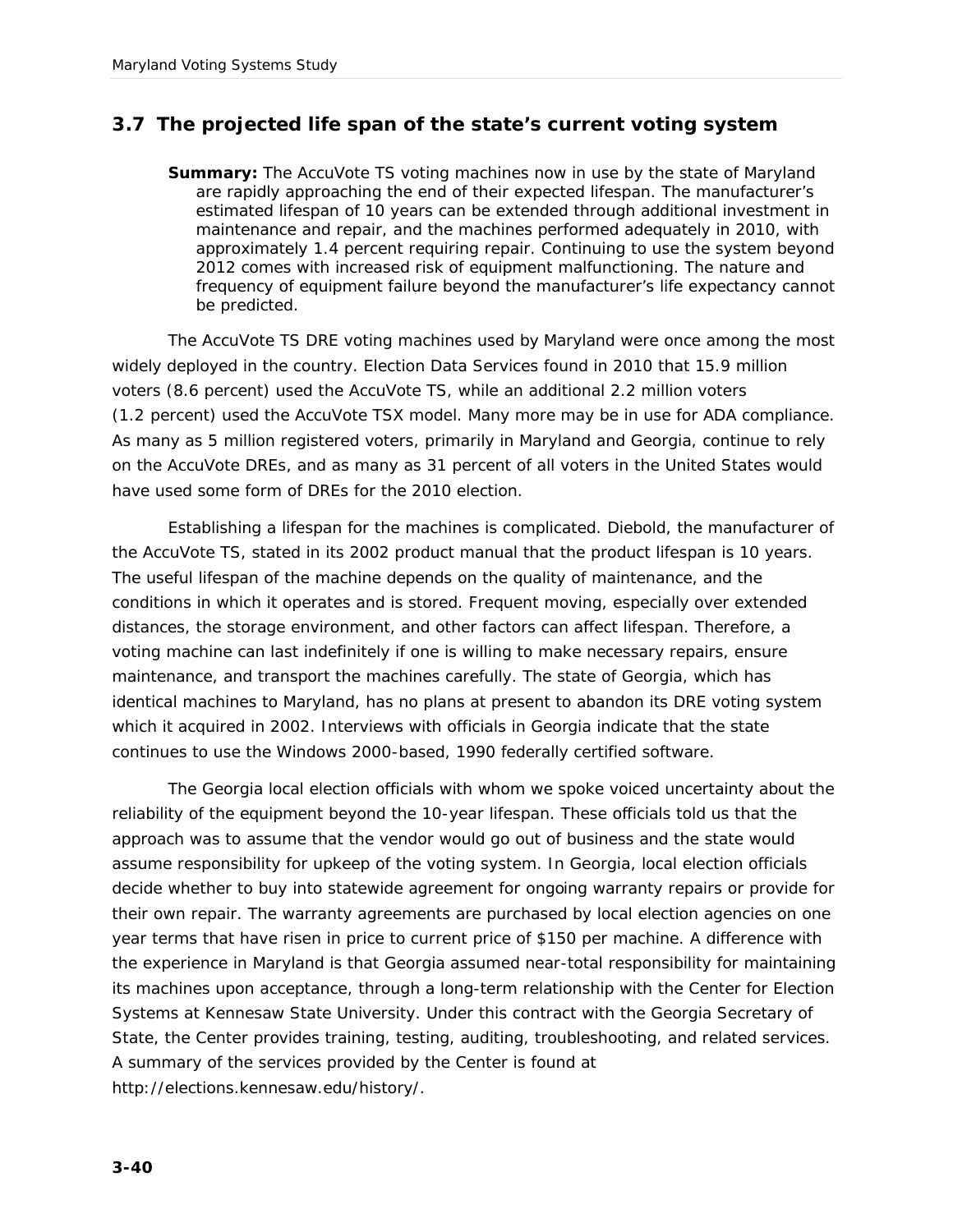# **3.7 The projected life span of the state's current voting system**

**Summary:** The AccuVote TS voting machines now in use by the state of Maryland are rapidly approaching the end of their expected lifespan. The manufacturer's estimated lifespan of 10 years can be extended through additional investment in maintenance and repair, and the machines performed adequately in 2010, with approximately 1.4 percent requiring repair. Continuing to use the system beyond 2012 comes with increased risk of equipment malfunctioning. The nature and frequency of equipment failure beyond the manufacturer's life expectancy cannot be predicted.

The AccuVote TS DRE voting machines used by Maryland were once among the most widely deployed in the country. Election Data Services found in 2010 that 15.9 million voters (8.6 percent) used the AccuVote TS, while an additional 2.2 million voters (1.2 percent) used the AccuVote TSX model. Many more may be in use for ADA compliance. As many as 5 million registered voters, primarily in Maryland and Georgia, continue to rely on the AccuVote DREs, and as many as 31 percent of all voters in the United States would have used some form of DREs for the 2010 election.

Establishing a lifespan for the machines is complicated. Diebold, the manufacturer of the AccuVote TS, stated in its 2002 product manual that the product lifespan is 10 years. The useful lifespan of the machine depends on the quality of maintenance, and the conditions in which it operates and is stored. Frequent moving, especially over extended distances, the storage environment, and other factors can affect lifespan. Therefore, a voting machine can last indefinitely if one is willing to make necessary repairs, ensure maintenance, and transport the machines carefully. The state of Georgia, which has identical machines to Maryland, has no plans at present to abandon its DRE voting system which it acquired in 2002. Interviews with officials in Georgia indicate that the state continues to use the Windows 2000-based, 1990 federally certified software.

The Georgia local election officials with whom we spoke voiced uncertainty about the reliability of the equipment beyond the 10-year lifespan. These officials told us that the approach was to assume that the vendor would go out of business and the state would assume responsibility for upkeep of the voting system. In Georgia, local election officials decide whether to buy into statewide agreement for ongoing warranty repairs or provide for their own repair. The warranty agreements are purchased by local election agencies on one year terms that have risen in price to current price of \$150 per machine. A difference with the experience in Maryland is that Georgia assumed near-total responsibility for maintaining its machines upon acceptance, through a long-term relationship with the Center for Election Systems at Kennesaw State University. Under this contract with the Georgia Secretary of State, the Center provides training, testing, auditing, troubleshooting, and related services. A summary of the services provided by the Center is found at http://elections.kennesaw.edu/history/.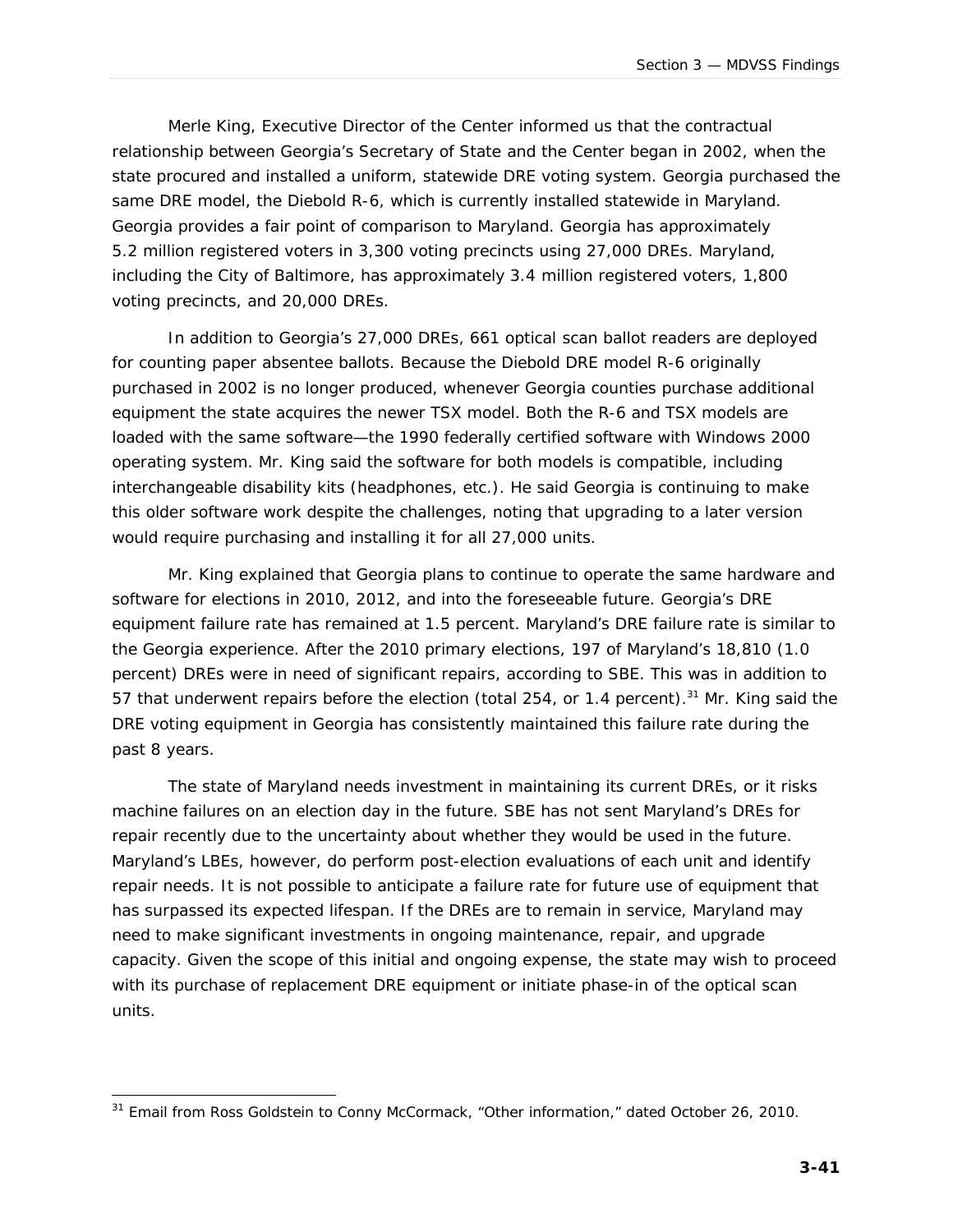Merle King, Executive Director of the Center informed us that the contractual relationship between Georgia's Secretary of State and the Center began in 2002, when the state procured and installed a uniform, statewide DRE voting system. Georgia purchased the same DRE model, the Diebold R-6, which is currently installed statewide in Maryland. Georgia provides a fair point of comparison to Maryland. Georgia has approximately 5.2 million registered voters in 3,300 voting precincts using 27,000 DREs. Maryland, including the City of Baltimore, has approximately 3.4 million registered voters, 1,800 voting precincts, and 20,000 DREs.

In addition to Georgia's 27,000 DREs, 661 optical scan ballot readers are deployed for counting paper absentee ballots. Because the Diebold DRE model R-6 originally purchased in 2002 is no longer produced, whenever Georgia counties purchase additional equipment the state acquires the newer TSX model. Both the R-6 and TSX models are loaded with the same software—the 1990 federally certified software with Windows 2000 operating system. Mr. King said the software for both models is compatible, including interchangeable disability kits (headphones, etc.). He said Georgia is continuing to make this older software work despite the challenges, noting that upgrading to a later version would require purchasing and installing it for all 27,000 units.

Mr. King explained that Georgia plans to continue to operate the same hardware and software for elections in 2010, 2012, and into the foreseeable future. Georgia's DRE equipment failure rate has remained at 1.5 percent. Maryland's DRE failure rate is similar to the Georgia experience. After the 2010 primary elections, 197 of Maryland's 18,810 (1.0 percent) DREs were in need of significant repairs, according to SBE. This was in addition to 57 that underwent repairs before the election (total 254, or 1.4 percent).<sup>31</sup> Mr. King said the DRE voting equipment in Georgia has consistently maintained this failure rate during the past 8 years.

The state of Maryland needs investment in maintaining its current DREs, or it risks machine failures on an election day in the future. SBE has not sent Maryland's DREs for repair recently due to the uncertainty about whether they would be used in the future. Maryland's LBEs, however, do perform post-election evaluations of each unit and identify repair needs. It is not possible to anticipate a failure rate for future use of equipment that has surpassed its expected lifespan. If the DREs are to remain in service, Maryland may need to make significant investments in ongoing maintenance, repair, and upgrade capacity. Given the scope of this initial and ongoing expense, the state may wish to proceed with its purchase of replacement DRE equipment or initiate phase-in of the optical scan units.

j  $31$  Email from Ross Goldstein to Conny McCormack, "Other information," dated October 26, 2010.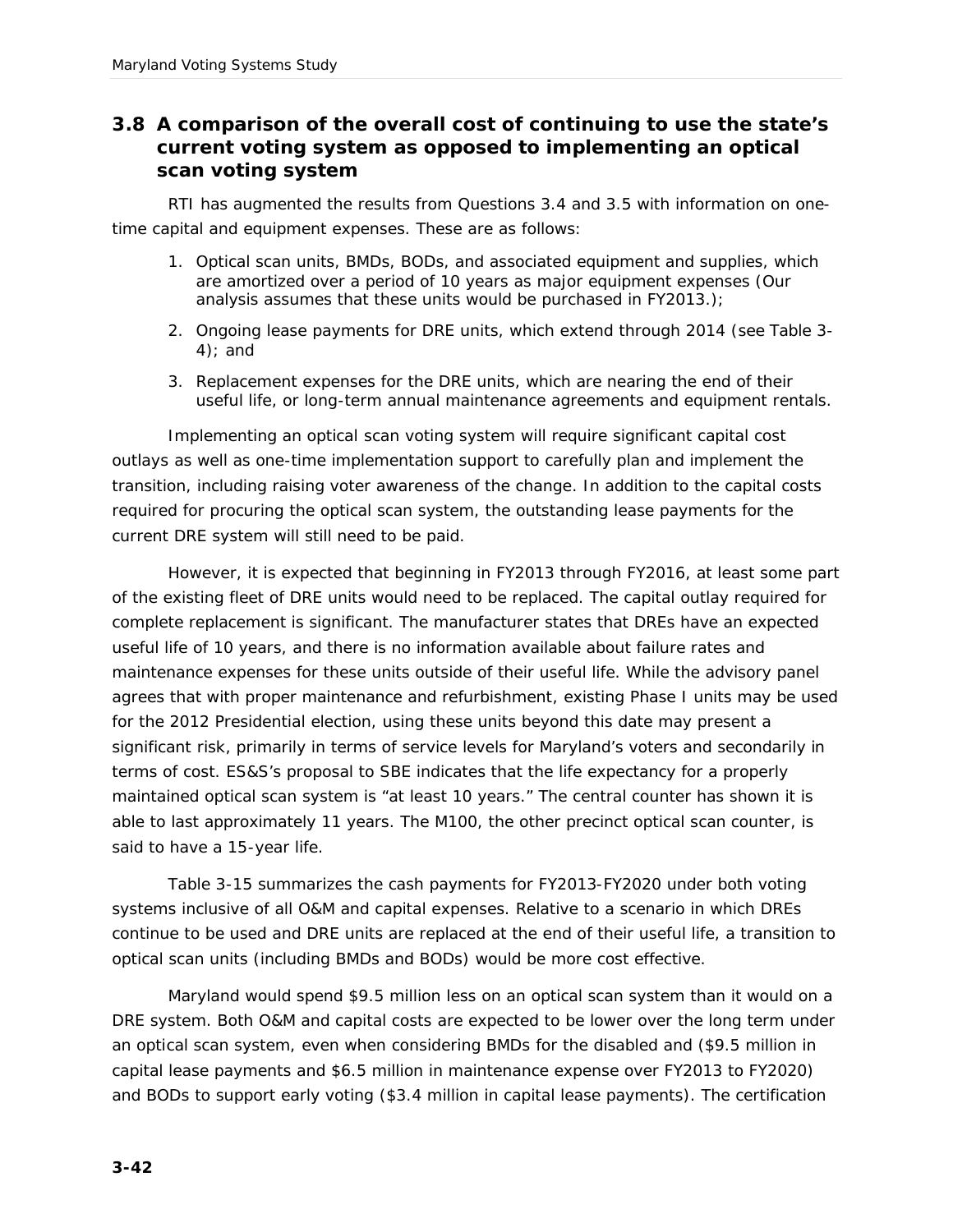## **3.8 A comparison of the overall cost of continuing to use the state's current voting system as opposed to implementing an optical scan voting system**

RTI has augmented the results from Questions 3.4 and 3.5 with information on onetime capital and equipment expenses. These are as follows:

- 1. Optical scan units, BMDs, BODs, and associated equipment and supplies, which are amortized over a period of 10 years as major equipment expenses (Our analysis assumes that these units would be purchased in FY2013.);
- 2. Ongoing lease payments for DRE units, which extend through 2014 (see Table 3- 4); and
- 3. Replacement expenses for the DRE units, which are nearing the end of their useful life, or long-term annual maintenance agreements and equipment rentals.

Implementing an optical scan voting system will require significant capital cost outlays as well as one-time implementation support to carefully plan and implement the transition, including raising voter awareness of the change. In addition to the capital costs required for procuring the optical scan system, the outstanding lease payments for the current DRE system will still need to be paid.

However, it is expected that beginning in FY2013 through FY2016, at least some part of the existing fleet of DRE units would need to be replaced. The capital outlay required for complete replacement is significant. The manufacturer states that DREs have an expected useful life of 10 years, and there is no information available about failure rates and maintenance expenses for these units outside of their useful life. While the advisory panel agrees that with proper maintenance and refurbishment, existing Phase I units may be used for the 2012 Presidential election, using these units beyond this date may present a significant risk, primarily in terms of service levels for Maryland's voters and secondarily in terms of cost. ES&S's proposal to SBE indicates that the life expectancy for a properly maintained optical scan system is "at least 10 years." The central counter has shown it is able to last approximately 11 years. The M100, the other precinct optical scan counter, is said to have a 15-year life.

Table 3-15 summarizes the cash payments for FY2013-FY2020 under both voting systems inclusive of all O&M and capital expenses. Relative to a scenario in which DREs continue to be used and DRE units are replaced at the end of their useful life, a transition to optical scan units (including BMDs and BODs) would be more cost effective.

Maryland would spend \$9.5 million less on an optical scan system than it would on a DRE system. Both O&M and capital costs are expected to be lower over the long term under an optical scan system, even when considering BMDs for the disabled and (\$9.5 million in capital lease payments and \$6.5 million in maintenance expense over FY2013 to FY2020) and BODs to support early voting (\$3.4 million in capital lease payments). The certification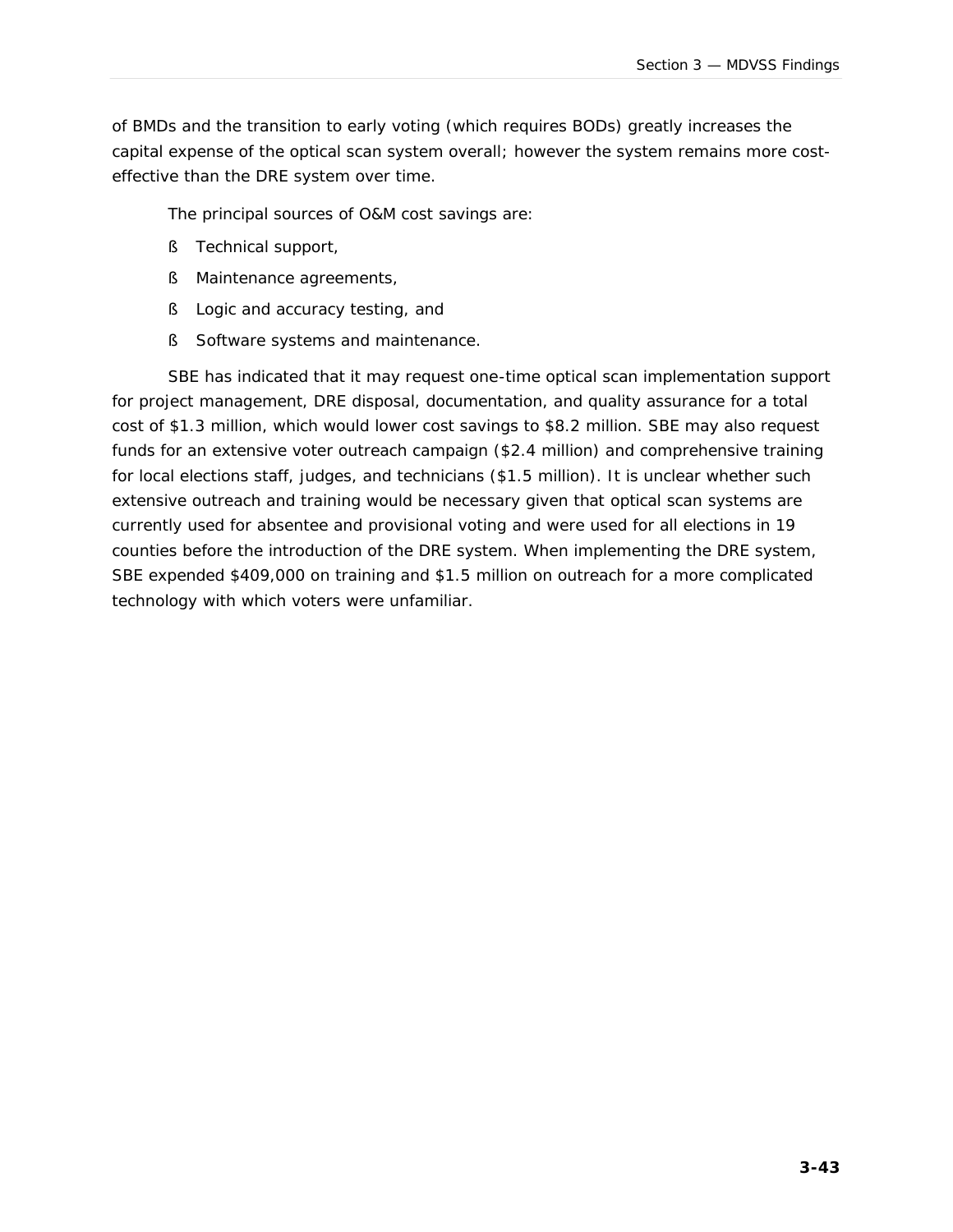of BMDs and the transition to early voting (which requires BODs) greatly increases the capital expense of the optical scan system overall; however the system remains more costeffective than the DRE system over time.

The principal sources of O&M cost savings are:

- § Technical support,
- § Maintenance agreements,
- § Logic and accuracy testing, and
- § Software systems and maintenance.

SBE has indicated that it may request one-time optical scan implementation support for project management, DRE disposal, documentation, and quality assurance for a total cost of \$1.3 million, which would lower cost savings to \$8.2 million. SBE may also request funds for an extensive voter outreach campaign (\$2.4 million) and comprehensive training for local elections staff, judges, and technicians (\$1.5 million). It is unclear whether such extensive outreach and training would be necessary given that optical scan systems are currently used for absentee and provisional voting and were used for all elections in 19 counties before the introduction of the DRE system. When implementing the DRE system, SBE expended \$409,000 on training and \$1.5 million on outreach for a more complicated technology with which voters were unfamiliar.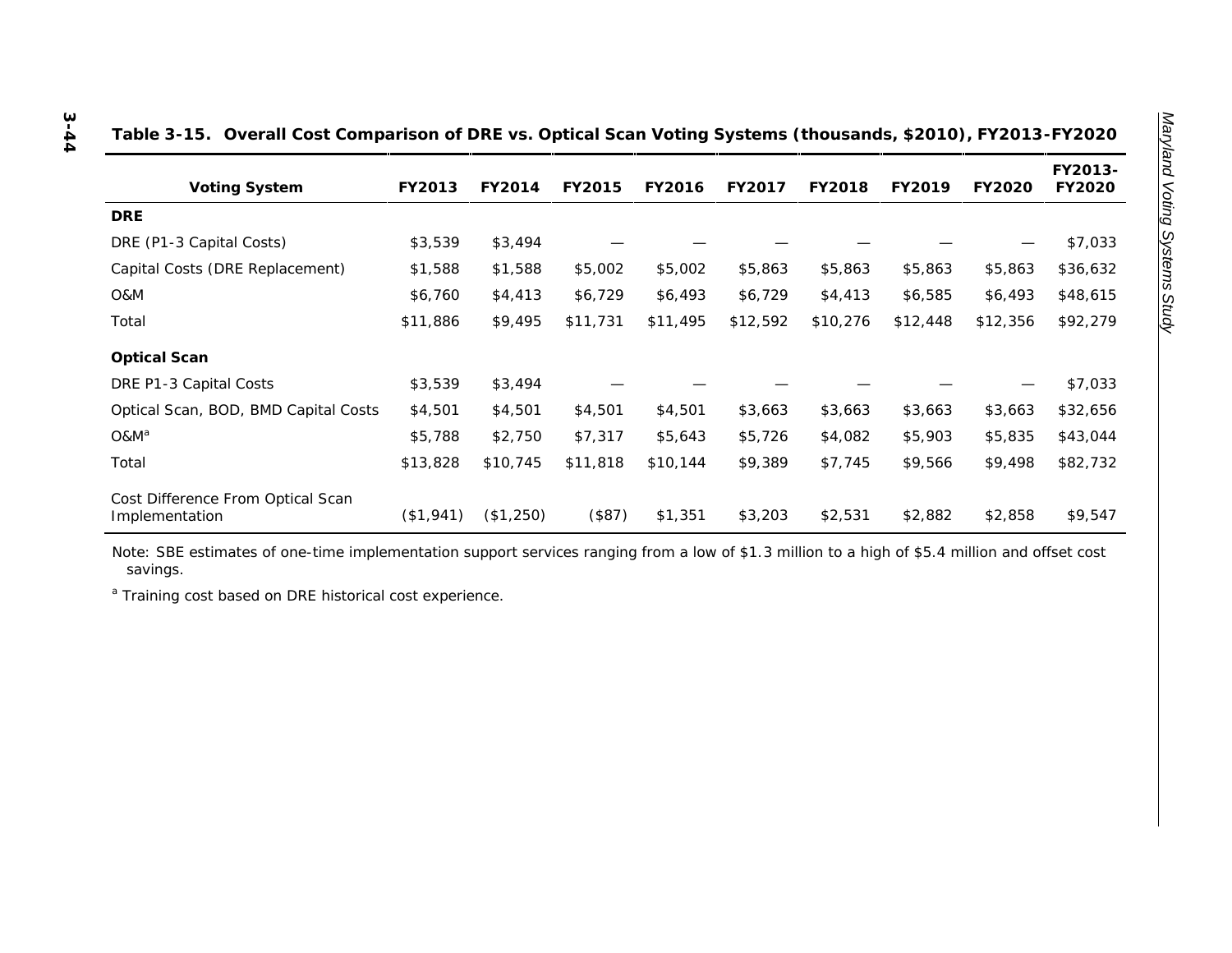| Voting System                        | FY2013   | FY2014   | FY2015   | FY2016   | FY2017   | FY2018   | FY2019   | FY2020   | FY2013-<br>FY2020 |
|--------------------------------------|----------|----------|----------|----------|----------|----------|----------|----------|-------------------|
| <b>DRE</b>                           |          |          |          |          |          |          |          |          |                   |
| DRE (P1-3 Capital Costs)             | \$3,539  | \$3,494  |          |          |          |          |          | —        | \$7,033           |
| Capital Costs (DRE Replacement)      | \$1,588  | \$1,588  | \$5,002  | \$5,002  | \$5,863  | \$5,863  | \$5,863  | \$5,863  | \$36,632          |
| O&M                                  | \$6,760  | \$4,413  | \$6,729  | \$6,493  | \$6,729  | \$4,413  | \$6,585  | \$6,493  | \$48,615          |
| Total                                | \$11,886 | \$9,495  | \$11,731 | \$11,495 | \$12,592 | \$10,276 | \$12,448 | \$12,356 | \$92,279          |
| Optical Scan                         |          |          |          |          |          |          |          |          |                   |
| DRE P1-3 Capital Costs               | \$3,539  | \$3,494  |          |          |          |          |          |          | \$7,033           |
| Optical Scan, BOD, BMD Capital Costs | \$4,501  | \$4,501  | \$4,501  | \$4,501  | \$3,663  | \$3,663  | \$3,663  | \$3,663  | \$32,656          |
| O&M <sup>a</sup>                     | \$5,788  | \$2,750  | \$7,317  | \$5,643  | \$5,726  | \$4,082  | \$5,903  | \$5,835  | \$43,044          |
| Total                                | \$13,828 | \$10,745 | \$11,818 | \$10,144 | \$9,389  | \$7,745  | \$9,566  | \$9,498  | \$82,732          |

#### **Table 3-15. Overall Cost Comparison of DRE vs. Optical Scan Voting Systems (thousands, \$2010), FY2013-FY2020**

Note: SBE estimates of one-time implementation support services ranging from a low of \$1.3 million to a high of \$5.4 million and offset cost savings.

Implementation (\$1,941) (\$1,250) (\$87) \$1,351 \$3,203 \$2,531 \$2,882 \$2,858 \$9,547

a Training cost based on DRE historical cost experience.

Cost Difference From Optical Scan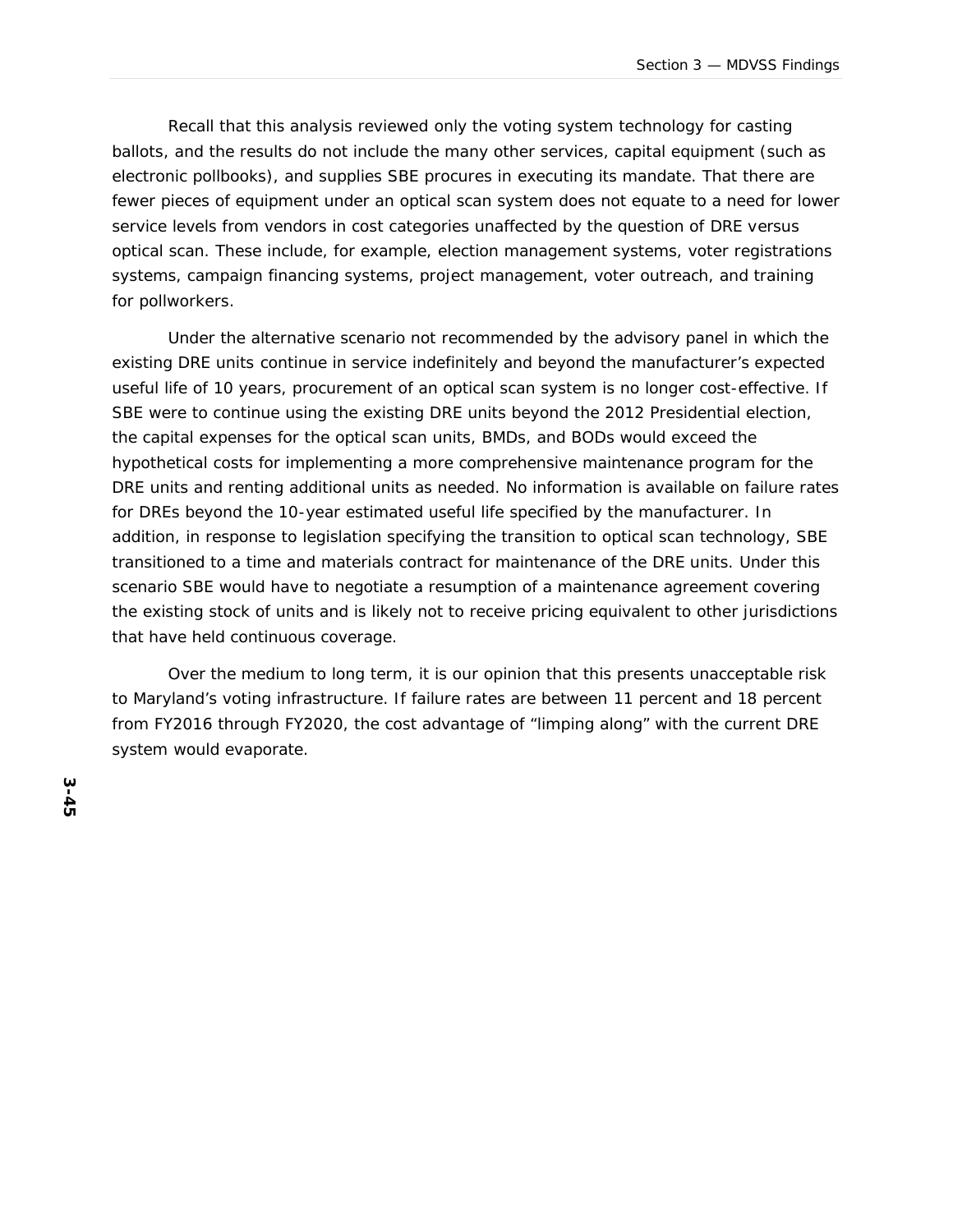Recall that this analysis reviewed only the voting system technology for casting ballots, and the results do not include the many other services, capital equipment (such as electronic pollbooks), and supplies SBE procures in executing its mandate. That there are fewer pieces of equipment under an optical scan system does not equate to a need for lower service levels from vendors in cost categories unaffected by the question of DRE versus optical scan. These include, for example, election management systems, voter registrations systems, campaign financing systems, project management, voter outreach, and training for pollworkers.

Under the alternative scenario *not* recommended by the advisory panel in which the existing DRE units continue in service indefinitely and beyond the manufacturer's expected useful life of 10 years, procurement of an optical scan system is no longer cost-effective. If SBE were to continue using the existing DRE units beyond the 2012 Presidential election, the capital expenses for the optical scan units, BMDs, and BODs would exceed the hypothetical costs for implementing a more comprehensive maintenance program for the DRE units and renting additional units as needed. No information is available on failure rates for DREs beyond the 10-year estimated useful life specified by the manufacturer. In addition, in response to legislation specifying the transition to optical scan technology, SBE transitioned to a time and materials contract for maintenance of the DRE units. Under this scenario SBE would have to negotiate a resumption of a maintenance agreement covering the existing stock of units and is likely not to receive pricing equivalent to other jurisdictions that have held continuous coverage.

Over the medium to long term, it is our opinion that this presents unacceptable risk to Maryland's voting infrastructure. If failure rates are between 11 percent and 18 percent from FY2016 through FY2020, the cost advantage of "limping along" with the current DRE system would evaporate.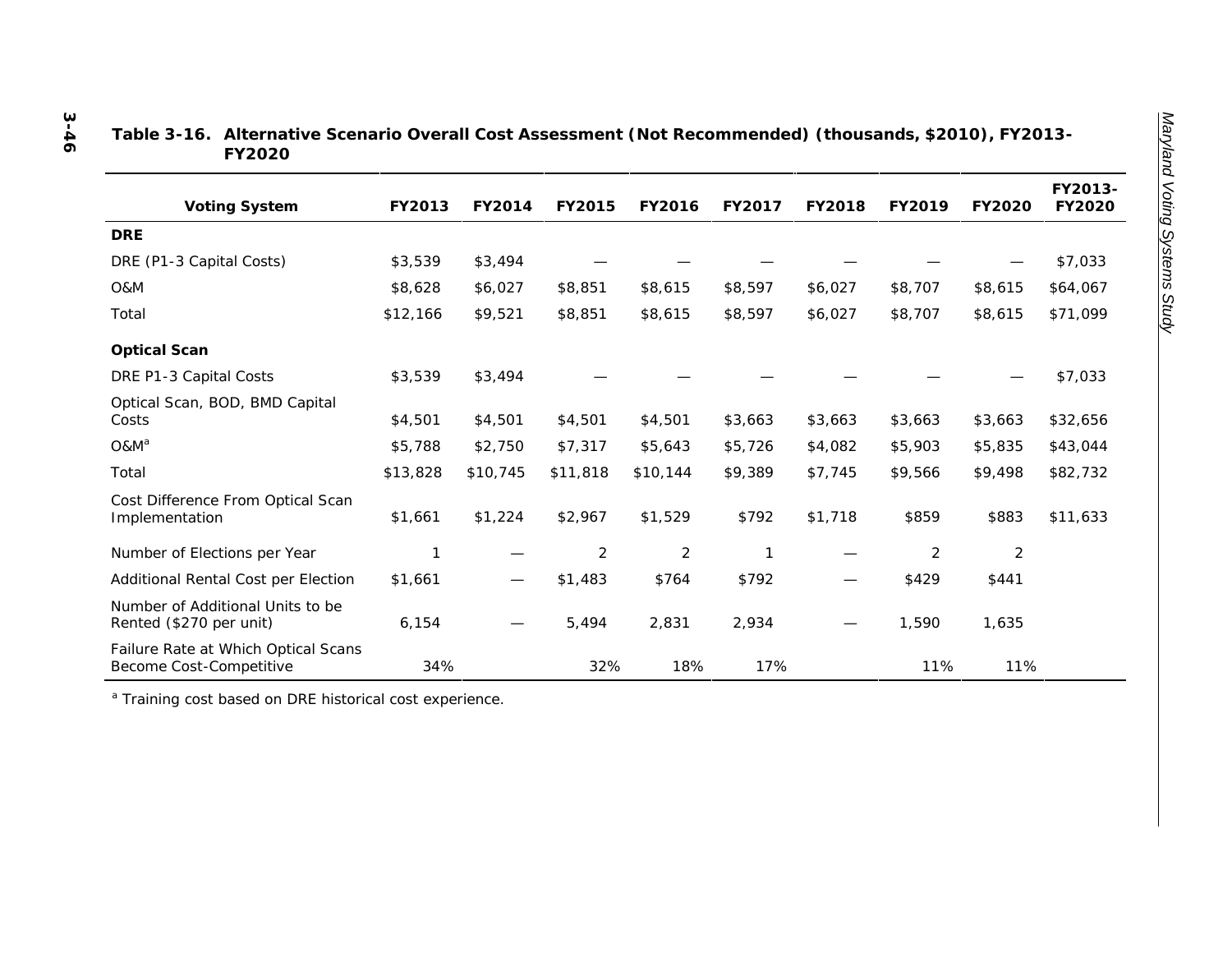| Table 3-16. Alternative Scenario Overall Cost Assessment (Not Recommended) (thousands, \$2010), FY2013- |  |
|---------------------------------------------------------------------------------------------------------|--|
| FY2020                                                                                                  |  |

| Voting System                                                  | FY2013   | FY2014            | FY2015   | FY2016         | FY2017  | FY2018  | FY2019  | FY2020         | FY2013-<br>FY2020 |
|----------------------------------------------------------------|----------|-------------------|----------|----------------|---------|---------|---------|----------------|-------------------|
| <b>DRE</b>                                                     |          |                   |          |                |         |         |         |                |                   |
| DRE (P1-3 Capital Costs)                                       | \$3,539  | \$3,494           |          |                |         |         |         |                | \$7,033           |
| O&M                                                            | \$8,628  | \$6,027           | \$8,851  | \$8,615        | \$8,597 | \$6,027 | \$8,707 | \$8,615        | \$64,067          |
| Total                                                          | \$12,166 | \$9,521           | \$8,851  | \$8,615        | \$8,597 | \$6,027 | \$8,707 | \$8,615        | \$71,099          |
| Optical Scan                                                   |          |                   |          |                |         |         |         |                |                   |
| DRE P1-3 Capital Costs                                         | \$3,539  | \$3,494           |          |                |         |         |         |                | \$7,033           |
| Optical Scan, BOD, BMD Capital<br>Costs                        | \$4,501  | \$4,501           | \$4,501  | \$4,501        | \$3,663 | \$3,663 | \$3,663 | \$3,663        | \$32,656          |
| O&M <sup>a</sup>                                               | \$5,788  | \$2,750           | \$7,317  | \$5,643        | \$5,726 | \$4,082 | \$5,903 | \$5,835        | \$43,044          |
| Total                                                          | \$13,828 | \$10,745          | \$11,818 | \$10,144       | \$9,389 | \$7,745 | \$9,566 | \$9,498        | \$82,732          |
| Cost Difference From Optical Scan<br>Implementation            | \$1,661  | \$1,224           | \$2,967  | \$1,529        | \$792   | \$1,718 | \$859   | \$883          | \$11,633          |
| Number of Elections per Year                                   | 1        |                   | 2        | $\overline{2}$ | 1       |         | 2       | $\overline{2}$ |                   |
| Additional Rental Cost per Election                            | \$1,661  | $\hspace{0.05cm}$ | \$1,483  | \$764          | \$792   | —       | \$429   | \$441          |                   |
| Number of Additional Units to be<br>Rented (\$270 per unit)    | 6,154    |                   | 5,494    | 2,831          | 2,934   |         | 1,590   | 1,635          |                   |
| Failure Rate at Which Optical Scans<br>Become Cost-Competitive | 34%      |                   | 32%      | 18%            | 17%     |         | 11%     | 11%            |                   |

<sup>a</sup> Training cost based on DRE historical cost experience.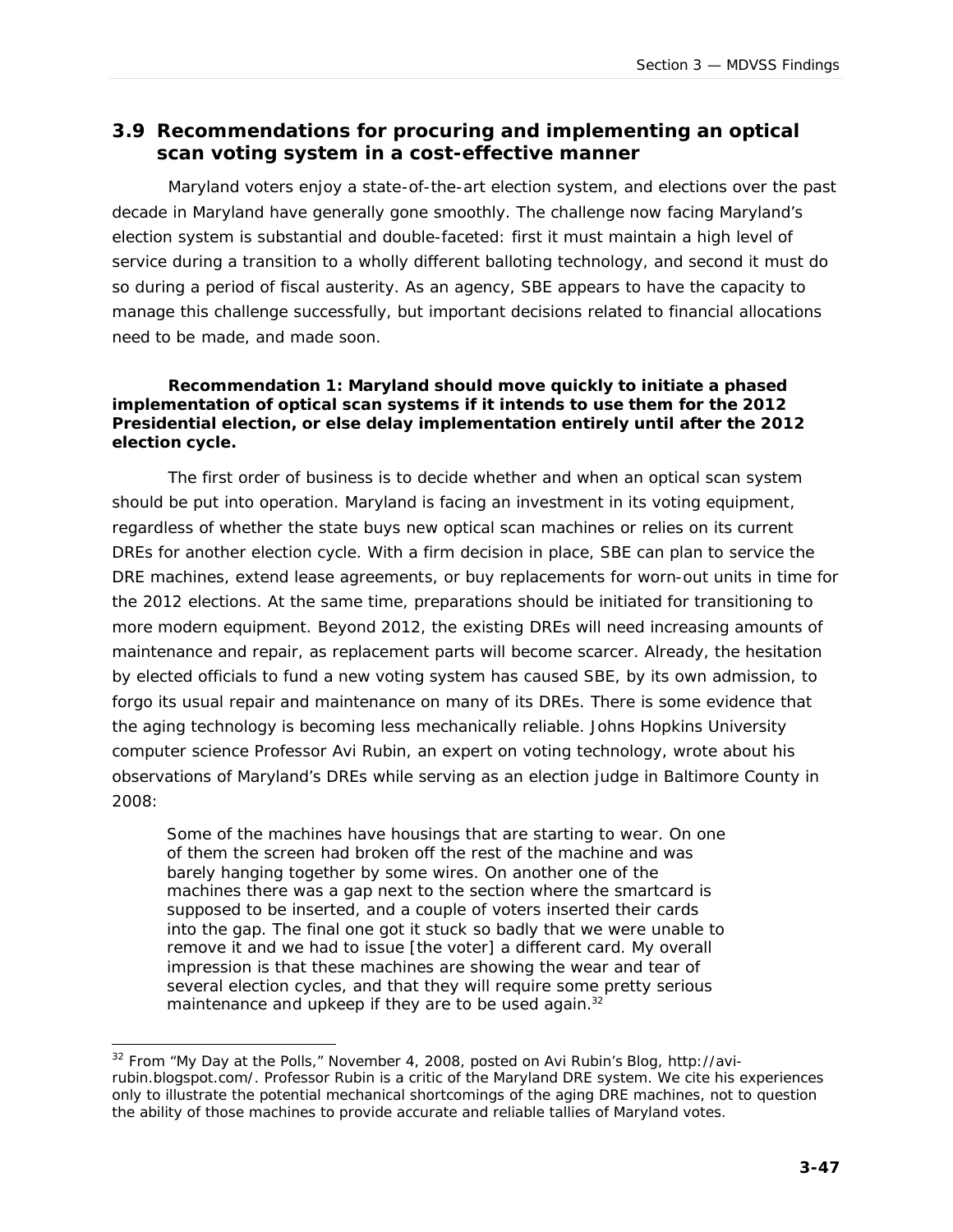## **3.9 Recommendations for procuring and implementing an optical scan voting system in a cost-effective manner**

Maryland voters enjoy a state-of-the-art election system, and elections over the past decade in Maryland have generally gone smoothly. The challenge now facing Maryland's election system is substantial and double-faceted: first it must maintain a high level of service during a transition to a wholly different balloting technology, and second it must do so during a period of fiscal austerity. As an agency, SBE appears to have the capacity to manage this challenge successfully, but important decisions related to financial allocations need to be made, and made soon.

*Recommendation 1: Maryland should move quickly to initiate a phased implementation of optical scan systems if it intends to use them for the 2012 Presidential election, or else delay implementation entirely until after the 2012 election cycle.*

The first order of business is to decide whether and when an optical scan system should be put into operation. Maryland is facing an investment in its voting equipment, regardless of whether the state buys new optical scan machines or relies on its current DREs for another election cycle. With a firm decision in place, SBE can plan to service the DRE machines, extend lease agreements, or buy replacements for worn-out units in time for the 2012 elections. At the same time, preparations should be initiated for transitioning to more modern equipment. Beyond 2012, the existing DREs will need increasing amounts of maintenance and repair, as replacement parts will become scarcer. Already, the hesitation by elected officials to fund a new voting system has caused SBE, by its own admission, to forgo its usual repair and maintenance on many of its DREs. There is some evidence that the aging technology is becoming less mechanically reliable. Johns Hopkins University computer science Professor Avi Rubin, an expert on voting technology, wrote about his observations of Maryland's DREs while serving as an election judge in Baltimore County in 2008:

*Some of the machines have housings that are starting to wear. On one of them the screen had broken off the rest of the machine and was barely hanging together by some wires. On another one of the machines there was a gap next to the section where the smartcard is supposed to be inserted, and a couple of voters inserted their cards into the gap. The final one got it stuck so badly that we were unable to remove it and we had to issue [the voter] a different card. My overall*  impression is that these machines are showing the wear and tear of *several election cycles, and that they will require some pretty serious maintenance and upkeep if they are to be used again.<sup>32</sup>*

l  $32$  From "My Day at the Polls," November 4, 2008, posted on Avi Rubin's Blog, http://avirubin.blogspot.com/. Professor Rubin is a critic of the Maryland DRE system. We cite his experiences only to illustrate the potential mechanical shortcomings of the aging DRE machines, not to question the ability of those machines to provide accurate and reliable tallies of Maryland votes.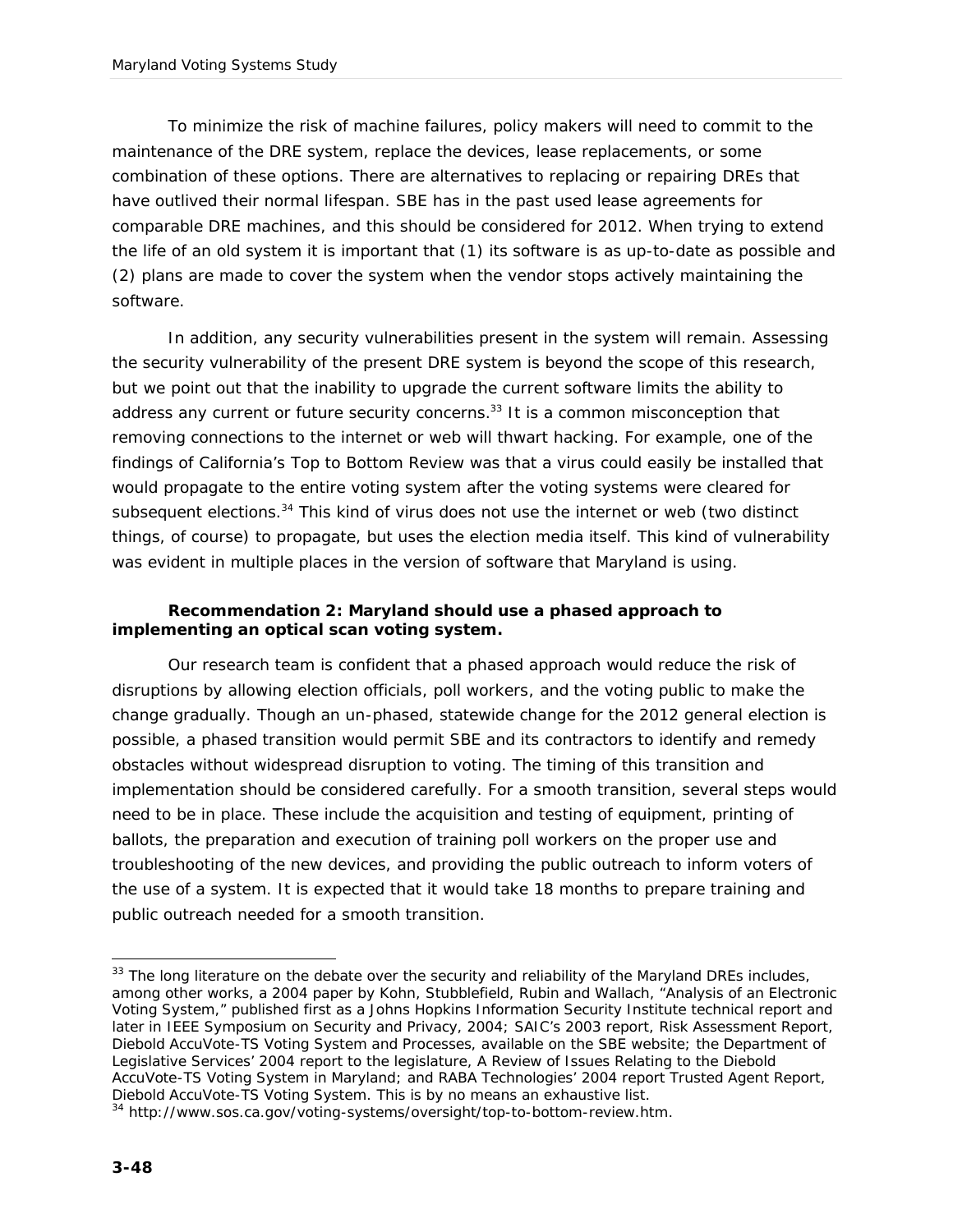To minimize the risk of machine failures, policy makers will need to commit to the maintenance of the DRE system, replace the devices, lease replacements, or some combination of these options. There are alternatives to replacing or repairing DREs that have outlived their normal lifespan. SBE has in the past used lease agreements for comparable DRE machines, and this should be considered for 2012. When trying to extend the life of an old system it is important that (1) its software is as up-to-date as possible and (2) plans are made to cover the system when the vendor stops actively maintaining the software.

In addition, any security vulnerabilities present in the system will remain. Assessing the security vulnerability of the present DRE system is beyond the scope of this research, but we point out that the inability to upgrade the current software limits the ability to address any current or future security concerns.<sup>33</sup> It is a common misconception that removing connections to the internet or web will thwart hacking. For example, one of the findings of California's *Top to Bottom Review* was that a virus could easily be installed that would propagate to the entire voting system after the voting systems were cleared for subsequent elections.<sup>34</sup> This kind of virus does not use the internet or web (two distinct things, of course) to propagate, but uses the election media itself. This kind of vulnerability was evident in multiple places in the version of software that Maryland is using.

*Recommendation 2: Maryland should use a phased approach to implementing an optical scan voting system.* 

Our research team is confident that a phased approach would reduce the risk of disruptions by allowing election officials, poll workers, and the voting public to make the change gradually. Though an un-phased, statewide change for the 2012 general election is possible, a phased transition would permit SBE and its contractors to identify and remedy obstacles without widespread disruption to voting. The timing of this transition and implementation should be considered carefully. For a smooth transition, several steps would need to be in place. These include the acquisition and testing of equipment, printing of ballots, the preparation and execution of training poll workers on the proper use and troubleshooting of the new devices, and providing the public outreach to inform voters of the use of a system. It is expected that it would take 18 months to prepare training and public outreach needed for a smooth transition.

l

<sup>&</sup>lt;sup>33</sup> The long literature on the debate over the security and reliability of the Maryland DREs includes, among other works, a 2004 paper by Kohn, Stubblefield, Rubin and Wallach, "Analysis of an Electronic Voting System," published first as a Johns Hopkins Information Security Institute technical report and later in *IEEE Symposium on Security and Privacy, 2004*; SAIC's 2003 report, *Risk Assessment Report, Diebold AccuVote-TS Voting System and Processes,* available on the SBE website; the Department of Legislative Services' 2004 report to the legislature, *A Review of Issues Relating to the Diebold AccuVote-TS Voting System in Maryland*; and RABA Technologies' 2004 report *Trusted Agent Report, Diebold AccuVote-TS Voting System.* This is by no means an exhaustive list.

<sup>34</sup> http://www.sos.ca.gov/voting-systems/oversight/top-to-bottom-review.htm.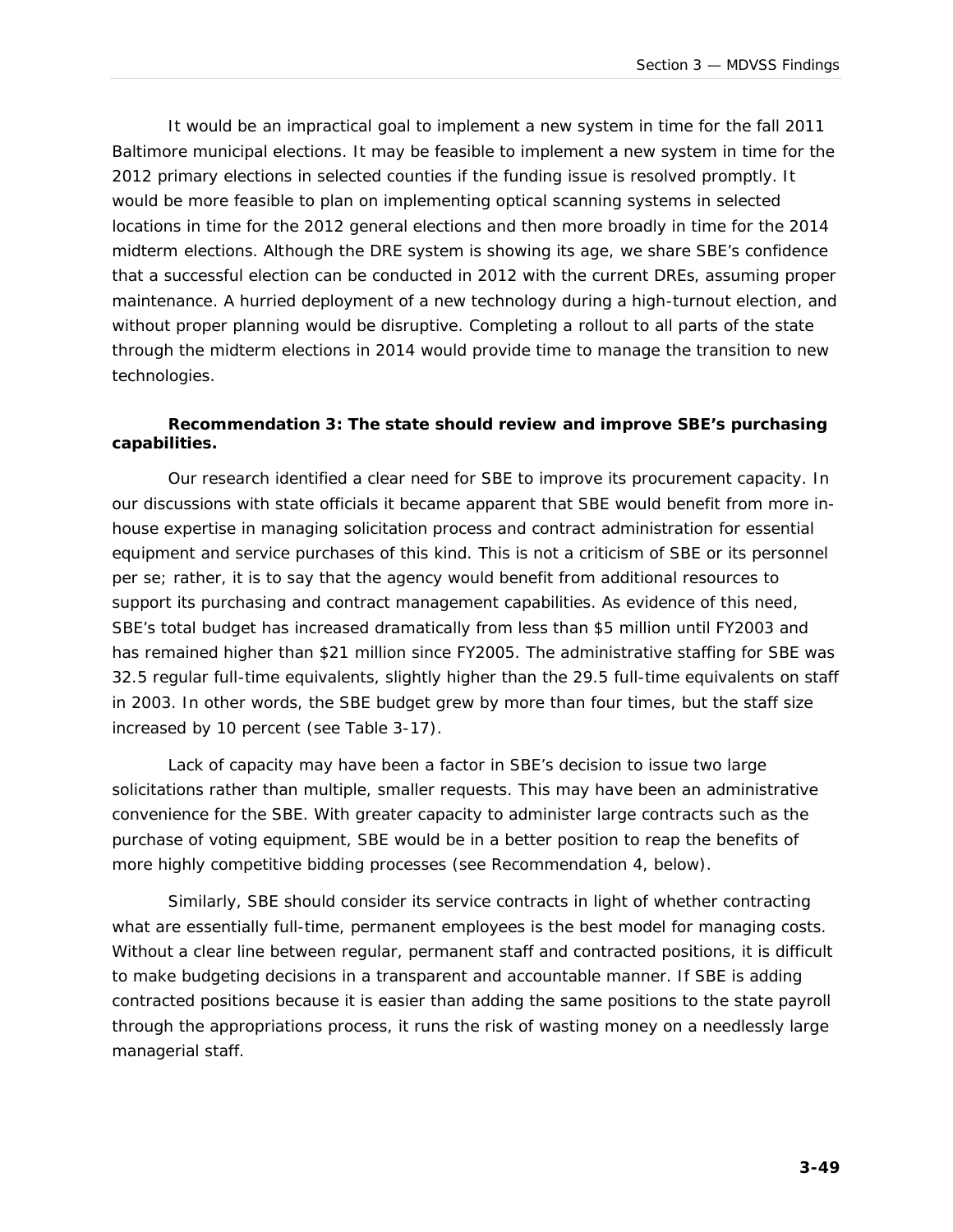It would be an impractical goal to implement a new system in time for the fall 2011 Baltimore municipal elections. It may be feasible to implement a new system in time for the 2012 primary elections in selected counties if the funding issue is resolved promptly. It would be more feasible to plan on implementing optical scanning systems in selected locations in time for the 2012 general elections and then more broadly in time for the 2014 midterm elections. Although the DRE system is showing its age, we share SBE's confidence that a successful election can be conducted in 2012 with the current DREs, assuming proper maintenance. A hurried deployment of a new technology during a high-turnout election, and without proper planning would be disruptive. Completing a rollout to all parts of the state through the midterm elections in 2014 would provide time to manage the transition to new technologies.

*Recommendation 3: The state should review and improve SBE's purchasing capabilities.* 

Our research identified a clear need for SBE to improve its procurement capacity. In our discussions with state officials it became apparent that SBE would benefit from more inhouse expertise in managing solicitation process and contract administration for essential equipment and service purchases of this kind. This is not a criticism of SBE or its personnel *per se*; rather, it is to say that the agency would benefit from additional resources to support its purchasing and contract management capabilities. As evidence of this need, SBE's total budget has increased dramatically from less than \$5 million until FY2003 and has remained higher than \$21 million since FY2005. The administrative staffing for SBE was 32.5 regular full-time equivalents, slightly higher than the 29.5 full-time equivalents on staff in 2003. In other words, the SBE budget grew by more than four times, but the staff size increased by 10 percent (see Table 3-17).

Lack of capacity may have been a factor in SBE's decision to issue two large solicitations rather than multiple, smaller requests. This may have been an administrative convenience for the SBE. With greater capacity to administer large contracts such as the purchase of voting equipment, SBE would be in a better position to reap the benefits of more highly competitive bidding processes (see Recommendation 4, below).

Similarly, SBE should consider its service contracts in light of whether contracting what are essentially full-time, permanent employees is the best model for managing costs. Without a clear line between regular, permanent staff and contracted positions, it is difficult to make budgeting decisions in a transparent and accountable manner. If SBE is adding contracted positions because it is easier than adding the same positions to the state payroll through the appropriations process, it runs the risk of wasting money on a needlessly large managerial staff.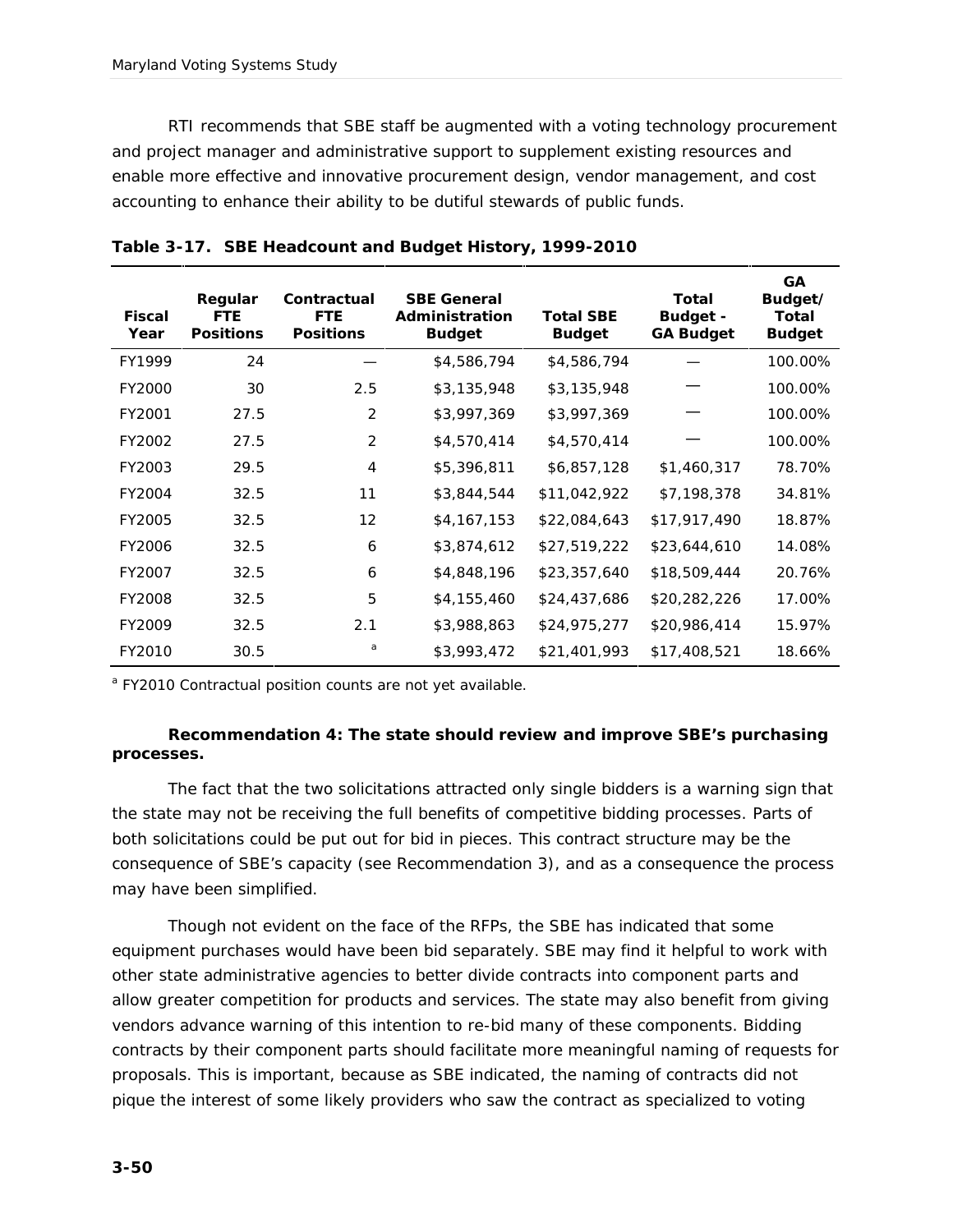RTI recommends that SBE staff be augmented with a voting technology procurement and project manager and administrative support to supplement existing resources and enable more effective and innovative procurement design, vendor management, and cost accounting to enhance their ability to be dutiful stewards of public funds.

| Fiscal<br>Year | Regular<br><b>FTE</b><br><b>Positions</b> | Contractual<br><b>FTE</b><br><b>Positions</b> | <b>SBE General</b><br>Administration<br><b>Budget</b> | Total SBE<br><b>Budget</b> | Total<br>Budget -<br><b>GA Budget</b> | <b>GA</b><br>Budget/<br>Total<br><b>Budget</b> |
|----------------|-------------------------------------------|-----------------------------------------------|-------------------------------------------------------|----------------------------|---------------------------------------|------------------------------------------------|
| FY1999         | 24                                        |                                               | \$4,586,794                                           | \$4,586,794                |                                       | 100.00%                                        |
| FY2000         | 30                                        | 2.5                                           | \$3,135,948                                           | \$3,135,948                |                                       | 100.00%                                        |
| FY2001         | 27.5                                      | 2                                             | \$3,997,369                                           | \$3,997,369                |                                       | 100.00%                                        |
| FY2002         | 27.5                                      | 2                                             | \$4,570,414                                           | \$4,570,414                |                                       | 100.00%                                        |
| FY2003         | 29.5                                      | $\overline{4}$                                | \$5,396,811                                           | \$6,857,128                | \$1,460,317                           | 78.70%                                         |
| FY2004         | 32.5                                      | 11                                            | \$3,844,544                                           | \$11,042,922               | \$7,198,378                           | 34.81%                                         |
| FY2005         | 32.5                                      | 12                                            | \$4,167,153                                           | \$22,084,643               | \$17,917,490                          | 18.87%                                         |
| FY2006         | 32.5                                      | 6                                             | \$3,874,612                                           | \$27,519,222               | \$23,644,610                          | 14.08%                                         |
| FY2007         | 32.5                                      | 6                                             | \$4,848,196                                           | \$23,357,640               | \$18,509,444                          | 20.76%                                         |
| FY2008         | 32.5                                      | 5                                             | \$4,155,460                                           | \$24,437,686               | \$20,282,226                          | 17.00%                                         |
| FY2009         | 32.5                                      | 2.1                                           | \$3,988,863                                           | \$24,975,277               | \$20,986,414                          | 15.97%                                         |
| FY2010         | 30.5                                      | a                                             | \$3,993,472                                           | \$21,401,993               | \$17,408,521                          | 18.66%                                         |

|  | Table 3-17. SBE Headcount and Budget History, 1999-2010 |  |
|--|---------------------------------------------------------|--|

<sup>a</sup> FY2010 Contractual position counts are not yet available.

*Recommendation 4: The state should review and improve SBE's purchasing processes.*

The fact that the two solicitations attracted only single bidders is a warning sign that the state may not be receiving the full benefits of competitive bidding processes. Parts of both solicitations could be put out for bid in pieces. This contract structure may be the consequence of SBE's capacity (see Recommendation 3), and as a consequence the process may have been simplified.

Though not evident on the face of the RFPs, the SBE has indicated that some equipment purchases would have been bid separately. SBE may find it helpful to work with other state administrative agencies to better divide contracts into component parts and allow greater competition for products and services. The state may also benefit from giving vendors advance warning of this intention to re-bid many of these components. Bidding contracts by their component parts should facilitate more meaningful naming of requests for proposals. This is important, because as SBE indicated, the naming of contracts did not pique the interest of some likely providers who saw the contract as specialized to voting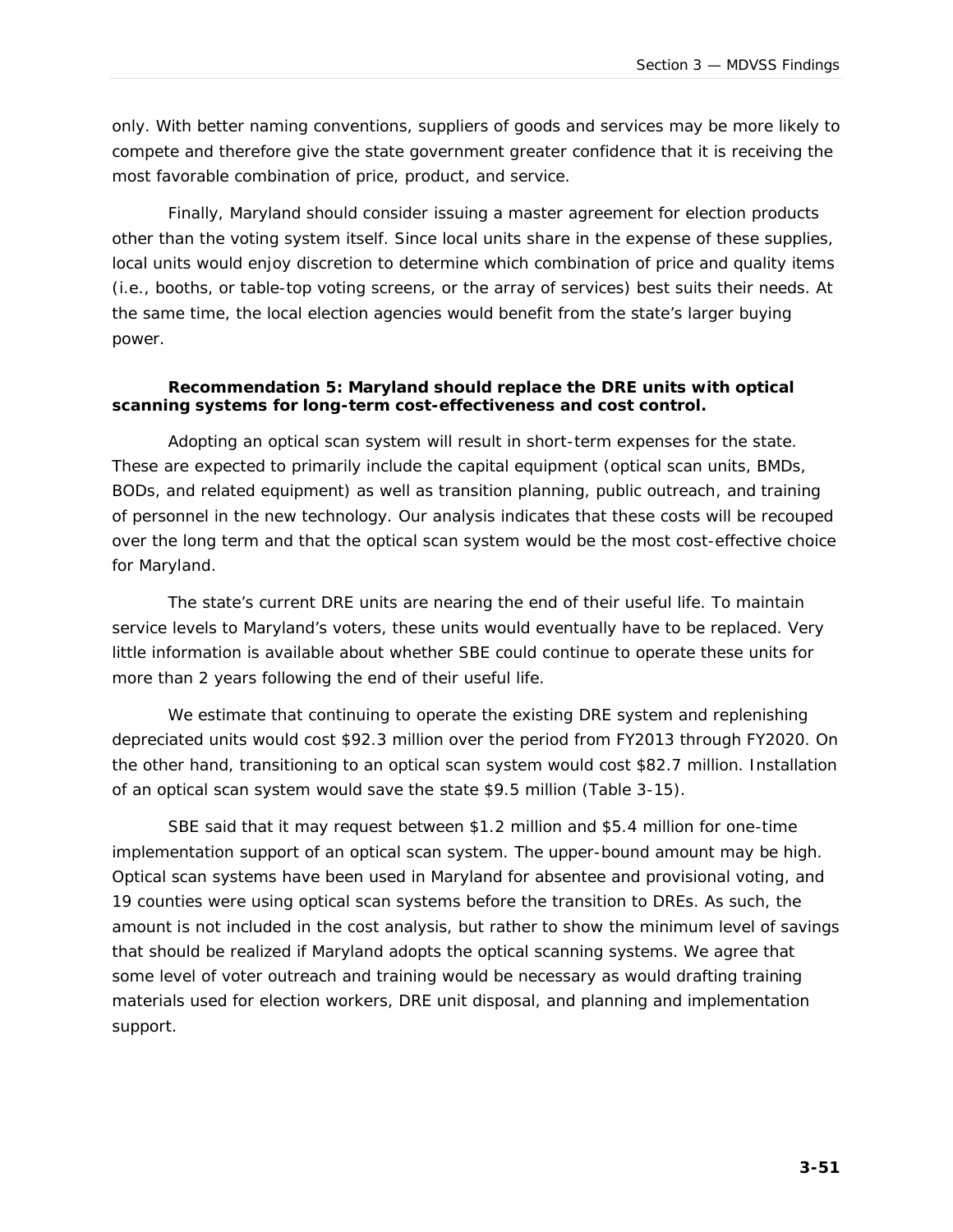only. With better naming conventions, suppliers of goods and services may be more likely to compete and therefore give the state government greater confidence that it is receiving the most favorable combination of price, product, and service.

Finally, Maryland should consider issuing a master agreement for election products other than the voting system itself. Since local units share in the expense of these supplies, local units would enjoy discretion to determine which combination of price and quality items (i.e., booths, or table-top voting screens, or the array of services) best suits their needs. At the same time, the local election agencies would benefit from the state's larger buying power.

*Recommendation 5: Maryland should replace the DRE units with optical scanning systems for long-term cost-effectiveness and cost control.* 

Adopting an optical scan system will result in short-term expenses for the state. These are expected to primarily include the capital equipment (optical scan units, BMDs, BODs, and related equipment) as well as transition planning, public outreach, and training of personnel in the new technology. Our analysis indicates that these costs will be recouped over the long term and that the optical scan system would be the most cost-effective choice for Maryland.

The state's current DRE units are nearing the end of their useful life. To maintain service levels to Maryland's voters, these units would eventually have to be replaced. Very little information is available about whether SBE could continue to operate these units for more than 2 years following the end of their useful life.

We estimate that continuing to operate the existing DRE system and replenishing depreciated units would cost \$92.3 million over the period from FY2013 through FY2020. On the other hand, transitioning to an optical scan system would cost \$82.7 million. Installation of an optical scan system would save the state \$9.5 million (Table 3-15).

SBE said that it may request between \$1.2 million and \$5.4 million for one-time implementation support of an optical scan system. The upper-bound amount may be high. Optical scan systems have been used in Maryland for absentee and provisional voting, and 19 counties were using optical scan systems before the transition to DREs. As such, the amount is not included in the cost analysis, but rather to show the minimum level of savings that should be realized if Maryland adopts the optical scanning systems. We agree that some level of voter outreach and training would be necessary as would drafting training materials used for election workers, DRE unit disposal, and planning and implementation support.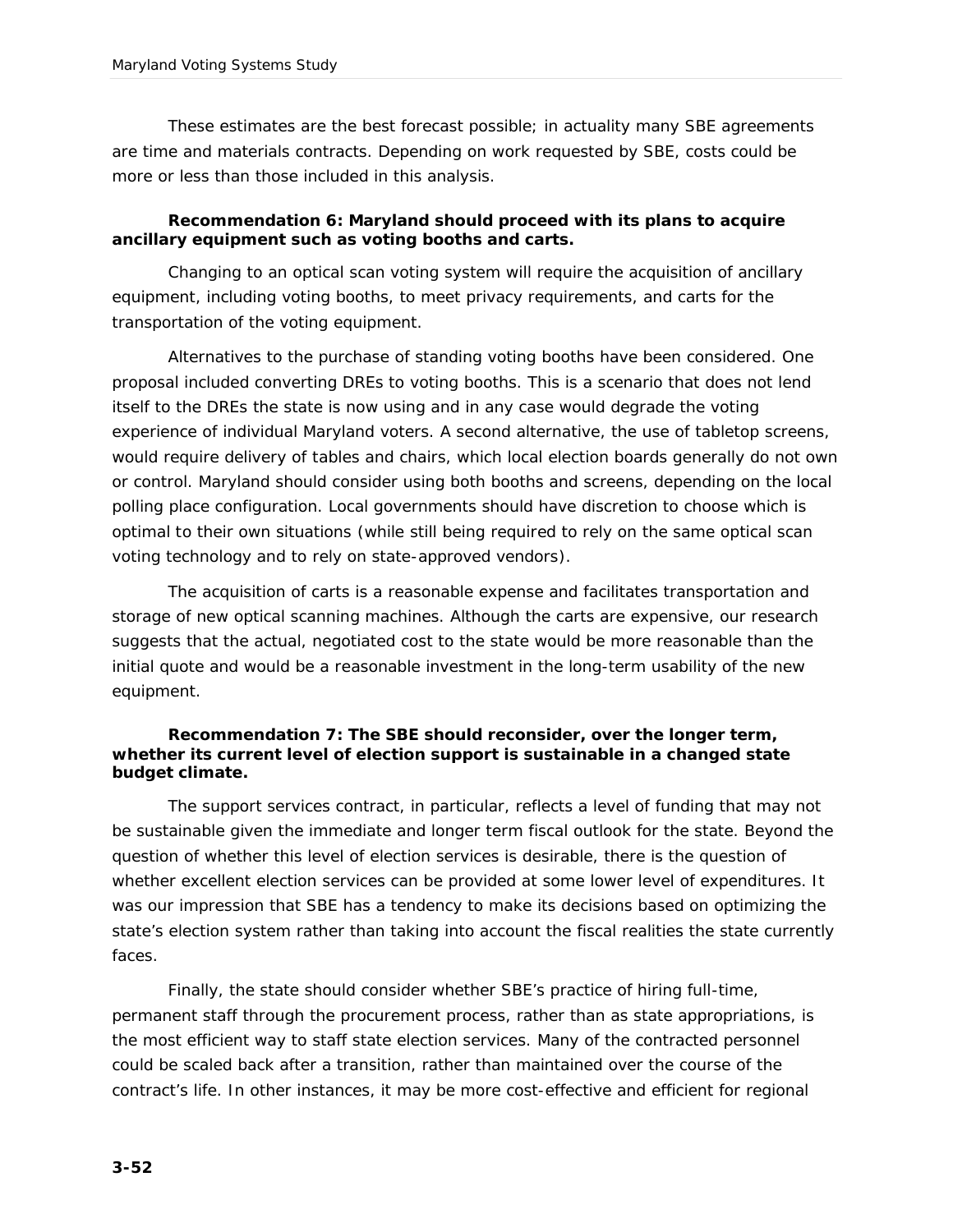These estimates are the best forecast possible; in actuality many SBE agreements are time and materials contracts. Depending on work requested by SBE, costs could be more or less than those included in this analysis.

*Recommendation 6: Maryland should proceed with its plans to acquire ancillary equipment such as voting booths and carts.* 

Changing to an optical scan voting system will require the acquisition of ancillary equipment, including voting booths, to meet privacy requirements, and carts for the transportation of the voting equipment.

Alternatives to the purchase of standing voting booths have been considered. One proposal included converting DREs to voting booths. This is a scenario that does not lend itself to the DREs the state is now using and in any case would degrade the voting experience of individual Maryland voters. A second alternative, the use of tabletop screens, would require delivery of tables and chairs, which local election boards generally do not own or control. Maryland should consider using both booths and screens, depending on the local polling place configuration. Local governments should have discretion to choose which is optimal to their own situations (while still being required to rely on the same optical scan voting technology and to rely on state-approved vendors).

The acquisition of carts is a reasonable expense and facilitates transportation and storage of new optical scanning machines. Although the carts are expensive, our research suggests that the actual, negotiated cost to the state would be more reasonable than the initial quote and would be a reasonable investment in the long-term usability of the new equipment.

*Recommendation 7: The SBE should reconsider, over the longer term, whether its current level of election support is sustainable in a changed state budget climate.*

The support services contract, in particular, reflects a level of funding that may not be sustainable given the immediate and longer term fiscal outlook for the state. Beyond the question of whether this level of election services is desirable, there is the question of whether excellent election services can be provided at some lower level of expenditures. It was our impression that SBE has a tendency to make its decisions based on optimizing the state's election system rather than taking into account the fiscal realities the state currently faces.

Finally, the state should consider whether SBE's practice of hiring full-time, permanent staff through the procurement process, rather than as state appropriations, is the most efficient way to staff state election services. Many of the contracted personnel could be scaled back after a transition, rather than maintained over the course of the contract's life. In other instances, it may be more cost-effective and efficient for regional